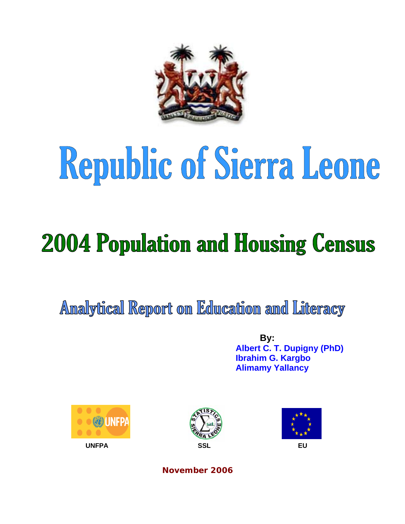

# Republic of Sierra Leone

## **2004 Population and Housing Census**

Analytical Report on Education and Literacy

 **By: Albert C. T. Dupigny (PhD) Ibrahim G. Kargbo Alimamy Yallancy** 







**November 2006**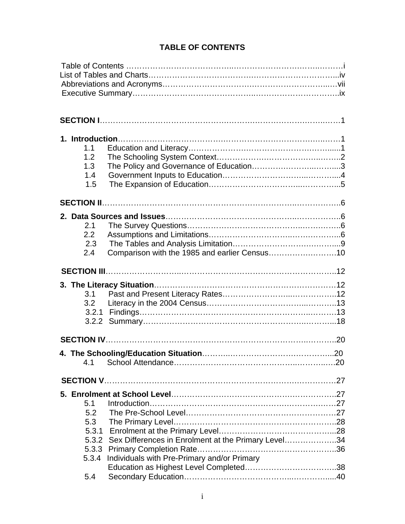### **TABLE OF CONTENTS**

| 1.1<br>1.2<br>1.3<br>1.4<br>1.5            |                                                                                                          |  |
|--------------------------------------------|----------------------------------------------------------------------------------------------------------|--|
|                                            |                                                                                                          |  |
| 2.1<br>2.2<br>2.3<br>2.4                   | Comparison with the 1985 and earlier Census10                                                            |  |
|                                            |                                                                                                          |  |
| 3.1<br>3.2                                 |                                                                                                          |  |
|                                            |                                                                                                          |  |
| 4.1                                        |                                                                                                          |  |
|                                            |                                                                                                          |  |
| 5.1<br>5.2<br>5.3<br>5.3.3<br>5.3.4<br>5.4 | 5.3.2 Sex Differences in Enrolment at the Primary Level34<br>Individuals with Pre-Primary and/or Primary |  |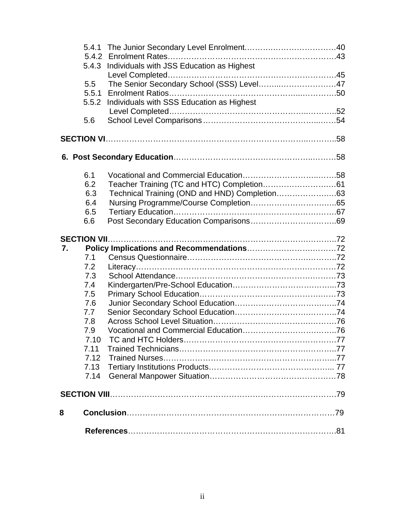|    |       | 5.4.3 Individuals with JSS Education as Highest |
|----|-------|-------------------------------------------------|
|    |       |                                                 |
|    | 5.5   | The Senior Secondary School (SSS) Level47       |
|    | 5.5.1 |                                                 |
|    | 5.5.2 | Individuals with SSS Education as Highest       |
|    |       |                                                 |
|    | 5.6   |                                                 |
|    |       |                                                 |
|    |       |                                                 |
|    |       |                                                 |
|    | 6.1   |                                                 |
|    | 6.2   |                                                 |
|    | 6.3   |                                                 |
|    | 6.4   |                                                 |
|    | 6.5   |                                                 |
|    | 6.6   |                                                 |
|    |       |                                                 |
| 7. |       |                                                 |
|    | 7.1   |                                                 |
|    | 7.2   |                                                 |
|    | 7.3   |                                                 |
|    | 7.4   |                                                 |
|    | 7.5   |                                                 |
|    | 7.6   |                                                 |
|    | 7.7   |                                                 |
|    | 7.8   |                                                 |
|    | 7.9   |                                                 |
|    | 7.10  |                                                 |
|    | 7.11  |                                                 |
|    | 7.12  |                                                 |
|    | 7.13  |                                                 |
|    | 7.14  |                                                 |
|    |       |                                                 |
| 8  |       |                                                 |
|    |       |                                                 |
|    |       |                                                 |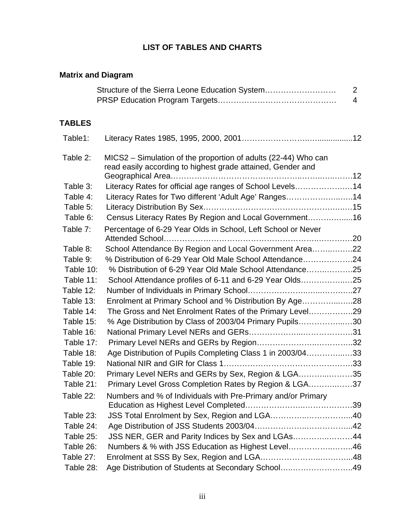#### **LIST OF TABLES AND CHARTS**

| <b>Matrix and Diagram</b> |                                                                                                                               |                                  |
|---------------------------|-------------------------------------------------------------------------------------------------------------------------------|----------------------------------|
|                           | Structure of the Sierra Leone Education System                                                                                | $\overline{2}$<br>$\overline{4}$ |
| <b>TABLES</b>             |                                                                                                                               |                                  |
| Table1:                   |                                                                                                                               |                                  |
| Table 2:                  | MICS2 - Simulation of the proportion of adults (22-44) Who can<br>read easily according to highest grade attained, Gender and |                                  |
| Table 3:                  | Literacy Rates for official age ranges of School Levels14                                                                     |                                  |
| Table 4:                  | Literacy Rates for Two different 'Adult Age' Ranges14                                                                         |                                  |
| Table 5:                  |                                                                                                                               |                                  |
| Table 6:                  | Census Literacy Rates By Region and Local Government16                                                                        |                                  |
| Table 7:                  | Percentage of 6-29 Year Olds in School, Left School or Never                                                                  |                                  |
|                           | Attended School                                                                                                               |                                  |
| Table 8:                  | School Attendance By Region and Local Government Area22                                                                       |                                  |
| Table 9:                  | % Distribution of 6-29 Year Old Male School Attendance24                                                                      |                                  |
| Table 10:                 | % Distribution of 6-29 Year Old Male School Attendance25                                                                      |                                  |
| Table 11:                 | School Attendance profiles of 6-11 and 6-29 Year Olds25                                                                       |                                  |
| Table 12:                 |                                                                                                                               |                                  |
| Table 13:                 | Enrolment at Primary School and % Distribution By Age28                                                                       |                                  |
| Table 14:                 | The Gross and Net Enrolment Rates of the Primary Level29                                                                      |                                  |
| Table 15:                 | % Age Distribution by Class of 2003/04 Primary Pupils30                                                                       |                                  |
| Table 16:                 |                                                                                                                               |                                  |
| Table 17:                 |                                                                                                                               |                                  |
| Table 18:                 | Age Distribution of Pupils Completing Class 1 in 2003/0433                                                                    |                                  |
| Table 19:                 |                                                                                                                               |                                  |
| Table 20:                 | Primary Level NERs and GERs by Sex, Region & LGA35                                                                            |                                  |
| Table 21:                 | Primary Level Gross Completion Rates by Region & LGA37                                                                        |                                  |
| Table 22:                 | Numbers and % of Individuals with Pre-Primary and/or Primary                                                                  |                                  |
| Table 23:                 | JSS Total Enrolment by Sex, Region and LGA40                                                                                  |                                  |
| Table 24:                 |                                                                                                                               |                                  |
| Table 25:                 | JSS NER, GER and Parity Indices by Sex and LGAs44                                                                             |                                  |
| Table 26:                 | Numbers & % with JSS Education as Highest Level46                                                                             |                                  |
| Table 27:                 |                                                                                                                               |                                  |
| Table 28:                 | Age Distribution of Students at Secondary School49                                                                            |                                  |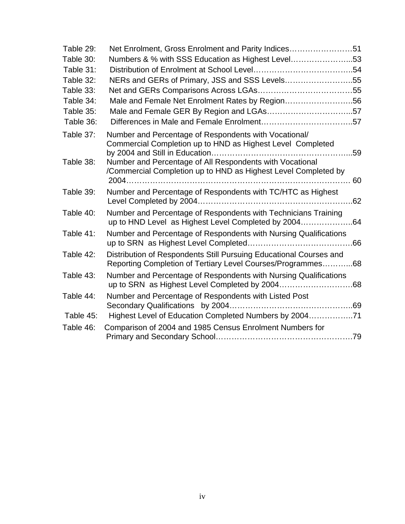| Table 29:              | Net Enrolment, Gross Enrolment and Parity Indices51                                                                                                                                                                                               |  |
|------------------------|---------------------------------------------------------------------------------------------------------------------------------------------------------------------------------------------------------------------------------------------------|--|
| Table 30:              | Numbers & % with SSS Education as Highest Level53                                                                                                                                                                                                 |  |
| Table 31:              |                                                                                                                                                                                                                                                   |  |
| Table 32:              | NERs and GERs of Primary, JSS and SSS Levels55                                                                                                                                                                                                    |  |
| Table 33:              |                                                                                                                                                                                                                                                   |  |
| Table 34:              | Male and Female Net Enrolment Rates by Region56                                                                                                                                                                                                   |  |
| Table 35:              |                                                                                                                                                                                                                                                   |  |
| Table 36:              |                                                                                                                                                                                                                                                   |  |
| Table 37:<br>Table 38: | Number and Percentage of Respondents with Vocational/<br>Commercial Completion up to HND as Highest Level Completed<br>Number and Percentage of All Respondents with Vocational<br>/Commercial Completion up to HND as Highest Level Completed by |  |
| Table 39:              | Number and Percentage of Respondents with TC/HTC as Highest                                                                                                                                                                                       |  |
| Table 40:              | Number and Percentage of Respondents with Technicians Training<br>up to HND Level as Highest Level Completed by 200464                                                                                                                            |  |
| Table 41:              | Number and Percentage of Respondents with Nursing Qualifications                                                                                                                                                                                  |  |
| Table 42:              | Distribution of Respondents Still Pursuing Educational Courses and<br>Reporting Completion of Tertiary Level Courses/Programmes68                                                                                                                 |  |
| Table 43:              | Number and Percentage of Respondents with Nursing Qualifications                                                                                                                                                                                  |  |
| Table 44:              | Number and Percentage of Respondents with Listed Post                                                                                                                                                                                             |  |
| Table 45:              | Highest Level of Education Completed Numbers by 200471                                                                                                                                                                                            |  |
| Table 46:              | Comparison of 2004 and 1985 Census Enrolment Numbers for                                                                                                                                                                                          |  |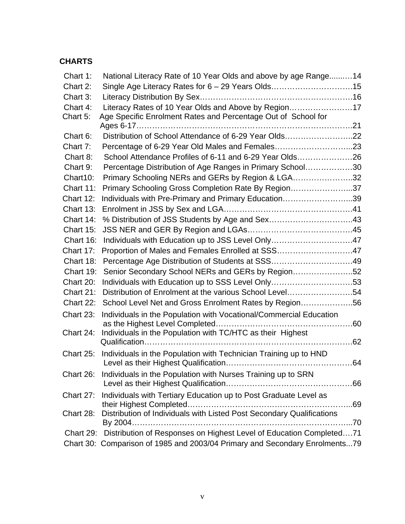#### **CHARTS**

| Chart 1:     | National Literacy Rate of 10 Year Olds and above by age Range 14            |      |
|--------------|-----------------------------------------------------------------------------|------|
| Chart 2:     |                                                                             |      |
| Chart 3:     |                                                                             |      |
| Chart 4:     | Literacy Rates of 10 Year Olds and Above by Region17                        |      |
| Chart 5:     | Age Specific Enrolment Rates and Percentage Out of School for               |      |
|              |                                                                             |      |
| Chart 6:     | Distribution of School Attendance of 6-29 Year Olds22                       |      |
| Chart 7:     | Percentage of 6-29 Year Old Males and Females23                             |      |
| Chart 8:     | School Attendance Profiles of 6-11 and 6-29 Year Olds26                     |      |
| Chart 9:     | Percentage Distribution of Age Ranges in Primary School30                   |      |
| Chart10:     | Primary Schooling NERs and GERs by Region & LGA32                           |      |
| Chart 11:    | Primary Schooling Gross Completion Rate By Region37                         |      |
| Chart 12:    | Individuals with Pre-Primary and Primary Education39                        |      |
| Chart 13:    |                                                                             |      |
| Chart 14:    | % Distribution of JSS Students by Age and Sex43                             |      |
| Chart 15:    |                                                                             |      |
| Chart 16:    | Individuals with Education up to JSS Level Only47                           |      |
| Chart 17:    | Proportion of Males and Females Enrolled at SSS47                           |      |
| Chart 18:    |                                                                             |      |
| Chart 19:    | Senior Secondary School NERs and GERs by Region52                           |      |
| Chart 20:    | Individuals with Education up to SSS Level Only53                           |      |
| Chart 21:    | Distribution of Enrolment at the various School Level54                     |      |
| Chart 22:    | School Level Net and Gross Enrolment Rates by Region56                      |      |
| Chart 23:    | Individuals in the Population with Vocational/Commercial Education          |      |
|              |                                                                             |      |
| Chart 24:    | Individuals in the Population with TC/HTC as their Highest                  |      |
|              |                                                                             |      |
| Chart $25$ : | Individuals in the Population with Technician Training up to HND            |      |
|              |                                                                             |      |
| Chart 26:    | Individuals in the Population with Nurses Training up to SRN                |      |
|              |                                                                             |      |
| Chart 27:    | Individuals with Tertiary Education up to Post Graduate Level as            |      |
|              |                                                                             |      |
| Chart 28:    | Distribution of Individuals with Listed Post Secondary Qualifications       | . 70 |
| Chart 29:    | Distribution of Responses on Highest Level of Education Completed71         |      |
|              |                                                                             |      |
|              | Chart 30: Comparison of 1985 and 2003/04 Primary and Secondary Enrolments79 |      |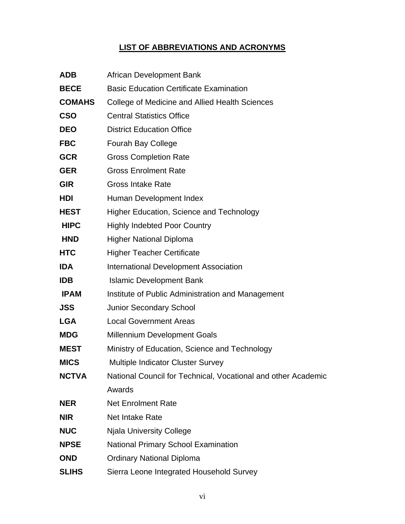### **LIST OF ABBREVIATIONS AND ACRONYMS**

| <b>ADB</b>    | African Development Bank                                      |
|---------------|---------------------------------------------------------------|
| <b>BECE</b>   | <b>Basic Education Certificate Examination</b>                |
| <b>COMAHS</b> | College of Medicine and Allied Health Sciences                |
| <b>CSO</b>    | <b>Central Statistics Office</b>                              |
| <b>DEO</b>    | <b>District Education Office</b>                              |
| <b>FBC</b>    | <b>Fourah Bay College</b>                                     |
| <b>GCR</b>    | <b>Gross Completion Rate</b>                                  |
| <b>GER</b>    | <b>Gross Enrolment Rate</b>                                   |
| <b>GIR</b>    | <b>Gross Intake Rate</b>                                      |
| <b>HDI</b>    | Human Development Index                                       |
| <b>HEST</b>   | Higher Education, Science and Technology                      |
| <b>HIPC</b>   | <b>Highly Indebted Poor Country</b>                           |
| <b>HND</b>    | <b>Higher National Diploma</b>                                |
| <b>HTC</b>    | <b>Higher Teacher Certificate</b>                             |
| <b>IDA</b>    | <b>International Development Association</b>                  |
| <b>IDB</b>    | <b>Islamic Development Bank</b>                               |
| <b>IPAM</b>   | Institute of Public Administration and Management             |
| <b>JSS</b>    | <b>Junior Secondary School</b>                                |
| <b>LGA</b>    | <b>Local Government Areas</b>                                 |
| <b>MDG</b>    | <b>Millennium Development Goals</b>                           |
| <b>MEST</b>   | Ministry of Education, Science and Technology                 |
| <b>MICS</b>   | <b>Multiple Indicator Cluster Survey</b>                      |
| <b>NCTVA</b>  | National Council for Technical, Vocational and other Academic |
|               | Awards                                                        |
| <b>NER</b>    | <b>Net Enrolment Rate</b>                                     |
| <b>NIR</b>    | <b>Net Intake Rate</b>                                        |
| <b>NUC</b>    | <b>Njala University College</b>                               |
| <b>NPSE</b>   | National Primary School Examination                           |
| <b>OND</b>    | <b>Ordinary National Diploma</b>                              |
| <b>SLIHS</b>  | Sierra Leone Integrated Household Survey                      |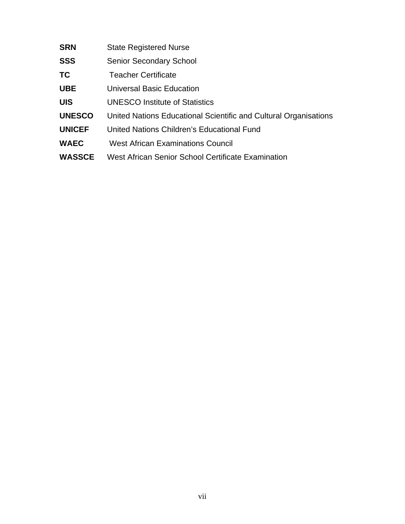- **SRN** State Registered Nurse
- **SSS** Senior Secondary School
- **TC** Teacher Certificate
- **UBE** Universal Basic Education
- **UIS** UNESCO Institute of Statistics
- **UNESCO** United Nations Educational Scientific and Cultural Organisations
- **UNICEF** United Nations Children's Educational Fund
- **WAEC** West African Examinations Council
- **WASSCE** West African Senior School Certificate Examination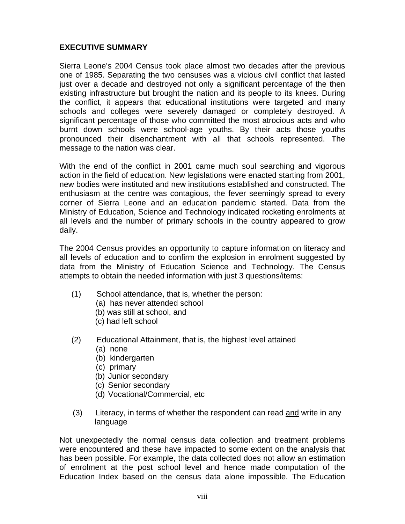#### **EXECUTIVE SUMMARY**

Sierra Leone's 2004 Census took place almost two decades after the previous one of 1985. Separating the two censuses was a vicious civil conflict that lasted just over a decade and destroyed not only a significant percentage of the then existing infrastructure but brought the nation and its people to its knees. During the conflict, it appears that educational institutions were targeted and many schools and colleges were severely damaged or completely destroyed. A significant percentage of those who committed the most atrocious acts and who burnt down schools were school-age youths. By their acts those youths pronounced their disenchantment with all that schools represented. The message to the nation was clear.

With the end of the conflict in 2001 came much soul searching and vigorous action in the field of education. New legislations were enacted starting from 2001, new bodies were instituted and new institutions established and constructed. The enthusiasm at the centre was contagious, the fever seemingly spread to every corner of Sierra Leone and an education pandemic started. Data from the Ministry of Education, Science and Technology indicated rocketing enrolments at all levels and the number of primary schools in the country appeared to grow daily.

The 2004 Census provides an opportunity to capture information on literacy and all levels of education and to confirm the explosion in enrolment suggested by data from the Ministry of Education Science and Technology. The Census attempts to obtain the needed information with just 3 questions/items:

- (1) School attendance, that is, whether the person:
	- (a) has never attended school
	- (b) was still at school, and
	- (c) had left school
- (2) Educational Attainment, that is, the highest level attained
	- (a) none
	- (b) kindergarten
	- (c) primary
	- (b) Junior secondary
	- (c) Senior secondary
	- (d) Vocational/Commercial, etc
- (3) Literacy, in terms of whether the respondent can read and write in any language

Not unexpectedly the normal census data collection and treatment problems were encountered and these have impacted to some extent on the analysis that has been possible. For example, the data collected does not allow an estimation of enrolment at the post school level and hence made computation of the Education Index based on the census data alone impossible. The Education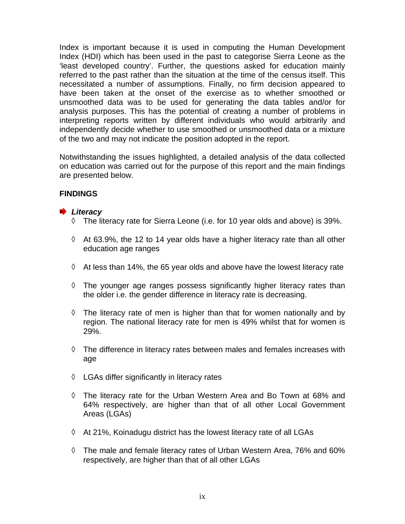Index is important because it is used in computing the Human Development Index (HDI) which has been used in the past to categorise Sierra Leone as the 'least developed country'. Further, the questions asked for education mainly referred to the past rather than the situation at the time of the census itself. This necessitated a number of assumptions. Finally, no firm decision appeared to have been taken at the onset of the exercise as to whether smoothed or unsmoothed data was to be used for generating the data tables and/or for analysis purposes. This has the potential of creating a number of problems in interpreting reports written by different individuals who would arbitrarily and independently decide whether to use smoothed or unsmoothed data or a mixture of the two and may not indicate the position adopted in the report.

Notwithstanding the issues highlighted, a detailed analysis of the data collected on education was carried out for the purpose of this report and the main findings are presented below.

#### **FINDINGS**

#### *Literacy*

- ◊ The literacy rate for Sierra Leone (i.e. for 10 year olds and above) is 39%.
- ◊ At 63.9%, the 12 to 14 year olds have a higher literacy rate than all other education age ranges
- $\Diamond$  At less than 14%, the 65 year olds and above have the lowest literacy rate
- ◊ The younger age ranges possess significantly higher literacy rates than the older i.e. the gender difference in literacy rate is decreasing.
- ◊ The literacy rate of men is higher than that for women nationally and by region. The national literacy rate for men is 49% whilst that for women is 29%.
- ◊ The difference in literacy rates between males and females increases with age
- ◊ LGAs differ significantly in literacy rates
- ◊ The literacy rate for the Urban Western Area and Bo Town at 68% and 64% respectively, are higher than that of all other Local Government Areas (LGAs)
- ◊ At 21%, Koinadugu district has the lowest literacy rate of all LGAs
- ◊ The male and female literacy rates of Urban Western Area, 76% and 60% respectively, are higher than that of all other LGAs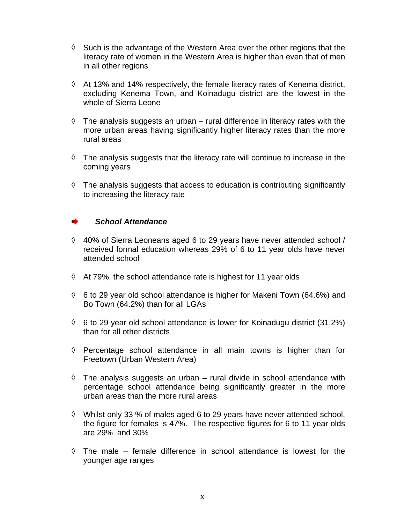- ◊ Such is the advantage of the Western Area over the other regions that the literacy rate of women in the Western Area is higher than even that of men in all other regions
- ◊ At 13% and 14% respectively, the female literacy rates of Kenema district, excluding Kenema Town, and Koinadugu district are the lowest in the whole of Sierra Leone
- $\Diamond$  The analysis suggests an urban rural difference in literacy rates with the more urban areas having significantly higher literacy rates than the more rural areas
- ◊ The analysis suggests that the literacy rate will continue to increase in the coming years
- ◊ The analysis suggests that access to education is contributing significantly to increasing the literacy rate

#### *School Attendance*

- ◊ 40% of Sierra Leoneans aged 6 to 29 years have never attended school / received formal education whereas 29% of 6 to 11 year olds have never attended school
- ◊ At 79%, the school attendance rate is highest for 11 year olds
- ◊ 6 to 29 year old school attendance is higher for Makeni Town (64.6%) and Bo Town (64.2%) than for all LGAs
- ◊ 6 to 29 year old school attendance is lower for Koinadugu district (31.2%) than for all other districts
- ◊ Percentage school attendance in all main towns is higher than for Freetown (Urban Western Area)
- $\Diamond$  The analysis suggests an urban rural divide in school attendance with percentage school attendance being significantly greater in the more urban areas than the more rural areas
- ◊ Whilst only 33 % of males aged 6 to 29 years have never attended school, the figure for females is 47%. The respective figures for 6 to 11 year olds are 29% and 30%
- ◊ The male female difference in school attendance is lowest for the younger age ranges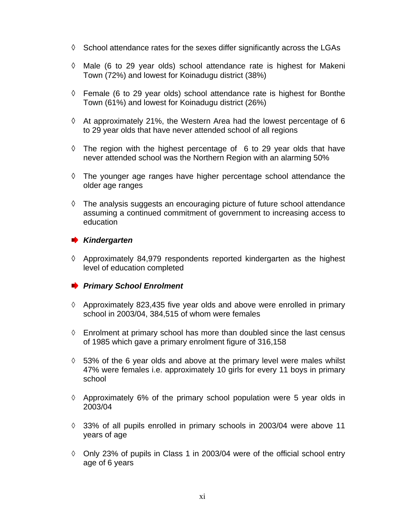- ◊ School attendance rates for the sexes differ significantly across the LGAs
- ◊ Male (6 to 29 year olds) school attendance rate is highest for Makeni Town (72%) and lowest for Koinadugu district (38%)
- ◊ Female (6 to 29 year olds) school attendance rate is highest for Bonthe Town (61%) and lowest for Koinadugu district (26%)
- ◊ At approximately 21%, the Western Area had the lowest percentage of 6 to 29 year olds that have never attended school of all regions
- ◊ The region with the highest percentage of 6 to 29 year olds that have never attended school was the Northern Region with an alarming 50%
- ◊ The younger age ranges have higher percentage school attendance the older age ranges
- ◊ The analysis suggests an encouraging picture of future school attendance assuming a continued commitment of government to increasing access to education

#### *Kindergarten*

◊ Approximately 84,979 respondents reported kindergarten as the highest level of education completed

#### **Primary School Enrolment**

- $\Diamond$  Approximately 823,435 five year olds and above were enrolled in primary school in 2003/04, 384,515 of whom were females
- $\Diamond$  Enrolment at primary school has more than doubled since the last census of 1985 which gave a primary enrolment figure of 316,158
- ◊ 53% of the 6 year olds and above at the primary level were males whilst 47% were females i.e. approximately 10 girls for every 11 boys in primary school
- ◊ Approximately 6% of the primary school population were 5 year olds in 2003/04
- ◊ 33% of all pupils enrolled in primary schools in 2003/04 were above 11 years of age
- ◊ Only 23% of pupils in Class 1 in 2003/04 were of the official school entry age of 6 years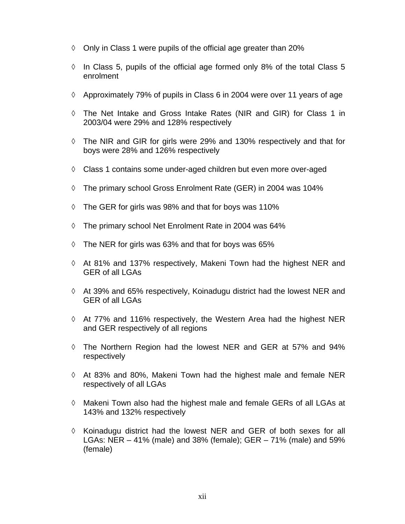- ◊ Only in Class 1 were pupils of the official age greater than 20%
- ◊ In Class 5, pupils of the official age formed only 8% of the total Class 5 enrolment
- ◊ Approximately 79% of pupils in Class 6 in 2004 were over 11 years of age
- ◊ The Net Intake and Gross Intake Rates (NIR and GIR) for Class 1 in 2003/04 were 29% and 128% respectively
- ◊ The NIR and GIR for girls were 29% and 130% respectively and that for boys were 28% and 126% respectively
- $\Diamond$  Class 1 contains some under-aged children but even more over-aged
- ◊ The primary school Gross Enrolment Rate (GER) in 2004 was 104%
- ◊ The GER for girls was 98% and that for boys was 110%
- ◊ The primary school Net Enrolment Rate in 2004 was 64%
- $\lozenge$  The NER for girls was 63% and that for boys was 65%
- $\Diamond$  At 81% and 137% respectively, Makeni Town had the highest NER and GER of all LGAs
- ◊ At 39% and 65% respectively, Koinadugu district had the lowest NER and GER of all LGAs
- ◊ At 77% and 116% respectively, the Western Area had the highest NER and GER respectively of all regions
- ◊ The Northern Region had the lowest NER and GER at 57% and 94% respectively
- ◊ At 83% and 80%, Makeni Town had the highest male and female NER respectively of all LGAs
- ◊ Makeni Town also had the highest male and female GERs of all LGAs at 143% and 132% respectively
- $\Diamond$  Koinadugu district had the lowest NER and GER of both sexes for all LGAs: NER – 41% (male) and 38% (female); GER – 71% (male) and 59% (female)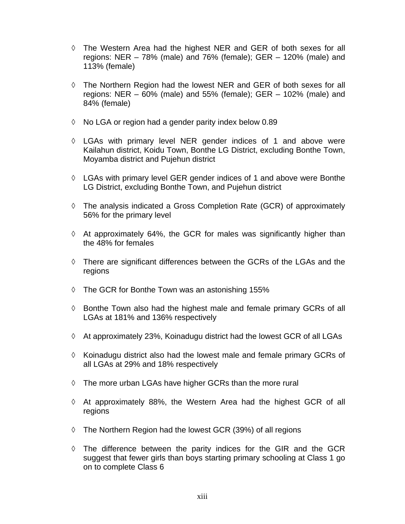- ◊ The Western Area had the highest NER and GER of both sexes for all regions: NER – 78% (male) and 76% (female); GER – 120% (male) and 113% (female)
- ◊ The Northern Region had the lowest NER and GER of both sexes for all regions: NER – 60% (male) and 55% (female); GER – 102% (male) and 84% (female)
- ◊ No LGA or region had a gender parity index below 0.89
- ◊ LGAs with primary level NER gender indices of 1 and above were Kailahun district, Koidu Town, Bonthe LG District, excluding Bonthe Town, Moyamba district and Pujehun district
- ◊ LGAs with primary level GER gender indices of 1 and above were Bonthe LG District, excluding Bonthe Town, and Pujehun district
- $\Diamond$  The analysis indicated a Gross Completion Rate (GCR) of approximately 56% for the primary level
- ◊ At approximately 64%, the GCR for males was significantly higher than the 48% for females
- ◊ There are significant differences between the GCRs of the LGAs and the regions
- ◊ The GCR for Bonthe Town was an astonishing 155%
- ◊ Bonthe Town also had the highest male and female primary GCRs of all LGAs at 181% and 136% respectively
- ◊ At approximately 23%, Koinadugu district had the lowest GCR of all LGAs
- ◊ Koinadugu district also had the lowest male and female primary GCRs of all LGAs at 29% and 18% respectively
- ◊ The more urban LGAs have higher GCRs than the more rural
- ◊ At approximately 88%, the Western Area had the highest GCR of all regions
- ◊ The Northern Region had the lowest GCR (39%) of all regions
- ◊ The difference between the parity indices for the GIR and the GCR suggest that fewer girls than boys starting primary schooling at Class 1 go on to complete Class 6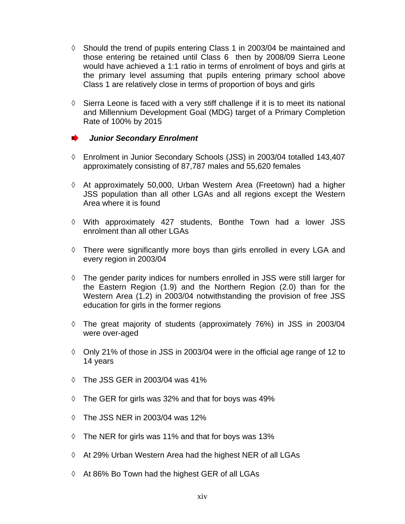- ◊ Should the trend of pupils entering Class 1 in 2003/04 be maintained and those entering be retained until Class 6 then by 2008/09 Sierra Leone would have achieved a 1:1 ratio in terms of enrolment of boys and girls at the primary level assuming that pupils entering primary school above Class 1 are relatively close in terms of proportion of boys and girls
- ◊ Sierra Leone is faced with a very stiff challenge if it is to meet its national and Millennium Development Goal (MDG) target of a Primary Completion Rate of 100% by 2015

#### *Junior Secondary Enrolment*

- ◊ Enrolment in Junior Secondary Schools (JSS) in 2003/04 totalled 143,407 approximately consisting of 87,787 males and 55,620 females
- ◊ At approximately 50,000, Urban Western Area (Freetown) had a higher JSS population than all other LGAs and all regions except the Western Area where it is found
- ◊ With approximately 427 students, Bonthe Town had a lower JSS enrolment than all other LGAs
- ◊ There were significantly more boys than girls enrolled in every LGA and every region in 2003/04
- ◊ The gender parity indices for numbers enrolled in JSS were still larger for the Eastern Region (1.9) and the Northern Region (2.0) than for the Western Area (1.2) in 2003/04 notwithstanding the provision of free JSS education for girls in the former regions
- ◊ The great majority of students (approximately 76%) in JSS in 2003/04 were over-aged
- ◊ Only 21% of those in JSS in 2003/04 were in the official age range of 12 to 14 years
- ◊ The JSS GER in 2003/04 was 41%
- ◊ The GER for girls was 32% and that for boys was 49%
- ◊ The JSS NER in 2003/04 was 12%
- ◊ The NER for girls was 11% and that for boys was 13%
- ◊ At 29% Urban Western Area had the highest NER of all LGAs
- ◊ At 86% Bo Town had the highest GER of all LGAs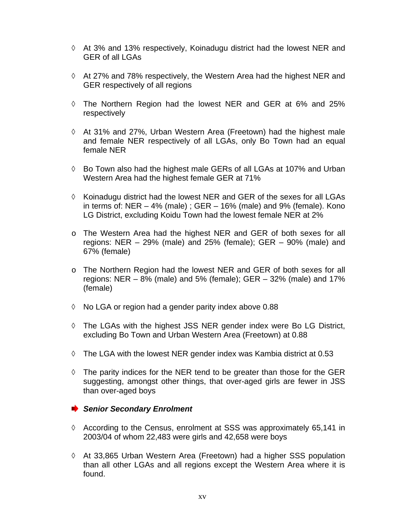- ◊ At 3% and 13% respectively, Koinadugu district had the lowest NER and GER of all LGAs
- ◊ At 27% and 78% respectively, the Western Area had the highest NER and GER respectively of all regions
- ◊ The Northern Region had the lowest NER and GER at 6% and 25% respectively
- ◊ At 31% and 27%, Urban Western Area (Freetown) had the highest male and female NER respectively of all LGAs, only Bo Town had an equal female NER
- ◊ Bo Town also had the highest male GERs of all LGAs at 107% and Urban Western Area had the highest female GER at 71%
- ◊ Koinadugu district had the lowest NER and GER of the sexes for all LGAs in terms of:  $NER - 4%$  (male);  $GER - 16%$  (male) and 9% (female). Kono LG District, excluding Koidu Town had the lowest female NER at 2%
- o The Western Area had the highest NER and GER of both sexes for all regions: NER – 29% (male) and 25% (female); GER – 90% (male) and 67% (female)
- o The Northern Region had the lowest NER and GER of both sexes for all regions: NER  $-$  8% (male) and 5% (female); GER  $-$  32% (male) and 17% (female)
- ◊ No LGA or region had a gender parity index above 0.88
- ◊ The LGAs with the highest JSS NER gender index were Bo LG District, excluding Bo Town and Urban Western Area (Freetown) at 0.88
- ◊ The LGA with the lowest NER gender index was Kambia district at 0.53
- $\Diamond$  The parity indices for the NER tend to be greater than those for the GER suggesting, amongst other things, that over-aged girls are fewer in JSS than over-aged boys

#### **Senior Secondary Enrolment**

- ◊ According to the Census, enrolment at SSS was approximately 65,141 in 2003/04 of whom 22,483 were girls and 42,658 were boys
- $\Diamond$  At 33,865 Urban Western Area (Freetown) had a higher SSS population than all other LGAs and all regions except the Western Area where it is found.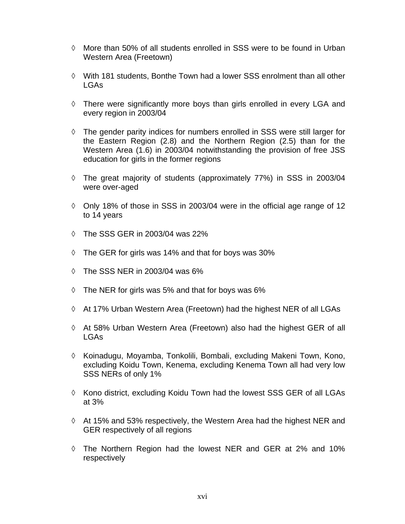- $\Diamond$  More than 50% of all students enrolled in SSS were to be found in Urban Western Area (Freetown)
- ◊ With 181 students, Bonthe Town had a lower SSS enrolment than all other LGAs
- ◊ There were significantly more boys than girls enrolled in every LGA and every region in 2003/04
- ◊ The gender parity indices for numbers enrolled in SSS were still larger for the Eastern Region (2.8) and the Northern Region (2.5) than for the Western Area (1.6) in 2003/04 notwithstanding the provision of free JSS education for girls in the former regions
- ◊ The great majority of students (approximately 77%) in SSS in 2003/04 were over-aged
- ◊ Only 18% of those in SSS in 2003/04 were in the official age range of 12 to 14 years
- ◊ The SSS GER in 2003/04 was 22%
- ◊ The GER for girls was 14% and that for boys was 30%
- ◊ The SSS NER in 2003/04 was 6%
- ◊ The NER for girls was 5% and that for boys was 6%
- ◊ At 17% Urban Western Area (Freetown) had the highest NER of all LGAs
- ◊ At 58% Urban Western Area (Freetown) also had the highest GER of all LGAs
- ◊ Koinadugu, Moyamba, Tonkolili, Bombali, excluding Makeni Town, Kono, excluding Koidu Town, Kenema, excluding Kenema Town all had very low SSS NERs of only 1%
- ◊ Kono district, excluding Koidu Town had the lowest SSS GER of all LGAs at 3%
- ◊ At 15% and 53% respectively, the Western Area had the highest NER and GER respectively of all regions
- ◊ The Northern Region had the lowest NER and GER at 2% and 10% respectively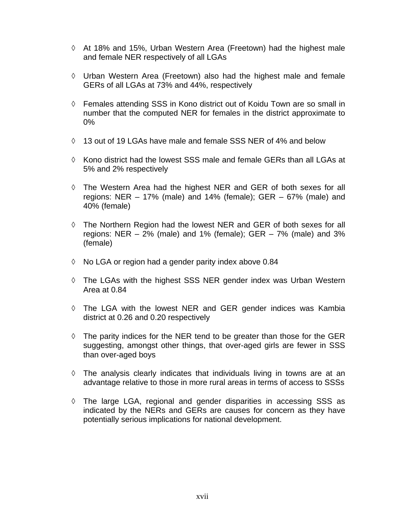- ◊ At 18% and 15%, Urban Western Area (Freetown) had the highest male and female NER respectively of all LGAs
- ◊ Urban Western Area (Freetown) also had the highest male and female GERs of all LGAs at 73% and 44%, respectively
- ◊ Females attending SSS in Kono district out of Koidu Town are so small in number that the computed NER for females in the district approximate to 0%
- $\Diamond$  13 out of 19 LGAs have male and female SSS NER of 4% and below
- $\Diamond$  Kono district had the lowest SSS male and female GERs than all LGAs at 5% and 2% respectively
- ◊ The Western Area had the highest NER and GER of both sexes for all regions: NER – 17% (male) and 14% (female); GER – 67% (male) and 40% (female)
- ◊ The Northern Region had the lowest NER and GER of both sexes for all regions: NER  $-2\%$  (male) and 1% (female); GER  $-7\%$  (male) and 3% (female)
- ◊ No LGA or region had a gender parity index above 0.84
- ◊ The LGAs with the highest SSS NER gender index was Urban Western Area at 0.84
- ◊ The LGA with the lowest NER and GER gender indices was Kambia district at 0.26 and 0.20 respectively
- ◊ The parity indices for the NER tend to be greater than those for the GER suggesting, amongst other things, that over-aged girls are fewer in SSS than over-aged boys
- $\Diamond$  The analysis clearly indicates that individuals living in towns are at an advantage relative to those in more rural areas in terms of access to SSSs
- ◊ The large LGA, regional and gender disparities in accessing SSS as indicated by the NERs and GERs are causes for concern as they have potentially serious implications for national development.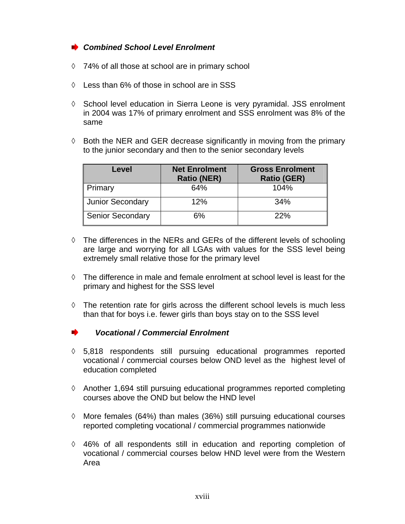#### *Combined School Level Enrolment*

- ◊ 74% of all those at school are in primary school
- ◊ Less than 6% of those in school are in SSS
- ◊ School level education in Sierra Leone is very pyramidal. JSS enrolment in 2004 was 17% of primary enrolment and SSS enrolment was 8% of the same
- ◊ Both the NER and GER decrease significantly in moving from the primary to the junior secondary and then to the senior secondary levels

| Level                   | <b>Net Enrolment</b><br><b>Ratio (NER)</b> | <b>Gross Enrolment</b><br><b>Ratio (GER)</b> |
|-------------------------|--------------------------------------------|----------------------------------------------|
| Primary                 | 64%                                        | 104%                                         |
| <b>Junior Secondary</b> | 12%                                        | 34%                                          |
| <b>Senior Secondary</b> | 6%                                         | 22%                                          |

- ◊ The differences in the NERs and GERs of the different levels of schooling are large and worrying for all LGAs with values for the SSS level being extremely small relative those for the primary level
- $\Diamond$  The difference in male and female enrolment at school level is least for the primary and highest for the SSS level
- ◊ The retention rate for girls across the different school levels is much less than that for boys i.e. fewer girls than boys stay on to the SSS level
- *Vocational / Commercial Enrolment*
- $\Diamond$  5,818 respondents still pursuing educational programmes reported vocational / commercial courses below OND level as the highest level of education completed
- ◊ Another 1,694 still pursuing educational programmes reported completing courses above the OND but below the HND level
- ◊ More females (64%) than males (36%) still pursuing educational courses reported completing vocational / commercial programmes nationwide
- ◊ 46% of all respondents still in education and reporting completion of vocational / commercial courses below HND level were from the Western Area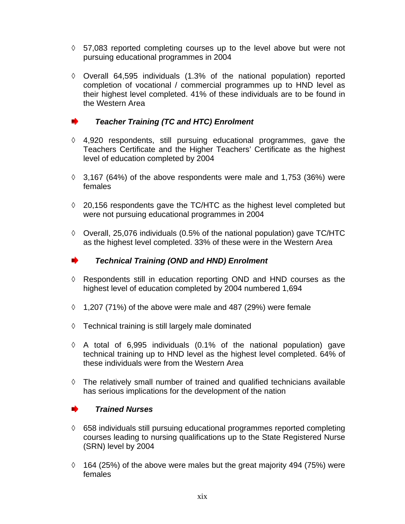- ◊ 57,083 reported completing courses up to the level above but were not pursuing educational programmes in 2004
- ◊ Overall 64,595 individuals (1.3% of the national population) reported completion of vocational / commercial programmes up to HND level as their highest level completed. 41% of these individuals are to be found in the Western Area

#### *Teacher Training (TC and HTC) Enrolment*

- ◊ 4,920 respondents, still pursuing educational programmes, gave the Teachers Certificate and the Higher Teachers' Certificate as the highest level of education completed by 2004
- $\lozenge$  3,167 (64%) of the above respondents were male and 1,753 (36%) were females
- ◊ 20,156 respondents gave the TC/HTC as the highest level completed but were not pursuing educational programmes in 2004
- ◊ Overall, 25,076 individuals (0.5% of the national population) gave TC/HTC as the highest level completed. 33% of these were in the Western Area

#### – ⊾ *Technical Training (OND and HND) Enrolment*

- ◊ Respondents still in education reporting OND and HND courses as the highest level of education completed by 2004 numbered 1,694
- $\lozenge$  1,207 (71%) of the above were male and 487 (29%) were female
- ◊ Technical training is still largely male dominated
- $\Diamond$  A total of 6,995 individuals (0.1% of the national population) gave technical training up to HND level as the highest level completed. 64% of these individuals were from the Western Area
- ◊ The relatively small number of trained and qualified technicians available has serious implications for the development of the nation

#### *Trained Nurses*

- ◊ 658 individuals still pursuing educational programmes reported completing courses leading to nursing qualifications up to the State Registered Nurse (SRN) level by 2004
- $\lozenge$  164 (25%) of the above were males but the great majority 494 (75%) were females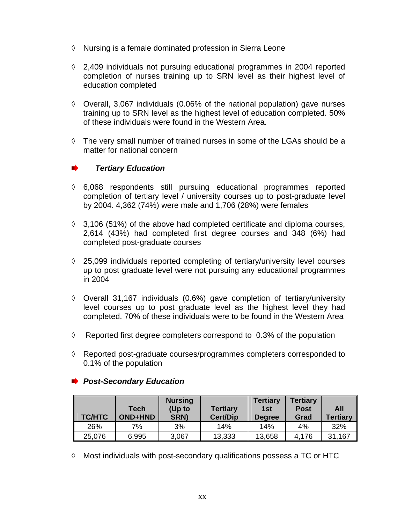- ◊ Nursing is a female dominated profession in Sierra Leone
- ◊ 2,409 individuals not pursuing educational programmes in 2004 reported completion of nurses training up to SRN level as their highest level of education completed
- ◊ Overall, 3,067 individuals (0.06% of the national population) gave nurses training up to SRN level as the highest level of education completed. 50% of these individuals were found in the Western Area.
- $\Diamond$  The very small number of trained nurses in some of the LGAs should be a matter for national concern

#### *Tertiary Education*

- $\Diamond$  6,068 respondents still pursuing educational programmes reported completion of tertiary level / university courses up to post-graduate level by 2004. 4,362 (74%) were male and 1,706 (28%) were females
- $\lozenge$  3,106 (51%) of the above had completed certificate and diploma courses, 2,614 (43%) had completed first degree courses and 348 (6%) had completed post-graduate courses
- $\Diamond$  25,099 individuals reported completing of tertiary/university level courses up to post graduate level were not pursuing any educational programmes in 2004
- ◊ Overall 31,167 individuals (0.6%) gave completion of tertiary/university level courses up to post graduate level as the highest level they had completed. 70% of these individuals were to be found in the Western Area
- ◊ Reported first degree completers correspond to 0.3% of the population
- ◊ Reported post-graduate courses/programmes completers corresponded to 0.1% of the population

#### *Post-Secondary Education*

| <b>TC/HTC</b> | Tech<br><b>OND+HND</b> | <b>Nursing</b><br>(Up to<br>SRN) | <b>Tertiary</b><br><b>Cert/Dip</b> | <b>Tertiary</b><br>1st<br><b>Degree</b> | <b>Tertiary</b><br><b>Post</b><br>Grad | All<br><b>Tertiary</b> |
|---------------|------------------------|----------------------------------|------------------------------------|-----------------------------------------|----------------------------------------|------------------------|
| 26%           | 7%                     | 3%                               | 14%                                | 14%                                     | 4%                                     | 32%                    |
| 25,076        | 6,995                  | 3,067                            | 13,333                             | 13,658                                  | 4,176                                  | 31,167                 |

◊ Most individuals with post-secondary qualifications possess a TC or HTC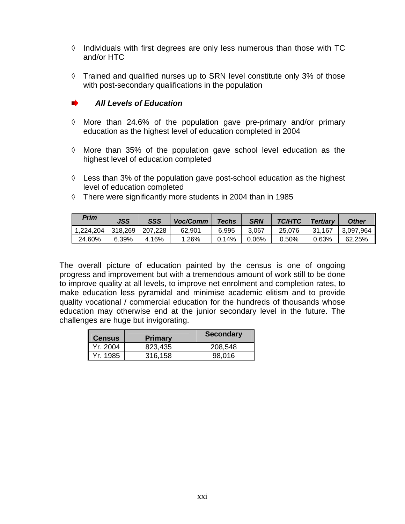- ◊ Individuals with first degrees are only less numerous than those with TC and/or HTC
- ◊ Trained and qualified nurses up to SRN level constitute only 3% of those with post-secondary qualifications in the population

#### *All Levels of Education*

- ◊ More than 24.6% of the population gave pre-primary and/or primary education as the highest level of education completed in 2004
- ◊ More than 35% of the population gave school level education as the highest level of education completed
- $\Diamond$  Less than 3% of the population gave post-school education as the highest level of education completed
- ◊ There were significantly more students in 2004 than in 1985

| Prim                | <b>JSS</b> | SSS     | Voc/Comm | <b>Techs</b> | <b>SRN</b> | TC/HTC | <b>Tertiarv</b> | Other       |
|---------------------|------------|---------|----------|--------------|------------|--------|-----------------|-------------|
| ⊢1.224.204丨318.269丨 |            | 207.228 | 62.901   | 6,995        | 3.067      | 25.076 | 31.167          | Ⅰ 3.097.964 |
| 24.60%              | 6.39%      | 4.16%   | .26%     | 0.14%        | 0.06%      | 0.50%  | 0.63%           | 62.25%      |

The overall picture of education painted by the census is one of ongoing progress and improvement but with a tremendous amount of work still to be done to improve quality at all levels, to improve net enrolment and completion rates, to make education less pyramidal and minimise academic elitism and to provide quality vocational / commercial education for the hundreds of thousands whose education may otherwise end at the junior secondary level in the future. The challenges are huge but invigorating.

| <b>Census</b> | <b>Primary</b> | <b>Secondary</b> |
|---------------|----------------|------------------|
| Yr. 2004      | 823,435        | 208,548          |
| Yr. 1985      | 316.158        | 98.016           |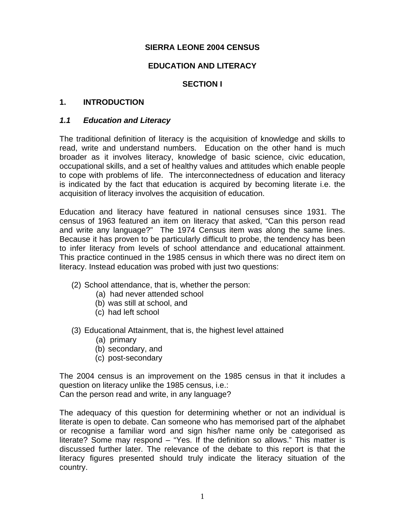#### **SIERRA LEONE 2004 CENSUS**

#### **EDUCATION AND LITERACY**

#### **SECTION I**

#### **1. INTRODUCTION**

#### *1.1 Education and Literacy*

The traditional definition of literacy is the acquisition of knowledge and skills to read, write and understand numbers. Education on the other hand is much broader as it involves literacy, knowledge of basic science, civic education, occupational skills, and a set of healthy values and attitudes which enable people to cope with problems of life. The interconnectedness of education and literacy is indicated by the fact that education is acquired by becoming literate i.e. the acquisition of literacy involves the acquisition of education.

Education and literacy have featured in national censuses since 1931. The census of 1963 featured an item on literacy that asked, "Can this person read and write any language?" The 1974 Census item was along the same lines. Because it has proven to be particularly difficult to probe, the tendency has been to infer literacy from levels of school attendance and educational attainment. This practice continued in the 1985 census in which there was no direct item on literacy. Instead education was probed with just two questions:

- (2) School attendance, that is, whether the person:
	- (a) had never attended school
	- (b) was still at school, and
	- (c) had left school
- (3) Educational Attainment, that is, the highest level attained
	- (a) primary
	- (b) secondary, and
	- (c) post-secondary

The 2004 census is an improvement on the 1985 census in that it includes a question on literacy unlike the 1985 census, i.e.: Can the person read and write, in any language?

The adequacy of this question for determining whether or not an individual is literate is open to debate. Can someone who has memorised part of the alphabet or recognise a familiar word and sign his/her name only be categorised as literate? Some may respond – "Yes. If the definition so allows." This matter is discussed further later. The relevance of the debate to this report is that the literacy figures presented should truly indicate the literacy situation of the country.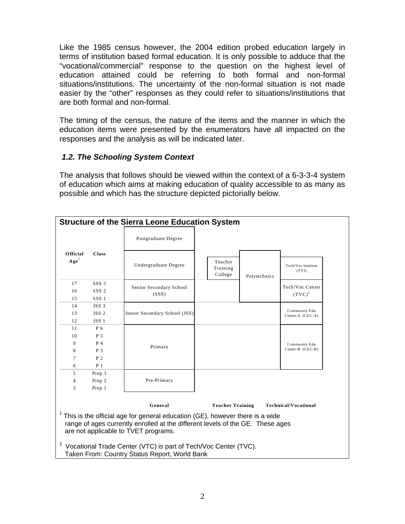Like the 1985 census however, the 2004 edition probed education largely in terms of institution based formal education. It is only possible to adduce that the "vocational/commercial" response to the question on the highest level of education attained could be referring to both formal and non-formal situations/institutions. The uncertainty of the non-formal situation is not made easier by the "other" responses as they could refer to situations/institutions that are both formal and non-formal.

The timing of the census, the nature of the items and the manner in which the education items were presented by the enumerators have all impacted on the responses and the analysis as will be indicated later.

#### *1.2. The Schooling System Context*

The analysis that follows should be viewed within the context of a 6-3-3-4 system of education which aims at making education of quality accessible to as many as possible and which has the structure depicted pictorially below.

| <b>Structure of the Sierra Leone Education System</b> |                  |                                                                                                                                                                                                        |                                |              |                                   |  |  |
|-------------------------------------------------------|------------------|--------------------------------------------------------------------------------------------------------------------------------------------------------------------------------------------------------|--------------------------------|--------------|-----------------------------------|--|--|
|                                                       |                  | Postgraduate Degree                                                                                                                                                                                    |                                |              |                                   |  |  |
| Official<br>Age <sup>1</sup>                          | <b>Class</b>     | Undergraduate Degree                                                                                                                                                                                   | Teacher<br>Training<br>College | Polytechnics | Tech/Voc Institute<br>(TVI)       |  |  |
| 17                                                    | SSS 3            |                                                                                                                                                                                                        |                                |              | Tech/Voc Center                   |  |  |
| 16                                                    | SSS <sub>2</sub> | Senior Secondary School<br>(SSS)                                                                                                                                                                       |                                |              | $(TVC)^2$                         |  |  |
| 1.5                                                   | SSS1             |                                                                                                                                                                                                        |                                |              |                                   |  |  |
| 14                                                    | JSS <sub>3</sub> |                                                                                                                                                                                                        |                                |              |                                   |  |  |
| 13                                                    | JSS <sub>2</sub> | Junior Secondary School (JSS)                                                                                                                                                                          |                                |              | Community Edu<br>Center-A (CEC-A) |  |  |
| 12                                                    | JSS <sub>1</sub> |                                                                                                                                                                                                        |                                |              |                                   |  |  |
| 11                                                    | P 6              |                                                                                                                                                                                                        |                                |              |                                   |  |  |
| 10                                                    | P 5              |                                                                                                                                                                                                        |                                |              |                                   |  |  |
| 9                                                     | P 4              | Primary                                                                                                                                                                                                |                                |              | Community Edu<br>Center-B (CEC-B) |  |  |
| 8                                                     | P 3              |                                                                                                                                                                                                        |                                |              |                                   |  |  |
| 7                                                     | P <sub>2</sub>   |                                                                                                                                                                                                        |                                |              |                                   |  |  |
| 6                                                     | $P_1$            |                                                                                                                                                                                                        |                                |              |                                   |  |  |
| 5<br>4                                                | Prep 3<br>Prep 2 | Pre-Primary                                                                                                                                                                                            |                                |              |                                   |  |  |
| 3                                                     | Prep 1           |                                                                                                                                                                                                        |                                |              |                                   |  |  |
|                                                       |                  |                                                                                                                                                                                                        |                                |              |                                   |  |  |
|                                                       |                  | General                                                                                                                                                                                                | <b>Teacher Training</b>        |              | <b>Technical/Vocational</b>       |  |  |
|                                                       |                  | This is the official age for general education (GE), however there is a wide<br>range of ages currently enrolled at the different levels of the GE. These ages<br>are not applicable to TVET programs. |                                |              |                                   |  |  |
| $\overline{a}$                                        |                  | Vocational Trade Center (VTC) is part of Tech/Voc Center (TVC).<br>Taken From: Country Status Report, World Bank                                                                                       |                                |              |                                   |  |  |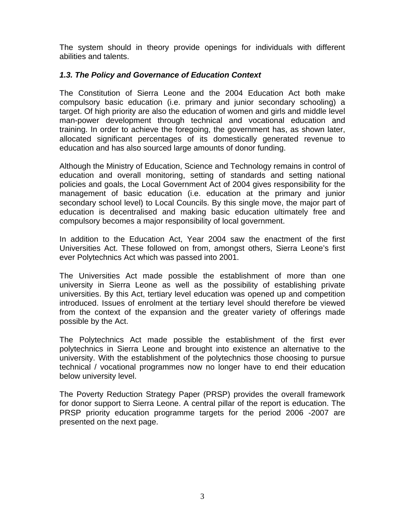The system should in theory provide openings for individuals with different abilities and talents.

#### *1.3. The Policy and Governance of Education Context*

The Constitution of Sierra Leone and the 2004 Education Act both make compulsory basic education (i.e. primary and junior secondary schooling) a target. Of high priority are also the education of women and girls and middle level man-power development through technical and vocational education and training. In order to achieve the foregoing, the government has, as shown later, allocated significant percentages of its domestically generated revenue to education and has also sourced large amounts of donor funding.

Although the Ministry of Education, Science and Technology remains in control of education and overall monitoring, setting of standards and setting national policies and goals, the Local Government Act of 2004 gives responsibility for the management of basic education (i.e. education at the primary and junior secondary school level) to Local Councils. By this single move, the major part of education is decentralised and making basic education ultimately free and compulsory becomes a major responsibility of local government.

In addition to the Education Act, Year 2004 saw the enactment of the first Universities Act. These followed on from, amongst others, Sierra Leone's first ever Polytechnics Act which was passed into 2001.

The Universities Act made possible the establishment of more than one university in Sierra Leone as well as the possibility of establishing private universities. By this Act, tertiary level education was opened up and competition introduced. Issues of enrolment at the tertiary level should therefore be viewed from the context of the expansion and the greater variety of offerings made possible by the Act.

The Polytechnics Act made possible the establishment of the first ever polytechnics in Sierra Leone and brought into existence an alternative to the university. With the establishment of the polytechnics those choosing to pursue technical / vocational programmes now no longer have to end their education below university level.

The Poverty Reduction Strategy Paper (PRSP) provides the overall framework for donor support to Sierra Leone. A central pillar of the report is education. The PRSP priority education programme targets for the period 2006 -2007 are presented on the next page.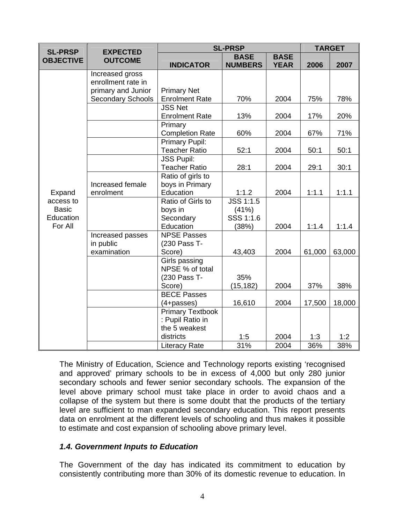| <b>SL-PRSP</b>   | <b>EXPECTED</b>                       |                         | <b>SL-PRSP</b>   |             | <b>TARGET</b> |        |
|------------------|---------------------------------------|-------------------------|------------------|-------------|---------------|--------|
| <b>OBJECTIVE</b> | <b>OUTCOME</b>                        |                         | <b>BASE</b>      | <b>BASE</b> |               |        |
|                  |                                       | <b>INDICATOR</b>        | <b>NUMBERS</b>   | <b>YEAR</b> | 2006          | 2007   |
|                  | Increased gross<br>enrollment rate in |                         |                  |             |               |        |
|                  | primary and Junior                    | <b>Primary Net</b>      |                  |             |               |        |
|                  | <b>Secondary Schools</b>              | <b>Enrolment Rate</b>   | 70%              | 2004        | 75%           | 78%    |
|                  |                                       | <b>JSS Net</b>          |                  |             |               |        |
|                  |                                       | <b>Enrolment Rate</b>   | 13%              | 2004        | 17%           | 20%    |
|                  |                                       | Primary                 |                  |             |               |        |
|                  |                                       | <b>Completion Rate</b>  | 60%              | 2004        | 67%           | 71%    |
|                  |                                       | <b>Primary Pupil:</b>   |                  |             |               |        |
|                  |                                       | <b>Teacher Ratio</b>    | 52:1             | 2004        | 50:1          | 50:1   |
|                  |                                       | <b>JSS Pupil:</b>       |                  |             |               |        |
|                  |                                       | <b>Teacher Ratio</b>    | 28:1             | 2004        | 29:1          | 30:1   |
|                  |                                       | Ratio of girls to       |                  |             |               |        |
|                  | Increased female                      | boys in Primary         |                  |             |               |        |
| Expand           | enrolment                             | Education               | 1:1.2            | 2004        | 1:1.1         | 1:1.1  |
| access to        |                                       | Ratio of Girls to       | <b>JSS 1:1.5</b> |             |               |        |
| <b>Basic</b>     |                                       | boys in                 | (41%)            |             |               |        |
| Education        |                                       | Secondary               | SSS 1:1.6        |             |               |        |
| For All          |                                       | Education               | (38%)            | 2004        | 1:1.4         | 1:1.4  |
|                  | Increased passes                      | <b>NPSE Passes</b>      |                  |             |               |        |
|                  | in public                             | (230 Pass T-            |                  |             |               |        |
|                  | examination                           | Score)                  | 43,403           | 2004        | 61,000        | 63,000 |
|                  |                                       | Girls passing           |                  |             |               |        |
|                  |                                       | NPSE % of total         |                  |             |               |        |
|                  |                                       | (230 Pass T-            | 35%              |             |               |        |
|                  |                                       | Score)                  | (15, 182)        | 2004        | 37%           | 38%    |
|                  |                                       | <b>BECE Passes</b>      |                  |             |               |        |
|                  |                                       | $(4 + passes)$          | 16,610           | 2004        | 17,500        | 18,000 |
|                  |                                       | <b>Primary Textbook</b> |                  |             |               |        |
|                  |                                       | : Pupil Ratio in        |                  |             |               |        |
|                  |                                       | the 5 weakest           |                  |             |               |        |
|                  |                                       | districts               | 1:5              | 2004        | 1:3           | 1:2    |
|                  |                                       | <b>Literacy Rate</b>    | 31%              | 2004        | 36%           | 38%    |

The Ministry of Education, Science and Technology reports existing 'recognised and approved' primary schools to be in excess of 4,000 but only 280 junior secondary schools and fewer senior secondary schools. The expansion of the level above primary school must take place in order to avoid chaos and a collapse of the system but there is some doubt that the products of the tertiary level are sufficient to man expanded secondary education. This report presents data on enrolment at the different levels of schooling and thus makes it possible to estimate and cost expansion of schooling above primary level.

#### *1.4. Government Inputs to Education*

The Government of the day has indicated its commitment to education by consistently contributing more than 30% of its domestic revenue to education. In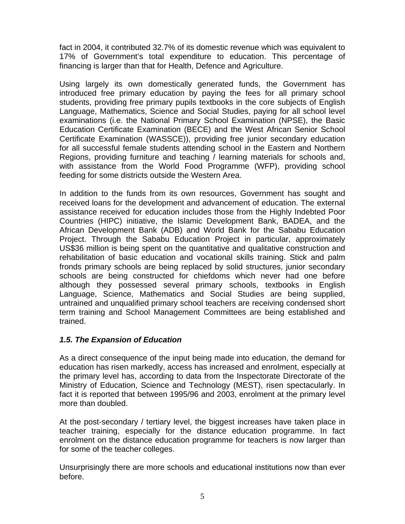fact in 2004, it contributed 32.7% of its domestic revenue which was equivalent to 17% of Government's total expenditure to education. This percentage of financing is larger than that for Health, Defence and Agriculture.

Using largely its own domestically generated funds, the Government has introduced free primary education by paying the fees for all primary school students, providing free primary pupils textbooks in the core subjects of English Language, Mathematics, Science and Social Studies, paying for all school level examinations (i.e. the National Primary School Examination (NPSE), the Basic Education Certificate Examination (BECE) and the West African Senior School Certificate Examination (WASSCE)), providing free junior secondary education for all successful female students attending school in the Eastern and Northern Regions, providing furniture and teaching / learning materials for schools and, with assistance from the World Food Programme (WFP), providing school feeding for some districts outside the Western Area.

In addition to the funds from its own resources, Government has sought and received loans for the development and advancement of education. The external assistance received for education includes those from the Highly Indebted Poor Countries (HIPC) initiative, the Islamic Development Bank, BADEA, and the African Development Bank (ADB) and World Bank for the Sababu Education Project. Through the Sababu Education Project in particular, approximately US\$36 million is being spent on the quantitative and qualitative construction and rehabilitation of basic education and vocational skills training. Stick and palm fronds primary schools are being replaced by solid structures, junior secondary schools are being constructed for chiefdoms which never had one before although they possessed several primary schools, textbooks in English Language, Science, Mathematics and Social Studies are being supplied, untrained and unqualified primary school teachers are receiving condensed short term training and School Management Committees are being established and trained.

#### *1.5. The Expansion of Education*

As a direct consequence of the input being made into education, the demand for education has risen markedly, access has increased and enrolment, especially at the primary level has, according to data from the Inspectorate Directorate of the Ministry of Education, Science and Technology (MEST), risen spectacularly. In fact it is reported that between 1995/96 and 2003, enrolment at the primary level more than doubled.

At the post-secondary / tertiary level, the biggest increases have taken place in teacher training, especially for the distance education programme. In fact enrolment on the distance education programme for teachers is now larger than for some of the teacher colleges.

Unsurprisingly there are more schools and educational institutions now than ever before.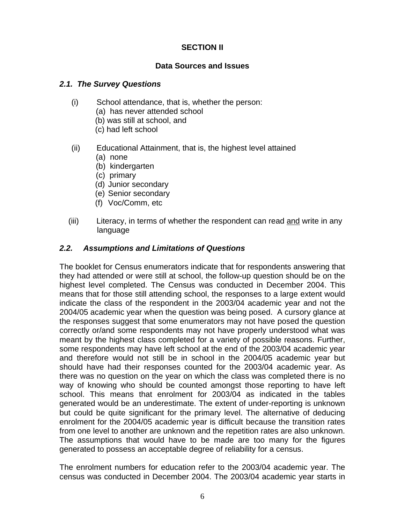#### **SECTION II**

#### **Data Sources and Issues**

#### *2.1. The Survey Questions*

- (i) School attendance, that is, whether the person:
	- (a) has never attended school
	- (b) was still at school, and
	- (c) had left school
- (ii) Educational Attainment, that is, the highest level attained
	- (a) none
	- (b) kindergarten
	- (c) primary
	- (d) Junior secondary
	- (e) Senior secondary
	- (f) Voc/Comm, etc
- (iii) Literacy, in terms of whether the respondent can read and write in any language

#### *2.2. Assumptions and Limitations of Questions*

The booklet for Census enumerators indicate that for respondents answering that they had attended or were still at school, the follow-up question should be on the highest level completed. The Census was conducted in December 2004. This means that for those still attending school, the responses to a large extent would indicate the class of the respondent in the 2003/04 academic year and not the 2004/05 academic year when the question was being posed. A cursory glance at the responses suggest that some enumerators may not have posed the question correctly or/and some respondents may not have properly understood what was meant by the highest class completed for a variety of possible reasons. Further, some respondents may have left school at the end of the 2003/04 academic year and therefore would not still be in school in the 2004/05 academic year but should have had their responses counted for the 2003/04 academic year. As there was no question on the year on which the class was completed there is no way of knowing who should be counted amongst those reporting to have left school. This means that enrolment for 2003/04 as indicated in the tables generated would be an underestimate. The extent of under-reporting is unknown but could be quite significant for the primary level. The alternative of deducing enrolment for the 2004/05 academic year is difficult because the transition rates from one level to another are unknown and the repetition rates are also unknown. The assumptions that would have to be made are too many for the figures generated to possess an acceptable degree of reliability for a census.

The enrolment numbers for education refer to the 2003/04 academic year. The census was conducted in December 2004. The 2003/04 academic year starts in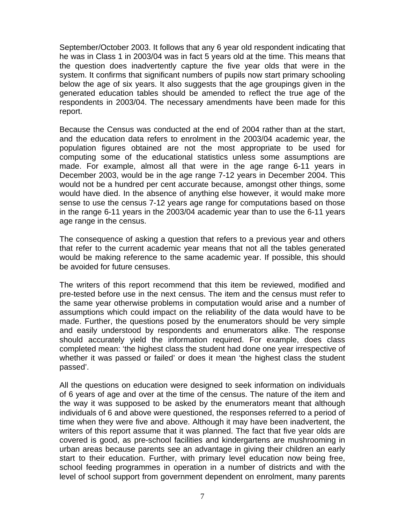September/October 2003. It follows that any 6 year old respondent indicating that he was in Class 1 in 2003/04 was in fact 5 years old at the time. This means that the question does inadvertently capture the five year olds that were in the system. It confirms that significant numbers of pupils now start primary schooling below the age of six years. It also suggests that the age groupings given in the generated education tables should be amended to reflect the true age of the respondents in 2003/04. The necessary amendments have been made for this report.

Because the Census was conducted at the end of 2004 rather than at the start, and the education data refers to enrolment in the 2003/04 academic year, the population figures obtained are not the most appropriate to be used for computing some of the educational statistics unless some assumptions are made. For example, almost all that were in the age range 6-11 years in December 2003, would be in the age range 7-12 years in December 2004. This would not be a hundred per cent accurate because, amongst other things, some would have died. In the absence of anything else however, it would make more sense to use the census 7-12 years age range for computations based on those in the range 6-11 years in the 2003/04 academic year than to use the 6-11 years age range in the census.

The consequence of asking a question that refers to a previous year and others that refer to the current academic year means that not all the tables generated would be making reference to the same academic year. If possible, this should be avoided for future censuses.

The writers of this report recommend that this item be reviewed, modified and pre-tested before use in the next census. The item and the census must refer to the same year otherwise problems in computation would arise and a number of assumptions which could impact on the reliability of the data would have to be made. Further, the questions posed by the enumerators should be very simple and easily understood by respondents and enumerators alike. The response should accurately yield the information required. For example, does class completed mean: 'the highest class the student had done one year irrespective of whether it was passed or failed' or does it mean 'the highest class the student passed'.

All the questions on education were designed to seek information on individuals of 6 years of age and over at the time of the census. The nature of the item and the way it was supposed to be asked by the enumerators meant that although individuals of 6 and above were questioned, the responses referred to a period of time when they were five and above. Although it may have been inadvertent, the writers of this report assume that it was planned. The fact that five year olds are covered is good, as pre-school facilities and kindergartens are mushrooming in urban areas because parents see an advantage in giving their children an early start to their education. Further, with primary level education now being free, school feeding programmes in operation in a number of districts and with the level of school support from government dependent on enrolment, many parents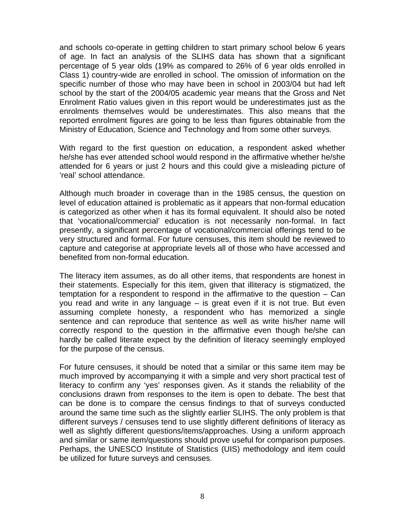and schools co-operate in getting children to start primary school below 6 years of age. In fact an analysis of the SLIHS data has shown that a significant percentage of 5 year olds (19% as compared to 26% of 6 year olds enrolled in Class 1) country-wide are enrolled in school. The omission of information on the specific number of those who may have been in school in 2003/04 but had left school by the start of the 2004/05 academic year means that the Gross and Net Enrolment Ratio values given in this report would be underestimates just as the enrolments themselves would be underestimates. This also means that the reported enrolment figures are going to be less than figures obtainable from the Ministry of Education, Science and Technology and from some other surveys.

With regard to the first question on education, a respondent asked whether he/she has ever attended school would respond in the affirmative whether he/she attended for 6 years or just 2 hours and this could give a misleading picture of 'real' school attendance.

Although much broader in coverage than in the 1985 census, the question on level of education attained is problematic as it appears that non-formal education is categorized as other when it has its formal equivalent. It should also be noted that 'vocational/commercial' education is not necessarily non-formal. In fact presently, a significant percentage of vocational/commercial offerings tend to be very structured and formal. For future censuses, this item should be reviewed to capture and categorise at appropriate levels all of those who have accessed and benefited from non-formal education.

The literacy item assumes, as do all other items, that respondents are honest in their statements. Especially for this item, given that illiteracy is stigmatized, the temptation for a respondent to respond in the affirmative to the question – Can you read and write in any language – is great even if it is not true. But even assuming complete honesty, a respondent who has memorized a single sentence and can reproduce that sentence as well as write his/her name will correctly respond to the question in the affirmative even though he/she can hardly be called literate expect by the definition of literacy seemingly employed for the purpose of the census.

For future censuses, it should be noted that a similar or this same item may be much improved by accompanying it with a simple and very short practical test of literacy to confirm any 'yes' responses given. As it stands the reliability of the conclusions drawn from responses to the item is open to debate. The best that can be done is to compare the census findings to that of surveys conducted around the same time such as the slightly earlier SLIHS. The only problem is that different surveys / censuses tend to use slightly different definitions of literacy as well as slightly different questions/items/approaches. Using a uniform approach and similar or same item/questions should prove useful for comparison purposes. Perhaps, the UNESCO Institute of Statistics (UIS) methodology and item could be utilized for future surveys and censuses.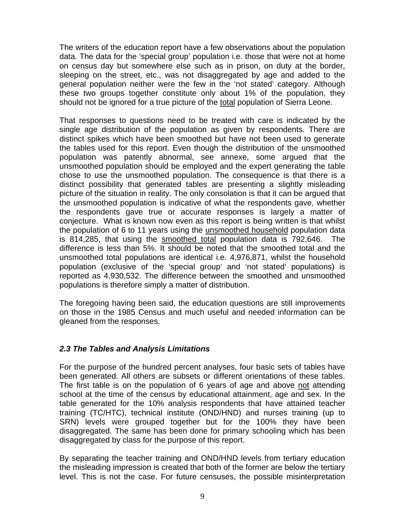The writers of the education report have a few observations about the population data. The data for the 'special group' population i.e. those that were not at home on census day but somewhere else such as in prison, on duty at the border, sleeping on the street, etc., was not disaggregated by age and added to the general population neither were the few in the 'not stated' category. Although these two groups together constitute only about 1% of the population, they should not be ignored for a true picture of the total population of Sierra Leone.

That responses to questions need to be treated with care is indicated by the single age distribution of the population as given by respondents. There are distinct spikes which have been smoothed but have not been used to generate the tables used for this report. Even though the distribution of the unsmoothed population was patently abnormal, see annexe, some argued that the unsmoothed population should be employed and the expert generating the table chose to use the unsmoothed population. The consequence is that there is a distinct possibility that generated tables are presenting a slightly misleading picture of the situation in reality. The only consolation is that it can be argued that the unsmoothed population is indicative of what the respondents gave, whether the respondents gave true or accurate responses is largely a matter of conjecture. What is known now even as this report is being written is that whilst the population of 6 to 11 years using the unsmoothed household population data is 814,285, that using the smoothed total population data is 792,646. The difference is less than 5%. It should be noted that the smoothed total and the unsmoothed total populations are identical i.e. 4,976,871, whilst the household population (exclusive of the 'special group' and 'not stated' populations) is reported as 4,930,532. The difference between the smoothed and unsmoothed populations is therefore simply a matter of distribution.

The foregoing having been said, the education questions are still improvements on those in the 1985 Census and much useful and needed information can be gleaned from the responses.

#### *2.3 The Tables and Analysis Limitations*

For the purpose of the hundred percent analyses, four basic sets of tables have been generated. All others are subsets or different orientations of these tables. The first table is on the population of 6 years of age and above not attending school at the time of the census by educational attainment, age and sex. In the table generated for the 10% analysis respondents that have attained teacher training (TC/HTC), technical institute (OND/HND) and nurses training (up to SRN) levels were grouped together but for the 100% they have been disaggregated. The same has been done for primary schooling which has been disaggregated by class for the purpose of this report.

By separating the teacher training and OND/HND levels from tertiary education the misleading impression is created that both of the former are below the tertiary level. This is not the case. For future censuses, the possible misinterpretation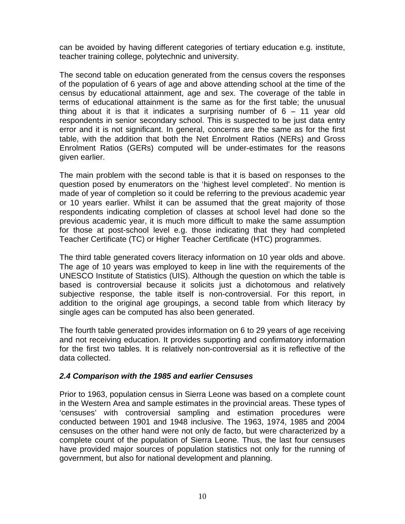can be avoided by having different categories of tertiary education e.g. institute, teacher training college, polytechnic and university.

The second table on education generated from the census covers the responses of the population of 6 years of age and above attending school at the time of the census by educational attainment, age and sex. The coverage of the table in terms of educational attainment is the same as for the first table; the unusual thing about it is that it indicates a surprising number of  $6 - 11$  year old respondents in senior secondary school. This is suspected to be just data entry error and it is not significant. In general, concerns are the same as for the first table, with the addition that both the Net Enrolment Ratios (NERs) and Gross Enrolment Ratios (GERs) computed will be under-estimates for the reasons given earlier.

The main problem with the second table is that it is based on responses to the question posed by enumerators on the 'highest level completed'. No mention is made of year of completion so it could be referring to the previous academic year or 10 years earlier. Whilst it can be assumed that the great majority of those respondents indicating completion of classes at school level had done so the previous academic year, it is much more difficult to make the same assumption for those at post-school level e.g. those indicating that they had completed Teacher Certificate (TC) or Higher Teacher Certificate (HTC) programmes.

The third table generated covers literacy information on 10 year olds and above. The age of 10 years was employed to keep in line with the requirements of the UNESCO Institute of Statistics (UIS). Although the question on which the table is based is controversial because it solicits just a dichotomous and relatively subjective response, the table itself is non-controversial. For this report, in addition to the original age groupings, a second table from which literacy by single ages can be computed has also been generated.

The fourth table generated provides information on 6 to 29 years of age receiving and not receiving education. It provides supporting and confirmatory information for the first two tables. It is relatively non-controversial as it is reflective of the data collected.

#### *2.4 Comparison with the 1985 and earlier Censuses*

Prior to 1963, population census in Sierra Leone was based on a complete count in the Western Area and sample estimates in the provincial areas. These types of 'censuses' with controversial sampling and estimation procedures were conducted between 1901 and 1948 inclusive. The 1963, 1974, 1985 and 2004 censuses on the other hand were not only de facto, but were characterized by a complete count of the population of Sierra Leone. Thus, the last four censuses have provided major sources of population statistics not only for the running of government, but also for national development and planning.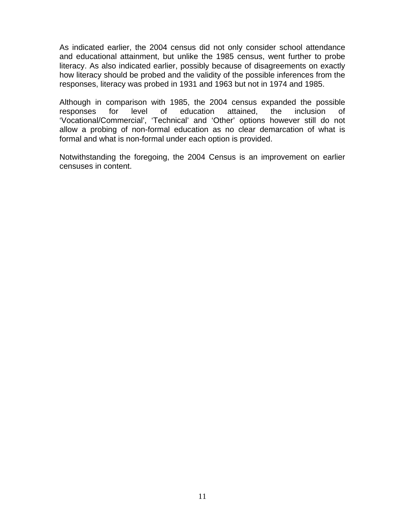As indicated earlier, the 2004 census did not only consider school attendance and educational attainment, but unlike the 1985 census, went further to probe literacy. As also indicated earlier, possibly because of disagreements on exactly how literacy should be probed and the validity of the possible inferences from the responses, literacy was probed in 1931 and 1963 but not in 1974 and 1985.

Although in comparison with 1985, the 2004 census expanded the possible responses for level of education attained, the inclusion of 'Vocational/Commercial', 'Technical' and 'Other' options however still do not allow a probing of non-formal education as no clear demarcation of what is formal and what is non-formal under each option is provided.

Notwithstanding the foregoing, the 2004 Census is an improvement on earlier censuses in content.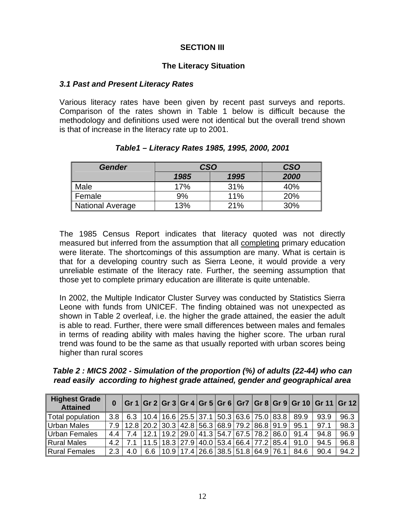#### **SECTION III**

#### **The Literacy Situation**

#### *3.1 Past and Present Literacy Rates*

Various literacy rates have been given by recent past surveys and reports. Comparison of the rates shown in Table 1 below is difficult because the methodology and definitions used were not identical but the overall trend shown is that of increase in the literacy rate up to 2001.

| <b>Gender</b>    | <b>CSO</b> | <b>CSO</b> |      |  |
|------------------|------------|------------|------|--|
|                  | 1985       | 1995       | 2000 |  |
| Male             | 17%        | 31%        | 40%  |  |
| Female           | 9%         | 11%        | 20%  |  |
| National Average | 13%        | 21%        | 30%  |  |

#### *Table1 – Literacy Rates 1985, 1995, 2000, 2001*

The 1985 Census Report indicates that literacy quoted was not directly measured but inferred from the assumption that all completing primary education were literate. The shortcomings of this assumption are many. What is certain is that for a developing country such as Sierra Leone, it would provide a very unreliable estimate of the literacy rate. Further, the seeming assumption that those yet to complete primary education are illiterate is quite untenable.

In 2002, the Multiple Indicator Cluster Survey was conducted by Statistics Sierra Leone with funds from UNICEF. The finding obtained was not unexpected as shown in Table 2 overleaf, i.e. the higher the grade attained, the easier the adult is able to read. Further, there were small differences between males and females in terms of reading ability with males having the higher score. The urban rural trend was found to be the same as that usually reported with urban scores being higher than rural scores

*Table 2 : MICS 2002 - Simulation of the proportion (%) of adults (22-44) who can read easily according to highest grade attained, gender and geographical area* 

| <b>Highest Grade</b><br><b>Attained</b> | $\bf{0}$         |     |                                             |  |  |                                                      |  | Gr 1   Gr 2   Gr 3   Gr 4   Gr 5   Gr 6   Gr7   Gr 8   Gr 9   Gr 10   Gr 11   Gr 12 |      |      |
|-----------------------------------------|------------------|-----|---------------------------------------------|--|--|------------------------------------------------------|--|-------------------------------------------------------------------------------------|------|------|
| Total population                        | 3.8 <sub>1</sub> |     |                                             |  |  |                                                      |  | $6.3$   10.4   16.6   25.5   37.1   50.3   63.6   75.0   83.8   89.9                | 93.9 | 96.3 |
| <b>Urban Males</b>                      |                  |     |                                             |  |  |                                                      |  | 7.9   12.8   20.2   30.3   42.8   56.3   68.9   79.2   86.8   91.9   95.1           | 97.1 | 98.3 |
| <b>Urban Females</b>                    | $4.4 \,$         | 7.4 | $ 12.1 19.2 29.0 41.3 54.7 67.5 78.2 86.0 $ |  |  |                                                      |  | 91.4                                                                                | 94.8 | 96.9 |
| <b>Rural Males</b>                      | 4.2 <sub>1</sub> | 7.1 |                                             |  |  |                                                      |  | $ 11.5 18.3 27.9 40.0 53.4 66.4 77.2 85.4 91.0$                                     | 94.5 | 96.8 |
| <b>Rural Females</b>                    | 2.3              | 4.0 |                                             |  |  | 6.6   10.9   17.4   26.6   38.5   51.8   64.9   76.1 |  | 84.6                                                                                | 90.4 | 94.2 |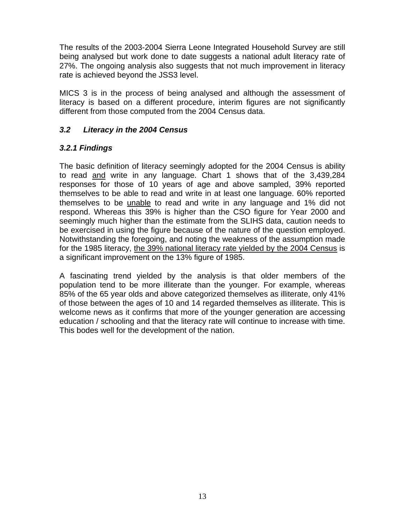The results of the 2003-2004 Sierra Leone Integrated Household Survey are still being analysed but work done to date suggests a national adult literacy rate of 27%. The ongoing analysis also suggests that not much improvement in literacy rate is achieved beyond the JSS3 level.

MICS 3 is in the process of being analysed and although the assessment of literacy is based on a different procedure, interim figures are not significantly different from those computed from the 2004 Census data.

#### *3.2 Literacy in the 2004 Census*

#### *3.2.1 Findings*

The basic definition of literacy seemingly adopted for the 2004 Census is ability to read and write in any language. Chart 1 shows that of the 3,439,284 responses for those of 10 years of age and above sampled, 39% reported themselves to be able to read and write in at least one language. 60% reported themselves to be *unable* to read and write in any language and 1% did not respond. Whereas this 39% is higher than the CSO figure for Year 2000 and seemingly much higher than the estimate from the SLIHS data, caution needs to be exercised in using the figure because of the nature of the question employed. Notwithstanding the foregoing, and noting the weakness of the assumption made for the 1985 literacy, the 39% national literacy rate yielded by the 2004 Census is a significant improvement on the 13% figure of 1985.

A fascinating trend yielded by the analysis is that older members of the population tend to be more illiterate than the younger. For example, whereas 85% of the 65 year olds and above categorized themselves as illiterate, only 41% of those between the ages of 10 and 14 regarded themselves as illiterate. This is welcome news as it confirms that more of the younger generation are accessing education / schooling and that the literacy rate will continue to increase with time. This bodes well for the development of the nation.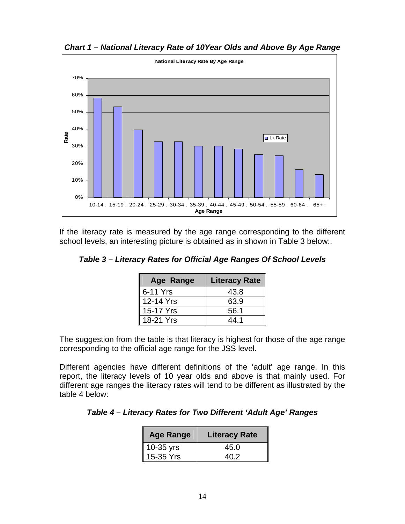

*Chart 1 – National Literacy Rate of 10Year Olds and Above By Age Range* 

If the literacy rate is measured by the age range corresponding to the different school levels, an interesting picture is obtained as in shown in Table 3 below:.

| Table 3 - Literacy Rates for Official Age Ranges Of School Levels |  |  |  |  |
|-------------------------------------------------------------------|--|--|--|--|
|-------------------------------------------------------------------|--|--|--|--|

| Age Range | <b>Literacy Rate</b> |
|-----------|----------------------|
| 6-11 Yrs  | 43.8                 |
| 12-14 Yrs | 63.9                 |
| 15-17 Yrs | 56.1                 |
| 18-21 Yrs | 44 1                 |

The suggestion from the table is that literacy is highest for those of the age range corresponding to the official age range for the JSS level.

Different agencies have different definitions of the 'adult' age range. In this report, the literacy levels of 10 year olds and above is that mainly used. For different age ranges the literacy rates will tend to be different as illustrated by the table 4 below:

*Table 4 – Literacy Rates for Two Different 'Adult Age' Ranges* 

| <b>Age Range</b> | <b>Literacy Rate</b> |
|------------------|----------------------|
| 10-35 yrs        | 45.0                 |
| 15-35 Yrs        | 40.2                 |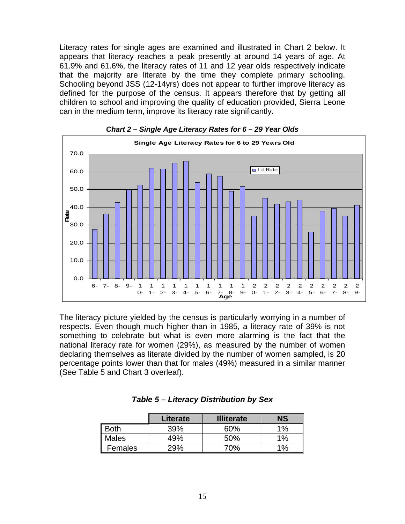Literacy rates for single ages are examined and illustrated in Chart 2 below. It appears that literacy reaches a peak presently at around 14 years of age. At 61.9% and 61.6%, the literacy rates of 11 and 12 year olds respectively indicate that the majority are literate by the time they complete primary schooling. Schooling beyond JSS (12-14yrs) does not appear to further improve literacy as defined for the purpose of the census. It appears therefore that by getting all children to school and improving the quality of education provided, Sierra Leone can in the medium term, improve its literacy rate significantly.





The literacy picture yielded by the census is particularly worrying in a number of respects. Even though much higher than in 1985, a literacy rate of 39% is not something to celebrate but what is even more alarming is the fact that the national literacy rate for women (29%), as measured by the number of women declaring themselves as literate divided by the number of women sampled, is 20 percentage points lower than that for males (49%) measured in a similar manner (See Table 5 and Chart 3 overleaf).

|              | Literate | <b>Illiterate</b> | NS    |
|--------------|----------|-------------------|-------|
| <b>Both</b>  | 39%      | 60%               | $1\%$ |
| <b>Males</b> | 49%      | 50%               | $1\%$ |
| Females      | 29%      | 70%               | $1\%$ |

## *Table 5 – Literacy Distribution by Sex*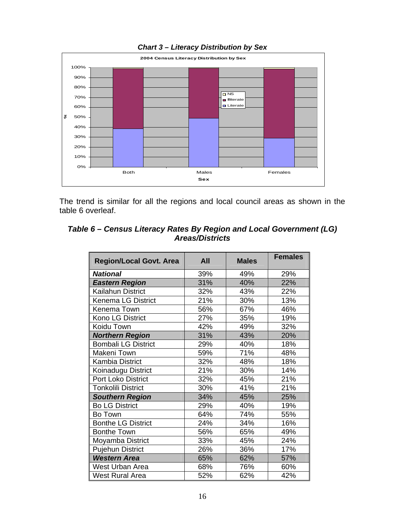

## *Chart 3 – Literacy Distribution by Sex*

The trend is similar for all the regions and local council areas as shown in the table 6 overleaf.

| Table 6 – Census Literacy Rates By Region and Local Government (LG) |
|---------------------------------------------------------------------|
| <b>Areas/Districts</b>                                              |

| <b>Region/Local Govt. Area</b> | <b>All</b> | <b>Males</b> | <b>Females</b> |
|--------------------------------|------------|--------------|----------------|
| <b>National</b>                | 39%        | 49%          | 29%            |
| <b>Eastern Region</b>          | 31%        | 40%          | 22%            |
| Kailahun District              | 32%        | 43%          | 22%            |
| Kenema LG District             | 21%        | 30%          | 13%            |
| Kenema Town                    | 56%        | 67%          | 46%            |
| Kono LG District               | 27%        | 35%          | 19%            |
| Koidu Town                     | 42%        | 49%          | 32%            |
| <b>Northern Region</b>         | 31%        | 43%          | 20%            |
| <b>Bombali LG District</b>     | 29%        | 40%          | 18%            |
| Makeni Town                    | 59%        | 71%          | 48%            |
| <b>Kambia District</b>         | 32%        | 48%          | 18%            |
| Koinadugu District             | 21%        | 30%          | 14%            |
| <b>Port Loko District</b>      | 32%        | 45%          | 21%            |
| <b>Tonkolili District</b>      | 30%        | 41%          | 21%            |
| <b>Southern Region</b>         | 34%        | 45%          | 25%            |
| <b>Bo LG District</b>          | 29%        | 40%          | 19%            |
| Bo Town                        | 64%        | 74%          | 55%            |
| <b>Bonthe LG District</b>      | 24%        | 34%          | 16%            |
| <b>Bonthe Town</b>             | 56%        | 65%          | 49%            |
| Moyamba District               | 33%        | 45%          | 24%            |
| <b>Pujehun District</b>        | 26%        | 36%          | 17%            |
| <b>Western Area</b>            | 65%        | 62%          | 57%            |
| West Urban Area                | 68%        | 76%          | 60%            |
| <b>West Rural Area</b>         | 52%        | 62%          | 42%            |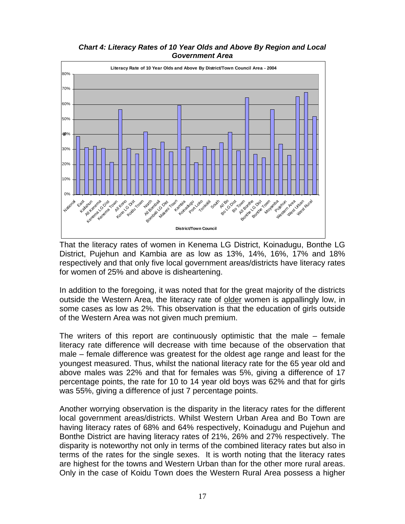*Chart 4: Literacy Rates of 10 Year Olds and Above By Region and Local Government Area* 



That the literacy rates of women in Kenema LG District, Koinadugu, Bonthe LG District, Pujehun and Kambia are as low as 13%, 14%, 16%, 17% and 18% respectively and that only five local government areas/districts have literacy rates for women of 25% and above is disheartening.

In addition to the foregoing, it was noted that for the great majority of the districts outside the Western Area, the literacy rate of older women is appallingly low, in some cases as low as 2%. This observation is that the education of girls outside of the Western Area was not given much premium.

The writers of this report are continuously optimistic that the male – female literacy rate difference will decrease with time because of the observation that male – female difference was greatest for the oldest age range and least for the youngest measured. Thus, whilst the national literacy rate for the 65 year old and above males was 22% and that for females was 5%, giving a difference of 17 percentage points, the rate for 10 to 14 year old boys was 62% and that for girls was 55%, giving a difference of just 7 percentage points.

Another worrying observation is the disparity in the literacy rates for the different local government areas/districts. Whilst Western Urban Area and Bo Town are having literacy rates of 68% and 64% respectively, Koinadugu and Pujehun and Bonthe District are having literacy rates of 21%, 26% and 27% respectively. The disparity is noteworthy not only in terms of the combined literacy rates but also in terms of the rates for the single sexes. It is worth noting that the literacy rates are highest for the towns and Western Urban than for the other more rural areas. Only in the case of Koidu Town does the Western Rural Area possess a higher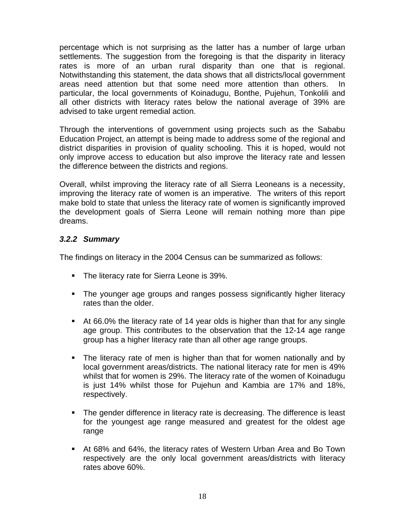percentage which is not surprising as the latter has a number of large urban settlements. The suggestion from the foregoing is that the disparity in literacy rates is more of an urban rural disparity than one that is regional. Notwithstanding this statement, the data shows that all districts/local government areas need attention but that some need more attention than others. In particular, the local governments of Koinadugu, Bonthe, Pujehun, Tonkolili and all other districts with literacy rates below the national average of 39% are advised to take urgent remedial action.

Through the interventions of government using projects such as the Sababu Education Project, an attempt is being made to address some of the regional and district disparities in provision of quality schooling. This it is hoped, would not only improve access to education but also improve the literacy rate and lessen the difference between the districts and regions.

Overall, whilst improving the literacy rate of all Sierra Leoneans is a necessity, improving the literacy rate of women is an imperative. The writers of this report make bold to state that unless the literacy rate of women is significantly improved the development goals of Sierra Leone will remain nothing more than pipe dreams.

# *3.2.2 Summary*

The findings on literacy in the 2004 Census can be summarized as follows:

- **The literacy rate for Sierra Leone is 39%.**
- **The younger age groups and ranges possess significantly higher literacy** rates than the older.
- At 66.0% the literacy rate of 14 year olds is higher than that for any single age group. This contributes to the observation that the 12-14 age range group has a higher literacy rate than all other age range groups.
- The literacy rate of men is higher than that for women nationally and by local government areas/districts. The national literacy rate for men is 49% whilst that for women is 29%. The literacy rate of the women of Koinadugu is just 14% whilst those for Pujehun and Kambia are 17% and 18%, respectively.
- **The gender difference in literacy rate is decreasing. The difference is least** for the youngest age range measured and greatest for the oldest age range
- At 68% and 64%, the literacy rates of Western Urban Area and Bo Town respectively are the only local government areas/districts with literacy rates above 60%.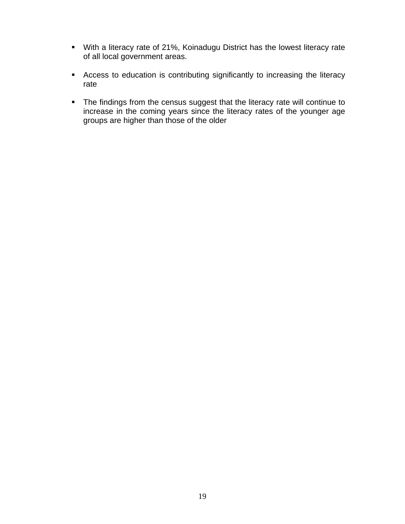- With a literacy rate of 21%, Koinadugu District has the lowest literacy rate of all local government areas.
- Access to education is contributing significantly to increasing the literacy rate
- **The findings from the census suggest that the literacy rate will continue to** increase in the coming years since the literacy rates of the younger age groups are higher than those of the older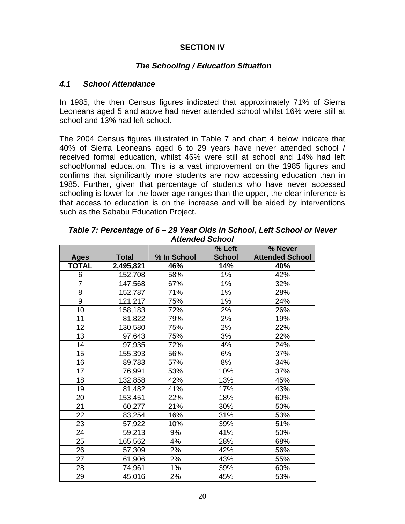# **SECTION IV**

#### *The Schooling / Education Situation*

#### *4.1 School Attendance*

In 1985, the then Census figures indicated that approximately 71% of Sierra Leoneans aged 5 and above had never attended school whilst 16% were still at school and 13% had left school.

The 2004 Census figures illustrated in Table 7 and chart 4 below indicate that 40% of Sierra Leoneans aged 6 to 29 years have never attended school / received formal education, whilst 46% were still at school and 14% had left school/formal education. This is a vast improvement on the 1985 figures and confirms that significantly more students are now accessing education than in 1985. Further, given that percentage of students who have never accessed schooling is lower for the lower age ranges than the upper, the clear inference is that access to education is on the increase and will be aided by interventions such as the Sababu Education Project.

|                |              |             | % Left        | % Never                |
|----------------|--------------|-------------|---------------|------------------------|
| <b>Ages</b>    | <b>Total</b> | % In School | <b>School</b> | <b>Attended School</b> |
| <b>TOTAL</b>   | 2,495,821    | 46%         | 14%           | 40%                    |
| 6              | 152,708      | 58%         | 1%            | 42%                    |
| $\overline{7}$ | 147,568      | 67%         | 1%            | 32%                    |
| 8              | 152,787      | 71%         | 1%            | 28%                    |
| 9              | 121,217      | 75%         | 1%            | 24%                    |
| 10             | 158,183      | 72%         | 2%            | 26%                    |
| 11             | 81,822       | 79%         | 2%            | 19%                    |
| 12             | 130,580      | 75%         | 2%            | 22%                    |
| 13             | 97,643       | 75%         | 3%            | 22%                    |
| 14             | 97,935       | 72%         | 4%            | 24%                    |
| 15             | 155,393      | 56%         | 6%            | 37%                    |
| 16             | 89,783       | 57%         | 8%            | 34%                    |
| 17             | 76,991       | 53%         | 10%           | 37%                    |
| 18             | 132,858      | 42%         | 13%           | 45%                    |
| 19             | 81,482       | 41%         | 17%           | 43%                    |
| 20             | 153,451      | 22%         | 18%           | 60%                    |
| 21             | 60,277       | 21%         | 30%           | 50%                    |
| 22             | 83,254       | 16%         | 31%           | 53%                    |
| 23             | 57,922       | 10%         | 39%           | 51%                    |
| 24             | 59,213       | 9%          | 41%           | 50%                    |
| 25             | 165,562      | 4%          | 28%           | 68%                    |
| 26             | 57,309       | 2%          | 42%           | 56%                    |
| 27             | 61,906       | 2%          | 43%           | 55%                    |
| 28             | 74,961       | 1%          | 39%           | 60%                    |
| 29             | 45,016       | 2%          | 45%           | 53%                    |

*Table 7: Percentage of 6 – 29 Year Olds in School, Left School or Never Attended School*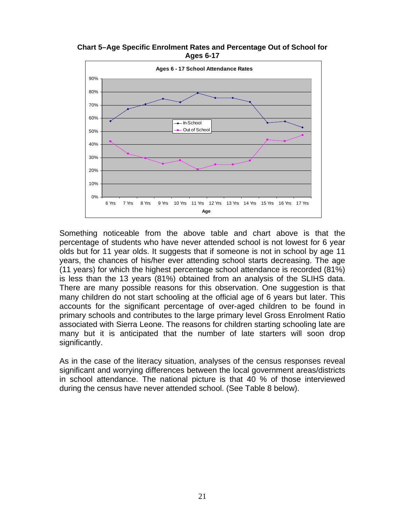**Chart 5–Age Specific Enrolment Rates and Percentage Out of School for Ages 6-17** 



Something noticeable from the above table and chart above is that the percentage of students who have never attended school is not lowest for 6 year olds but for 11 year olds. It suggests that if someone is not in school by age 11 years, the chances of his/her ever attending school starts decreasing. The age (11 years) for which the highest percentage school attendance is recorded (81%) is less than the 13 years (81%) obtained from an analysis of the SLIHS data. There are many possible reasons for this observation. One suggestion is that many children do not start schooling at the official age of 6 years but later. This accounts for the significant percentage of over-aged children to be found in primary schools and contributes to the large primary level Gross Enrolment Ratio associated with Sierra Leone. The reasons for children starting schooling late are many but it is anticipated that the number of late starters will soon drop significantly.

As in the case of the literacy situation, analyses of the census responses reveal significant and worrying differences between the local government areas/districts in school attendance. The national picture is that 40 % of those interviewed during the census have never attended school. (See Table 8 below).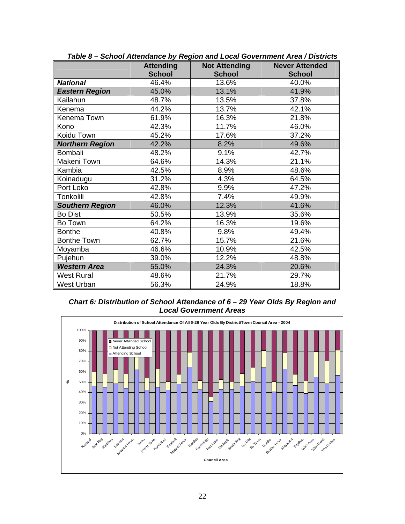|                        | <b>Attending</b> | <b>Not Attending</b> | <b>Never Attended</b> |
|------------------------|------------------|----------------------|-----------------------|
|                        | <b>School</b>    | <b>School</b>        | <b>School</b>         |
| <b>National</b>        | 46.4%            | 13.6%                | 40.0%                 |
| <b>Eastern Region</b>  | 45.0%            | 13.1%                | 41.9%                 |
| Kailahun               | 48.7%            | 13.5%                | 37.8%                 |
| Kenema                 | 44.2%            | 13.7%                | 42.1%                 |
| Kenema Town            | 61.9%            | 16.3%                | 21.8%                 |
| Kono                   | 42.3%            | 11.7%                | 46.0%                 |
| Koidu Town             | 45.2%            | 17.6%                | 37.2%                 |
| <b>Northern Region</b> | 42.2%            | 8.2%                 | 49.6%                 |
| Bombali                | 48.2%            | 9.1%                 | 42.7%                 |
| Makeni Town            | 64.6%            | 14.3%                | 21.1%                 |
| Kambia                 | 42.5%            | 8.9%                 | 48.6%                 |
| Koinadugu              | 31.2%            | 4.3%                 | 64.5%                 |
| Port Loko              | 42.8%            | 9.9%                 | 47.2%                 |
| Tonkolili              | 42.8%            | 7.4%                 | 49.9%                 |
| <b>Southern Region</b> | 46.0%            | 12.3%                | 41.6%                 |
| <b>Bo Dist</b>         | 50.5%            | 13.9%                | 35.6%                 |
| Bo Town                | 64.2%            | 16.3%                | 19.6%                 |
| <b>Bonthe</b>          | 40.8%            | 9.8%                 | 49.4%                 |
| <b>Bonthe Town</b>     | 62.7%            | 15.7%                | 21.6%                 |
| Moyamba                | 46.6%            | 10.9%                | 42.5%                 |
| Pujehun                | 39.0%            | 12.2%                | 48.8%                 |
| <b>Western Area</b>    | 55.0%            | 24.3%                | 20.6%                 |
| <b>West Rural</b>      | 48.6%            | 21.7%                | 29.7%                 |
| <b>West Urban</b>      | 56.3%            | 24.9%                | 18.8%                 |

*Table 8 – School Attendance by Region and Local Government Area / Districts* 



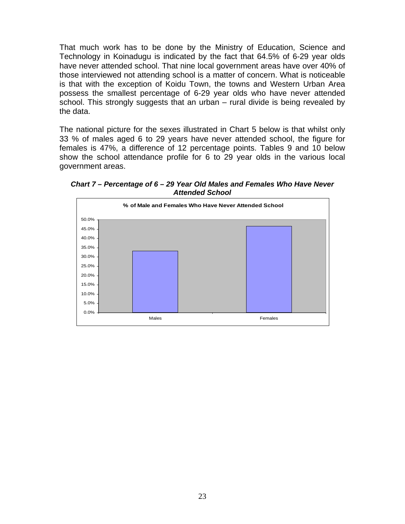That much work has to be done by the Ministry of Education, Science and Technology in Koinadugu is indicated by the fact that 64.5% of 6-29 year olds have never attended school. That nine local government areas have over 40% of those interviewed not attending school is a matter of concern. What is noticeable is that with the exception of Koidu Town, the towns and Western Urban Area possess the smallest percentage of 6-29 year olds who have never attended school. This strongly suggests that an urban – rural divide is being revealed by the data.

The national picture for the sexes illustrated in Chart 5 below is that whilst only 33 % of males aged 6 to 29 years have never attended school, the figure for females is 47%, a difference of 12 percentage points. Tables 9 and 10 below show the school attendance profile for 6 to 29 year olds in the various local government areas.

*Chart 7 – Percentage of 6 – 29 Year Old Males and Females Who Have Never Attended School* 

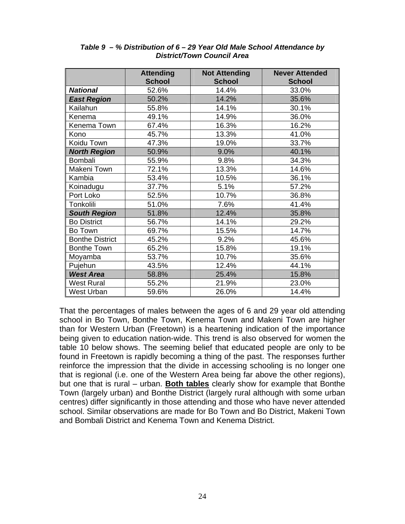|                        | <b>Attending</b> | <b>Not Attending</b> | <b>Never Attended</b> |
|------------------------|------------------|----------------------|-----------------------|
|                        | <b>School</b>    | <b>School</b>        | <b>School</b>         |
| <b>National</b>        | 52.6%            | 14.4%                | 33.0%                 |
| <b>East Region</b>     | 50.2%            | 14.2%                | 35.6%                 |
| Kailahun               | 55.8%            | 14.1%                | 30.1%                 |
| Kenema                 | 49.1%            | 14.9%                | 36.0%                 |
| Kenema Town            | 67.4%            | 16.3%                | 16.2%                 |
| Kono                   | 45.7%            | 13.3%                | 41.0%                 |
| Koidu Town             | 47.3%            | 19.0%                | 33.7%                 |
| <b>North Region</b>    | 50.9%            | 9.0%                 | 40.1%                 |
| Bombali                | 55.9%            | 9.8%                 | 34.3%                 |
| Makeni Town            | 72.1%            | 13.3%                | 14.6%                 |
| Kambia                 | 53.4%            | 10.5%                | 36.1%                 |
| Koinadugu              | 37.7%            | 5.1%                 | 57.2%                 |
| Port Loko              | 52.5%            | 10.7%                | 36.8%                 |
| Tonkolili              | 51.0%            | 7.6%                 | 41.4%                 |
| <b>South Region</b>    | 51.8%            | 12.4%                | 35.8%                 |
| <b>Bo District</b>     | 56.7%            | 14.1%                | 29.2%                 |
| Bo Town                | 69.7%            | 15.5%                | 14.7%                 |
| <b>Bonthe District</b> | 45.2%            | 9.2%                 | 45.6%                 |
| <b>Bonthe Town</b>     | 65.2%            | 15.8%                | 19.1%                 |
| Moyamba                | 53.7%            | 10.7%                | 35.6%                 |
| Pujehun                | 43.5%            | 12.4%                | 44.1%                 |
| <b>West Area</b>       | 58.8%            | 25.4%                | 15.8%                 |
| <b>West Rural</b>      | 55.2%            | 21.9%                | 23.0%                 |
| <b>West Urban</b>      | 59.6%            | 26.0%                | 14.4%                 |

#### *Table 9 – % Distribution of 6 – 29 Year Old Male School Attendance by District/Town Council Area*

That the percentages of males between the ages of 6 and 29 year old attending school in Bo Town, Bonthe Town, Kenema Town and Makeni Town are higher than for Western Urban (Freetown) is a heartening indication of the importance being given to education nation-wide. This trend is also observed for women the table 10 below shows. The seeming belief that educated people are only to be found in Freetown is rapidly becoming a thing of the past. The responses further reinforce the impression that the divide in accessing schooling is no longer one that is regional (i.e. one of the Western Area being far above the other regions), but one that is rural – urban. **Both tables** clearly show for example that Bonthe Town (largely urban) and Bonthe District (largely rural although with some urban centres) differ significantly in those attending and those who have never attended school. Similar observations are made for Bo Town and Bo District, Makeni Town and Bombali District and Kenema Town and Kenema District.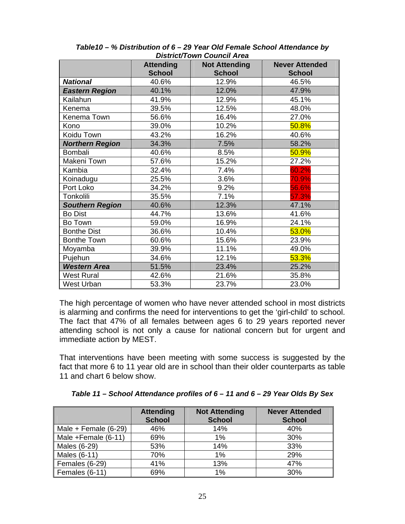|                        | <b>Attending</b> | <b>Not Attending</b> | <b>Never Attended</b> |  |  |
|------------------------|------------------|----------------------|-----------------------|--|--|
|                        | <b>School</b>    | <b>School</b>        | <b>School</b>         |  |  |
| <b>National</b>        | 40.6%            | 12.9%                | 46.5%                 |  |  |
| <b>Eastern Region</b>  | 40.1%            | 12.0%                | 47.9%                 |  |  |
| Kailahun               | 41.9%            | 12.9%                | 45.1%                 |  |  |
| Kenema                 | 39.5%            | 12.5%                | 48.0%                 |  |  |
| Kenema Town            | 56.6%            | 16.4%                | 27.0%                 |  |  |
| Kono                   | 39.0%            | 10.2%                | 50.8%                 |  |  |
| Koidu Town             | 43.2%            | 16.2%                | 40.6%                 |  |  |
| <b>Northern Region</b> | 34.3%            | 7.5%                 | 58.2%                 |  |  |
| Bombali                | 40.6%            | 8.5%                 | 50.9%                 |  |  |
| Makeni Town            | 57.6%            | 15.2%                | 27.2%                 |  |  |
| Kambia                 | 32.4%            | 7.4%                 | 60.2%                 |  |  |
| Koinadugu              | 25.5%            | 3.6%                 | 70.9%                 |  |  |
| Port Loko              | 34.2%            | 9.2%                 | 56.6%                 |  |  |
| Tonkolili              | 35.5%            | 7.1%                 | 57.3%                 |  |  |
| <b>Southern Region</b> | 40.6%            | 12.3%                | 47.1%                 |  |  |
| <b>Bo Dist</b>         | 44.7%            | 13.6%                | 41.6%                 |  |  |
| Bo Town                | 59.0%            | 16.9%                | 24.1%                 |  |  |
| <b>Bonthe Dist</b>     | 36.6%            | 10.4%                | 53.0%                 |  |  |
| <b>Bonthe Town</b>     | 60.6%            | 15.6%                | 23.9%                 |  |  |
| Moyamba                | 39.9%            | 11.1%                | 49.0%                 |  |  |
| Pujehun                | 34.6%            | 12.1%                | 53.3%                 |  |  |
| <b>Western Area</b>    | 51.5%            | 23.4%                | 25.2%                 |  |  |
| <b>West Rural</b>      | 42.6%            | 21.6%                | 35.8%                 |  |  |
| West Urban             | 53.3%            | 23.7%                | 23.0%                 |  |  |

*Table10 – % Distribution of 6 – 29 Year Old Female School Attendance by District/Town Council Area*

The high percentage of women who have never attended school in most districts is alarming and confirms the need for interventions to get the 'girl-child' to school. The fact that 47% of all females between ages 6 to 29 years reported never attending school is not only a cause for national concern but for urgent and immediate action by MEST.

That interventions have been meeting with some success is suggested by the fact that more 6 to 11 year old are in school than their older counterparts as table 11 and chart 6 below show.

*Table 11 – School Attendance profiles of 6 – 11 and 6 – 29 Year Olds By Sex* 

|                        | <b>Attending</b><br><b>School</b> | <b>Not Attending</b><br><b>School</b> | <b>Never Attended</b><br><b>School</b> |
|------------------------|-----------------------------------|---------------------------------------|----------------------------------------|
| Male + Female $(6-29)$ | 46%                               | 14%                                   | 40%                                    |
| Male +Female (6-11)    | 69%                               | 1%                                    | 30%                                    |
| Males (6-29)           | 53%                               | 14%                                   | 33%                                    |
| Males (6-11)           | 70%                               | 1%                                    | 29%                                    |
| Females (6-29)         | 41%                               | 13%                                   | 47%                                    |
| Females (6-11)         | 69%                               | 1%                                    | 30%                                    |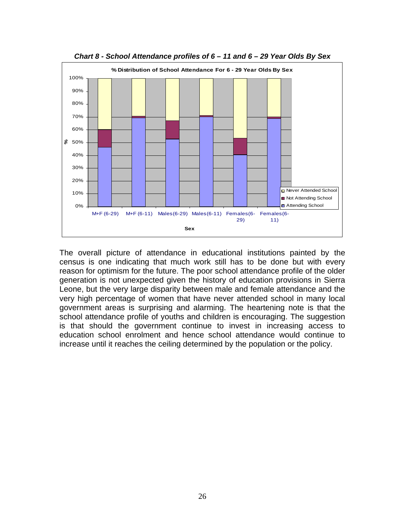

*Chart 8 - School Attendance profiles of 6 – 11 and 6 – 29 Year Olds By Sex* 

The overall picture of attendance in educational institutions painted by the census is one indicating that much work still has to be done but with every reason for optimism for the future. The poor school attendance profile of the older generation is not unexpected given the history of education provisions in Sierra Leone, but the very large disparity between male and female attendance and the very high percentage of women that have never attended school in many local government areas is surprising and alarming. The heartening note is that the school attendance profile of youths and children is encouraging. The suggestion is that should the government continue to invest in increasing access to education school enrolment and hence school attendance would continue to increase until it reaches the ceiling determined by the population or the policy.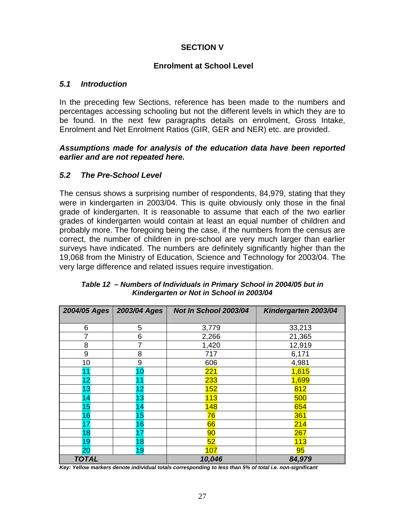# **SECTION V**

#### **Enrolment at School Level**

#### *5.1 Introduction*

In the preceding few Sections, reference has been made to the numbers and percentages accessing schooling but not the different levels in which they are to be found. In the next few paragraphs details on enrolment, Gross Intake, Enrolment and Net Enrolment Ratios (GIR, GER and NER) etc. are provided.

#### *Assumptions made for analysis of the education data have been reported earlier and are not repeated here.*

## *5.2 The Pre-School Level*

The census shows a surprising number of respondents, 84,979, stating that they were in kindergarten in 2003/04. This is quite obviously only those in the final grade of kindergarten. It is reasonable to assume that each of the two earlier grades of kindergarten would contain at least an equal number of children and probably more. The foregoing being the case, if the numbers from the census are correct, the number of children in pre-school are very much larger than earlier surveys have indicated. The numbers are definitely significantly higher than the 19,068 from the Ministry of Education, Science and Technology for 2003/04. The very large difference and related issues require investigation.

| 2004/05 Ages | 2003/04 Ages | Not In School 2003/04 | Kindergarten 2003/04 |
|--------------|--------------|-----------------------|----------------------|
| 6            | 5            | 3,779                 | 33,213               |
| 7            | 6            | 2,266                 | 21,365               |
| 8            |              | 1,420                 | 12,919               |
| 9            | 8            | 717                   | 6,171                |
| 10           | 9            | 606                   | 4,981                |
|              | 10           | 221                   | 1,615                |
| 12           |              | 233                   | 1,699                |
| 13           | 12           | 152                   | 812                  |
| 14           | 13           | 113                   | 500                  |
| 15           | 14           | 148                   | 654                  |
| 16           | 15           | 76                    | 361                  |
| 17           | 16           | 66                    | 214                  |
| 18           | 17           | 90                    | 267                  |
| 19           | 18           | 52                    | 113                  |
| 20           | 19           | 107                   | 95                   |
| <b>TOTAL</b> |              | 10,046                | 84,979               |

*Table 12 – Numbers of Individuals in Primary School in 2004/05 but in Kindergarten or Not in School in 2003/04* 

*Key: Yellow markers denote individual totals corresponding to less than 5% of total i.e. non-significant*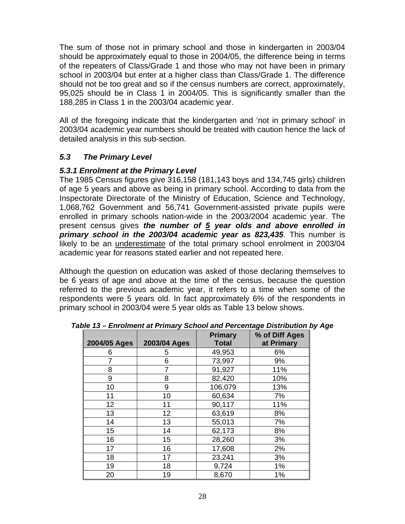The sum of those not in primary school and those in kindergarten in 2003/04 should be approximately equal to those in 2004/05, the difference being in terms of the repeaters of Class/Grade 1 and those who may not have been in primary school in 2003/04 but enter at a higher class than Class/Grade 1. The difference should not be too great and so if the census numbers are correct, approximately, 95,025 should be in Class 1 in 2004/05. This is significantly smaller than the 188,285 in Class 1 in the 2003/04 academic year.

All of the foregoing indicate that the kindergarten and 'not in primary school' in 2003/04 academic year numbers should be treated with caution hence the lack of detailed analysis in this sub-section.

# *5.3 The Primary Level*

## *5.3.1 Enrolment at the Primary Level*

The 1985 Census figures give 316,158 (181,143 boys and 134,745 girls) children of age 5 years and above as being in primary school. According to data from the Inspectorate Directorate of the Ministry of Education, Science and Technology, 1,068,762 Government and 56,741 Government-assisted private pupils were enrolled in primary schools nation-wide in the 2003/2004 academic year. The present census gives *the number of 5 year olds and above enrolled in primary school in the 2003/04 academic year as 823,435*. This number is likely to be an underestimate of the total primary school enrolment in 2003/04 academic year for reasons stated earlier and not repeated here.

Although the question on education was asked of those declaring themselves to be 6 years of age and above at the time of the census, because the question referred to the previous academic year, it refers to a time when some of the respondents were 5 years old. In fact approximately 6% of the respondents in primary school in 2003/04 were 5 year olds as Table 13 below shows.

|              |              | <b>Primary</b> | % of Diff Ages |
|--------------|--------------|----------------|----------------|
| 2004/05 Ages | 2003/04 Ages | <b>Total</b>   | at Primary     |
| 6            | 5            | 49,953         | 6%             |
| 7            | 6            | 73,997         | 9%             |
| 8            |              | 91,927         | 11%            |
| 9            | 8            | 82,420         | 10%            |
| 10           | 9            | 106,079        | 13%            |
| 11           | 10           | 60,634         | 7%             |
| 12           | 11           | 90,117         | 11%            |
| 13           | 12           | 63,619         | 8%             |
| 14           | 13           | 55,013         | 7%             |
| 15           | 14           | 62,173         | 8%             |
| 16           | 15           | 28,260         | 3%             |
| 17           | 16           | 17,608         | 2%             |
| 18           | 17           | 23,241         | 3%             |
| 19           | 18           | 9,724          | 1%             |
| 20           | 19           | 8,670          | 1%             |

*Table 13 – Enrolment at Primary School and Percentage Distribution by Age*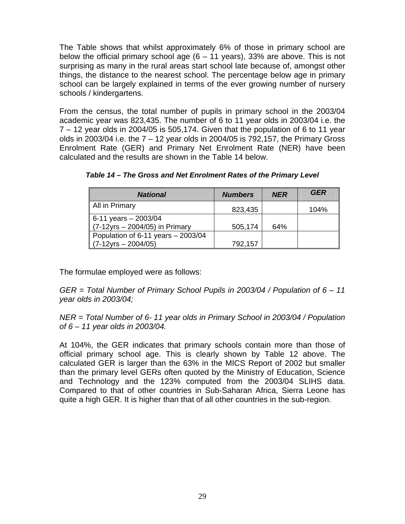The Table shows that whilst approximately 6% of those in primary school are below the official primary school age  $(6 - 11 \text{ years})$ , 33% are above. This is not surprising as many in the rural areas start school late because of, amongst other things, the distance to the nearest school. The percentage below age in primary school can be largely explained in terms of the ever growing number of nursery schools / kindergartens.

From the census, the total number of pupils in primary school in the 2003/04 academic year was 823,435. The number of 6 to 11 year olds in 2003/04 i.e. the 7 – 12 year olds in 2004/05 is 505,174. Given that the population of 6 to 11 year olds in 2003/04 i.e. the  $7 - 12$  year olds in 2004/05 is 792,157, the Primary Gross Enrolment Rate (GER) and Primary Net Enrolment Rate (NER) have been calculated and the results are shown in the Table 14 below.

| <b>National</b>                    | <b>Numbers</b> | <b>NER</b> | <b>GER</b> |
|------------------------------------|----------------|------------|------------|
| All in Primary                     | 823,435        |            | 104%       |
| 6-11 years $-$ 2003/04             |                |            |            |
| (7-12yrs - 2004/05) in Primary     | 505,174        | 64%        |            |
| Population of 6-11 years - 2003/04 |                |            |            |
| $(7-12yrs - 2004/05)$              | 792,157        |            |            |

*Table 14 – The Gross and Net Enrolment Rates of the Primary Level* 

The formulae employed were as follows:

*GER = Total Number of Primary School Pupils in 2003/04 / Population of 6 – 11 year olds in 2003/04;* 

*NER = Total Number of 6- 11 year olds in Primary School in 2003/04 / Population of 6 – 11 year olds in 2003/04.*

At 104%, the GER indicates that primary schools contain more than those of official primary school age. This is clearly shown by Table 12 above. The calculated GER is larger than the 63% in the MICS Report of 2002 but smaller than the primary level GERs often quoted by the Ministry of Education, Science and Technology and the 123% computed from the 2003/04 SLIHS data. Compared to that of other countries in Sub-Saharan Africa, Sierra Leone has quite a high GER. It is higher than that of all other countries in the sub-region.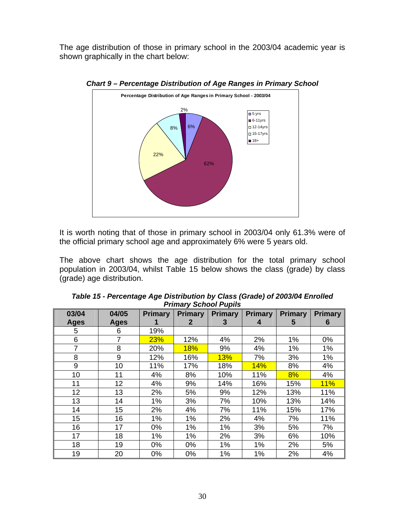The age distribution of those in primary school in the 2003/04 academic year is shown graphically in the chart below:



*Chart 9 – Percentage Distribution of Age Ranges in Primary School* 

It is worth noting that of those in primary school in 2003/04 only 61.3% were of the official primary school age and approximately 6% were 5 years old.

The above chart shows the age distribution for the total primary school population in 2003/04, whilst Table 15 below shows the class (grade) by class (grade) age distribution.

| 03/04          | 04/05       | <b>Primary</b> | <b>Primary</b> | <b>Primary</b> | <b>Primary</b> | <b>Primary</b> | <b>Primary</b> |
|----------------|-------------|----------------|----------------|----------------|----------------|----------------|----------------|
| <b>Ages</b>    | <b>Ages</b> | 1              | 2              | 3              | 4              | 5              | 6              |
| 5              | 6           | 19%            |                |                |                |                |                |
| 6              | 7           | 23%            | 12%            | 4%             | 2%             | 1%             | 0%             |
| $\overline{7}$ | 8           | 20%            | <b>18%</b>     | 9%             | 4%             | 1%             | 1%             |
| 8              | 9           | 12%            | 16%            | <b>13%</b>     | 7%             | 3%             | 1%             |
| 9              | 10          | 11%            | 17%            | 18%            | 14%            | 8%             | 4%             |
| 10             | 11          | 4%             | 8%             | 10%            | 11%            | 8%             | 4%             |
| 11             | 12          | 4%             | 9%             | 14%            | 16%            | 15%            | 11%            |
| 12             | 13          | 2%             | 5%             | 9%             | 12%            | 13%            | 11%            |
| 13             | 14          | 1%             | 3%             | 7%             | 10%            | 13%            | 14%            |
| 14             | 15          | 2%             | 4%             | 7%             | 11%            | 15%            | 17%            |
| 15             | 16          | 1%             | 1%             | 2%             | 4%             | 7%             | 11%            |
| 16             | 17          | 0%             | 1%             | 1%             | 3%             | 5%             | 7%             |
| 17             | 18          | 1%             | 1%             | 2%             | 3%             | 6%             | 10%            |
| 18             | 19          | 0%             | 0%             | 1%             | 1%             | 2%             | 5%             |
| 19             | 20          | 0%             | 0%             | 1%             | 1%             | 2%             | 4%             |

| Table 15 - Percentage Age Distribution by Class (Grade) of 2003/04 Enrolled |  |
|-----------------------------------------------------------------------------|--|
| <b>Primary School Pupils</b>                                                |  |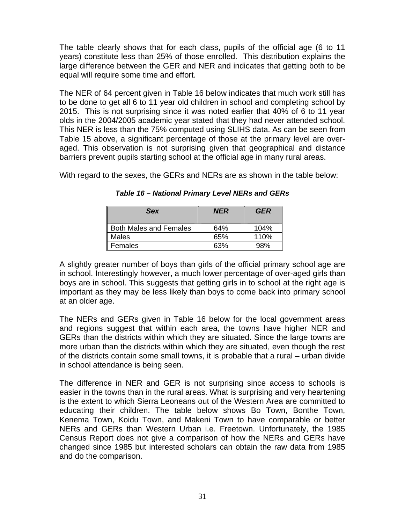The table clearly shows that for each class, pupils of the official age (6 to 11 years) constitute less than 25% of those enrolled. This distribution explains the large difference between the GER and NER and indicates that getting both to be equal will require some time and effort.

The NER of 64 percent given in Table 16 below indicates that much work still has to be done to get all 6 to 11 year old children in school and completing school by 2015. This is not surprising since it was noted earlier that 40% of 6 to 11 year olds in the 2004/2005 academic year stated that they had never attended school. This NER is less than the 75% computed using SLIHS data. As can be seen from Table 15 above, a significant percentage of those at the primary level are overaged. This observation is not surprising given that geographical and distance barriers prevent pupils starting school at the official age in many rural areas.

With regard to the sexes, the GERs and NERs are as shown in the table below:

| <b>Sex</b>                    | <b>NER</b> | <b>GER</b> |
|-------------------------------|------------|------------|
| <b>Both Males and Females</b> | 64%        | 104%       |
| Males                         | 65%        | 110%       |
| Females                       | 63%        | 98%        |

*Table 16 – National Primary Level NERs and GERs* 

A slightly greater number of boys than girls of the official primary school age are in school. Interestingly however, a much lower percentage of over-aged girls than boys are in school. This suggests that getting girls in to school at the right age is important as they may be less likely than boys to come back into primary school at an older age.

The NERs and GERs given in Table 16 below for the local government areas and regions suggest that within each area, the towns have higher NER and GERs than the districts within which they are situated. Since the large towns are more urban than the districts within which they are situated, even though the rest of the districts contain some small towns, it is probable that a rural – urban divide in school attendance is being seen.

The difference in NER and GER is not surprising since access to schools is easier in the towns than in the rural areas. What is surprising and very heartening is the extent to which Sierra Leoneans out of the Western Area are committed to educating their children. The table below shows Bo Town, Bonthe Town, Kenema Town, Koidu Town, and Makeni Town to have comparable or better NERs and GERs than Western Urban i.e. Freetown. Unfortunately, the 1985 Census Report does not give a comparison of how the NERs and GERs have changed since 1985 but interested scholars can obtain the raw data from 1985 and do the comparison.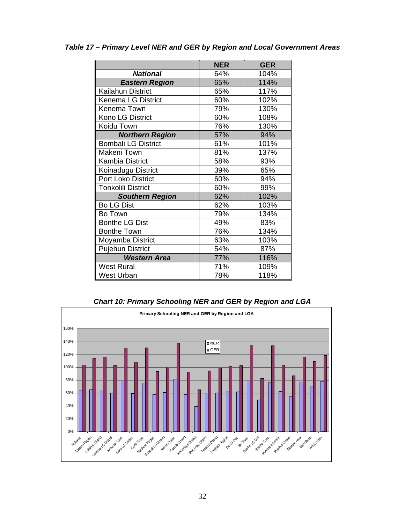|                            | <b>NER</b> | <b>GER</b> |
|----------------------------|------------|------------|
| <b>National</b>            | 64%        | 104%       |
| <b>Eastern Region</b>      | 65%        | 114%       |
| Kailahun District          | 65%        | 117%       |
| <b>Kenema LG District</b>  | 60%        | 102%       |
| Kenema Town                | 79%        | 130%       |
| Kono LG District           | 60%        | 108%       |
| Koidu Town                 | 76%        | 130%       |
| <b>Northern Region</b>     | 57%        | 94%        |
| <b>Bombali LG District</b> | 61%        | 101%       |
| Makeni Town                | 81%        | 137%       |
| <b>Kambia District</b>     | 58%        | 93%        |
| Koinadugu District         | 39%        | 65%        |
| <b>Port Loko District</b>  | 60%        | 94%        |
| <b>Tonkolili District</b>  | 60%        | 99%        |
| <b>Southern Region</b>     | 62%        | 102%       |
| <b>Bo LG Dist</b>          | 62%        | 103%       |
| Bo Town                    | 79%        | 134%       |
| <b>Bonthe LG Dist</b>      | 49%        | 83%        |
| <b>Bonthe Town</b>         | 76%        | 134%       |
| Moyamba District           | 63%        | 103%       |
| <b>Pujehun District</b>    | 54%        | 87%        |
| <b>Western Area</b>        | 77%        | 116%       |
| <b>West Rural</b>          | 71%        | 109%       |
| West Urban                 | 78%        | 118%       |

*Table 17 – Primary Level NER and GER by Region and Local Government Areas* 

*Chart 10: Primary Schooling NER and GER by Region and LGA* 

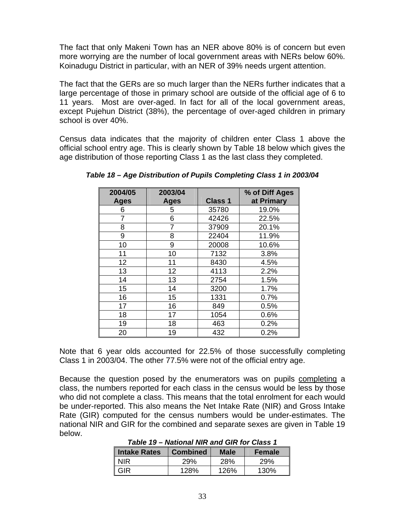The fact that only Makeni Town has an NER above 80% is of concern but even more worrying are the number of local government areas with NERs below 60%. Koinadugu District in particular, with an NER of 39% needs urgent attention.

The fact that the GERs are so much larger than the NERs further indicates that a large percentage of those in primary school are outside of the official age of 6 to 11 years. Most are over-aged. In fact for all of the local government areas, except Pujehun District (38%), the percentage of over-aged children in primary school is over 40%.

Census data indicates that the majority of children enter Class 1 above the official school entry age. This is clearly shown by Table 18 below which gives the age distribution of those reporting Class 1 as the last class they completed.

| 2004/05     | 2003/04     |                | % of Diff Ages |
|-------------|-------------|----------------|----------------|
| <b>Ages</b> | <b>Ages</b> | <b>Class 1</b> | at Primary     |
| 6           | 5           | 35780          | 19.0%          |
|             | 6           | 42426          | 22.5%          |
| 8           | 7           | 37909          | 20.1%          |
| 9           | 8           | 22404          | 11.9%          |
| 10          | 9           | 20008          | 10.6%          |
| 11          | 10          | 7132           | 3.8%           |
| 12          | 11          | 8430           | 4.5%           |
| 13          | 12          | 4113           | 2.2%           |
| 14          | 13          | 2754           | 1.5%           |
| 15          | 14          | 3200           | 1.7%           |
| 16          | 15          | 1331           | 0.7%           |
| 17          | 16          | 849            | 0.5%           |
| 18          | 17          | 1054           | 0.6%           |
| 19          | 18          | 463            | 0.2%           |
| 20          | 19          | 432            | 0.2%           |

*Table 18 – Age Distribution of Pupils Completing Class 1 in 2003/04* 

Note that 6 year olds accounted for 22.5% of those successfully completing Class 1 in 2003/04. The other 77.5% were not of the official entry age.

Because the question posed by the enumerators was on pupils completing a class, the numbers reported for each class in the census would be less by those who did not complete a class. This means that the total enrolment for each would be under-reported. This also means the Net Intake Rate (NIR) and Gross Intake Rate (GIR) computed for the census numbers would be under-estimates. The national NIR and GIR for the combined and separate sexes are given in Table 19 below.

*Table 19 – National NIR and GIR for Class 1* 

| Intake Rates | <b>Combined</b> | Male | <b>Female</b> |
|--------------|-----------------|------|---------------|
| <b>NIR</b>   | 29%             | 28%  | 29%           |
| GIR          | 128%            | 126% | 130%          |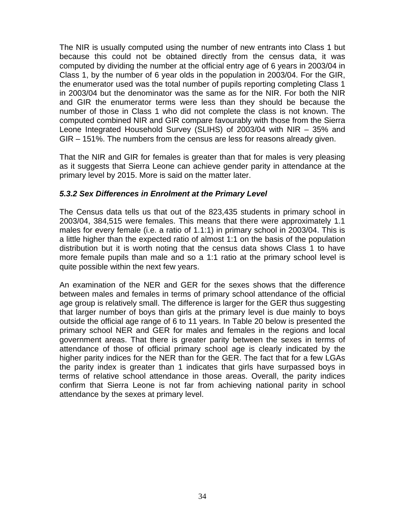The NIR is usually computed using the number of new entrants into Class 1 but because this could not be obtained directly from the census data, it was computed by dividing the number at the official entry age of 6 years in 2003/04 in Class 1, by the number of 6 year olds in the population in 2003/04. For the GIR, the enumerator used was the total number of pupils reporting completing Class 1 in 2003/04 but the denominator was the same as for the NIR. For both the NIR and GIR the enumerator terms were less than they should be because the number of those in Class 1 who did not complete the class is not known. The computed combined NIR and GIR compare favourably with those from the Sierra Leone Integrated Household Survey (SLIHS) of 2003/04 with NIR – 35% and GIR – 151%. The numbers from the census are less for reasons already given.

That the NIR and GIR for females is greater than that for males is very pleasing as it suggests that Sierra Leone can achieve gender parity in attendance at the primary level by 2015. More is said on the matter later.

## *5.3.2 Sex Differences in Enrolment at the Primary Level*

The Census data tells us that out of the 823,435 students in primary school in 2003/04, 384,515 were females. This means that there were approximately 1.1 males for every female (i.e. a ratio of 1.1:1) in primary school in 2003/04. This is a little higher than the expected ratio of almost 1:1 on the basis of the population distribution but it is worth noting that the census data shows Class 1 to have more female pupils than male and so a 1:1 ratio at the primary school level is quite possible within the next few years.

An examination of the NER and GER for the sexes shows that the difference between males and females in terms of primary school attendance of the official age group is relatively small. The difference is larger for the GER thus suggesting that larger number of boys than girls at the primary level is due mainly to boys outside the official age range of 6 to 11 years. In Table 20 below is presented the primary school NER and GER for males and females in the regions and local government areas. That there is greater parity between the sexes in terms of attendance of those of official primary school age is clearly indicated by the higher parity indices for the NER than for the GER. The fact that for a few LGAs the parity index is greater than 1 indicates that girls have surpassed boys in terms of relative school attendance in those areas. Overall, the parity indices confirm that Sierra Leone is not far from achieving national parity in school attendance by the sexes at primary level.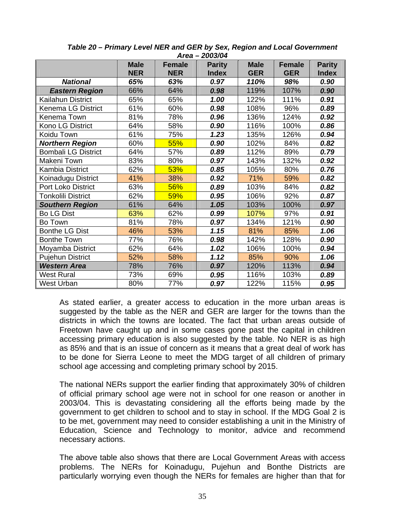|                            | AI ca<br><u>LUUJ/UT</u> |               |               |             |               |               |  |
|----------------------------|-------------------------|---------------|---------------|-------------|---------------|---------------|--|
|                            | <b>Male</b>             | <b>Female</b> | <b>Parity</b> | <b>Male</b> | <b>Female</b> | <b>Parity</b> |  |
|                            | <b>NER</b>              | <b>NER</b>    | <b>Index</b>  | <b>GER</b>  | <b>GER</b>    | <b>Index</b>  |  |
| <b>National</b>            | 65%                     | 63%           | 0.97          | 110%        | 98%           | 0.90          |  |
| <b>Eastern Region</b>      | 66%                     | 64%           | 0.98          | 119%        | 107%          | 0.90          |  |
| Kailahun District          | 65%                     | 65%           | 1.00          | 122%        | 111%          | 0.91          |  |
| <b>Kenema LG District</b>  | 61%                     | 60%           | 0.98          | 108%        | 96%           | 0.89          |  |
| Kenema Town                | 81%                     | 78%           | 0.96          | 136%        | 124%          | 0.92          |  |
| Kono LG District           | 64%                     | 58%           | 0.90          | 116%        | 100%          | 0.86          |  |
| Koidu Town                 | 61%                     | 75%           | 1.23          | 135%        | 126%          | 0.94          |  |
| <b>Northern Region</b>     | 60%                     | 55%           | 0.90          | 102%        | 84%           | 0.82          |  |
| <b>Bombali LG District</b> | 64%                     | 57%           | 0.89          | 112%        | 89%           | 0.79          |  |
| Makeni Town                | 83%                     | 80%           | 0.97          | 143%        | 132%          | 0.92          |  |
| <b>Kambia District</b>     | 62%                     | 53%           | 0.85          | 105%        | 80%           | 0.76          |  |
| Koinadugu District         | 41%                     | 38%           | 0.92          | 71%         | 59%           | 0.82          |  |
| Port Loko District         | 63%                     | 56%           | 0.89          | 103%        | 84%           | 0.82          |  |
| <b>Tonkolili District</b>  | 62%                     | 59%           | 0.95          | 106%        | 92%           | 0.87          |  |
| <b>Southern Region</b>     | 61%                     | 64%           | 1.05          | 103%        | 100%          | 0.97          |  |
| <b>Bo LG Dist</b>          | 63%                     | 62%           | 0.99          | 107%        | 97%           | 0.91          |  |
| Bo Town                    | 81%                     | 78%           | 0.97          | 134%        | 121%          | 0.90          |  |
| <b>Bonthe LG Dist</b>      | 46%                     | 53%           | 1.15          | 81%         | 85%           | 1.06          |  |
| <b>Bonthe Town</b>         | 77%                     | 76%           | 0.98          | 142%        | 128%          | 0.90          |  |
| Moyamba District           | 62%                     | 64%           | 1.02          | 106%        | 100%          | 0.94          |  |
| <b>Pujehun District</b>    | 52%                     | 58%           | 1.12          | 85%         | 90%           | 1.06          |  |
| <b>Western Area</b>        | 78%                     | 76%           | 0.97          | 120%        | 113%          | 0.94          |  |
| <b>West Rural</b>          | 73%                     | 69%           | 0.95          | 116%        | 103%          | 0.89          |  |
| West Urban                 | 80%                     | 77%           | 0.97          | 122%        | 115%          | 0.95          |  |

*Table 20 – Primary Level NER and GER by Sex, Region and Local Government Area – 2003/04* 

As stated earlier, a greater access to education in the more urban areas is suggested by the table as the NER and GER are larger for the towns than the districts in which the towns are located. The fact that urban areas outside of Freetown have caught up and in some cases gone past the capital in children accessing primary education is also suggested by the table. No NER is as high as 85% and that is an issue of concern as it means that a great deal of work has to be done for Sierra Leone to meet the MDG target of all children of primary school age accessing and completing primary school by 2015.

The national NERs support the earlier finding that approximately 30% of children of official primary school age were not in school for one reason or another in 2003/04. This is devastating considering all the efforts being made by the government to get children to school and to stay in school. If the MDG Goal 2 is to be met, government may need to consider establishing a unit in the Ministry of Education, Science and Technology to monitor, advice and recommend necessary actions.

The above table also shows that there are Local Government Areas with access problems. The NERs for Koinadugu, Pujehun and Bonthe Districts are particularly worrying even though the NERs for females are higher than that for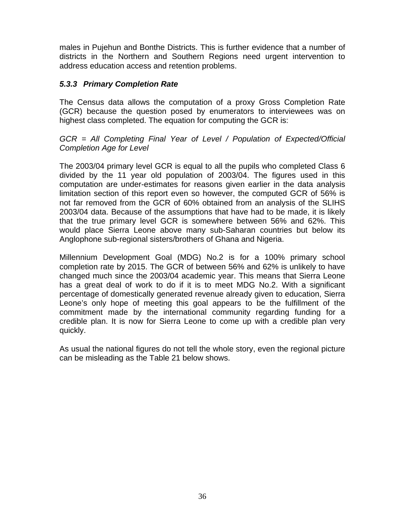males in Pujehun and Bonthe Districts. This is further evidence that a number of districts in the Northern and Southern Regions need urgent intervention to address education access and retention problems.

## *5.3.3 Primary Completion Rate*

The Census data allows the computation of a proxy Gross Completion Rate (GCR) because the question posed by enumerators to interviewees was on highest class completed. The equation for computing the GCR is:

## *GCR = All Completing Final Year of Level / Population of Expected/Official Completion Age for Level*

The 2003/04 primary level GCR is equal to all the pupils who completed Class 6 divided by the 11 year old population of 2003/04. The figures used in this computation are under-estimates for reasons given earlier in the data analysis limitation section of this report even so however, the computed GCR of 56% is not far removed from the GCR of 60% obtained from an analysis of the SLIHS 2003/04 data. Because of the assumptions that have had to be made, it is likely that the true primary level GCR is somewhere between 56% and 62%. This would place Sierra Leone above many sub-Saharan countries but below its Anglophone sub-regional sisters/brothers of Ghana and Nigeria.

Millennium Development Goal (MDG) No.2 is for a 100% primary school completion rate by 2015. The GCR of between 56% and 62% is unlikely to have changed much since the 2003/04 academic year. This means that Sierra Leone has a great deal of work to do if it is to meet MDG No.2. With a significant percentage of domestically generated revenue already given to education, Sierra Leone's only hope of meeting this goal appears to be the fulfillment of the commitment made by the international community regarding funding for a credible plan. It is now for Sierra Leone to come up with a credible plan very quickly.

As usual the national figures do not tell the whole story, even the regional picture can be misleading as the Table 21 below shows.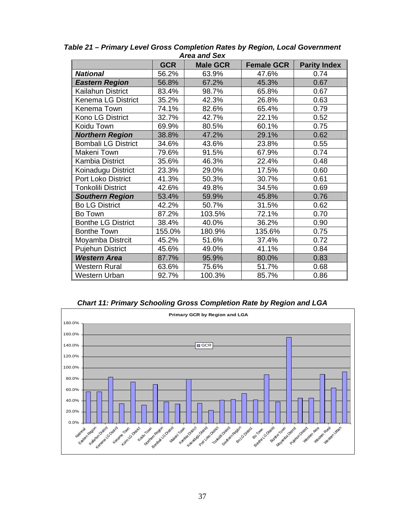|                            |            | אסט מווט אס וא  |                   |                     |
|----------------------------|------------|-----------------|-------------------|---------------------|
|                            | <b>GCR</b> | <b>Male GCR</b> | <b>Female GCR</b> | <b>Parity Index</b> |
| <b>National</b>            | 56.2%      | 63.9%           | 47.6%             | 0.74                |
| <b>Eastern Region</b>      | 56.8%      | 67.2%           | 45.3%             | 0.67                |
| Kailahun District          | 83.4%      | 98.7%           | 65.8%             | 0.67                |
| <b>Kenema LG District</b>  | 35.2%      | 42.3%           | 26.8%             | 0.63                |
| Kenema Town                | 74.1%      | 82.6%           | 65.4%             | 0.79                |
| Kono LG District           | 32.7%      | 42.7%           | 22.1%             | 0.52                |
| Koidu Town                 | 69.9%      | 80.5%           | 60.1%             | 0.75                |
| <b>Northern Region</b>     | 38.8%      | 47.2%           | 29.1%             | 0.62                |
| <b>Bombali LG District</b> | 34.6%      | 43.6%           | 23.8%             | 0.55                |
| Makeni Town                | 79.6%      | 91.5%           | 67.9%             | 0.74                |
| <b>Kambia District</b>     | 35.6%      | 46.3%           | 22.4%             | 0.48                |
| Koinadugu District         | 23.3%      | 29.0%           | 17.5%             | 0.60                |
| Port Loko District         | 41.3%      | 50.3%           | 30.7%             | 0.61                |
| <b>Tonkolili District</b>  | 42.6%      | 49.8%           | 34.5%             | 0.69                |
| <b>Southern Region</b>     | 53.4%      | 59.9%           | 45.8%             | 0.76                |
| <b>Bo LG District</b>      | 42.2%      | 50.7%           | 31.5%             | 0.62                |
| Bo Town                    | 87.2%      | 103.5%          | 72.1%             | 0.70                |
| <b>Bonthe LG District</b>  | 38.4%      | 40.0%           | 36.2%             | 0.90                |
| <b>Bonthe Town</b>         | 155.0%     | 180.9%          | 135.6%            | 0.75                |
| Moyamba Distrcit           | 45.2%      | 51.6%           | 37.4%             | 0.72                |
| <b>Pujehun District</b>    | 45.6%      | 49.0%           | 41.1%             | 0.84                |
| <b>Western Area</b>        | 87.7%      | 95.9%           | 80.0%             | 0.83                |
| Western Rural              | 63.6%      | 75.6%           | 51.7%             | 0.68                |
| Western Urban              | 92.7%      | 100.3%          | 85.7%             | 0.86                |

*Table 21 – Primary Level Gross Completion Rates by Region, Local Government Area and Sex* 

*Chart 11: Primary Schooling Gross Completion Rate by Region and LGA* 

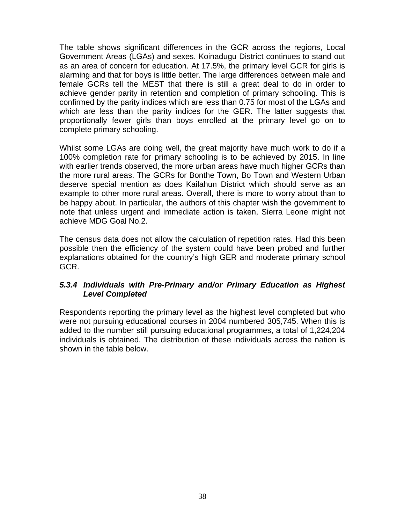The table shows significant differences in the GCR across the regions, Local Government Areas (LGAs) and sexes. Koinadugu District continues to stand out as an area of concern for education. At 17.5%, the primary level GCR for girls is alarming and that for boys is little better. The large differences between male and female GCRs tell the MEST that there is still a great deal to do in order to achieve gender parity in retention and completion of primary schooling. This is confirmed by the parity indices which are less than 0.75 for most of the LGAs and which are less than the parity indices for the GER. The latter suggests that proportionally fewer girls than boys enrolled at the primary level go on to complete primary schooling.

Whilst some LGAs are doing well, the great majority have much work to do if a 100% completion rate for primary schooling is to be achieved by 2015. In line with earlier trends observed, the more urban areas have much higher GCRs than the more rural areas. The GCRs for Bonthe Town, Bo Town and Western Urban deserve special mention as does Kailahun District which should serve as an example to other more rural areas. Overall, there is more to worry about than to be happy about. In particular, the authors of this chapter wish the government to note that unless urgent and immediate action is taken, Sierra Leone might not achieve MDG Goal No.2.

The census data does not allow the calculation of repetition rates. Had this been possible then the efficiency of the system could have been probed and further explanations obtained for the country's high GER and moderate primary school GCR.

# *5.3.4 Individuals with Pre-Primary and/or Primary Education as Highest Level Completed*

Respondents reporting the primary level as the highest level completed but who were not pursuing educational courses in 2004 numbered 305,745. When this is added to the number still pursuing educational programmes, a total of 1,224,204 individuals is obtained. The distribution of these individuals across the nation is shown in the table below.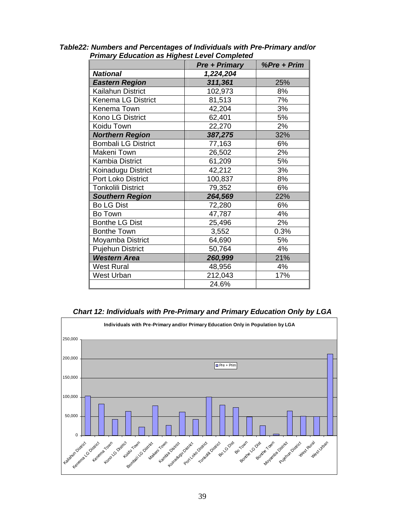| , _<br>                    | <b>Pre + Primary</b> | %Pre + Prim |
|----------------------------|----------------------|-------------|
| <b>National</b>            | 1,224,204            |             |
| <b>Eastern Region</b>      | 311,361              | 25%         |
| Kailahun District          | 102,973              | 8%          |
| Kenema LG District         | 81,513               | 7%          |
| Kenema Town                | 42,204               | 3%          |
| Kono LG District           | 62,401               | 5%          |
| Koidu Town                 | 22,270               | 2%          |
| <b>Northern Region</b>     | 387,275              | 32%         |
| <b>Bombali LG District</b> | 77,163               | 6%          |
| Makeni Town                | 26,502               | 2%          |
| <b>Kambia District</b>     | 61,209               | 5%          |
| Koinadugu District         | 42,212               | 3%          |
| <b>Port Loko District</b>  | 100,837              | 8%          |
| <b>Tonkolili District</b>  | 79,352               | 6%          |
| <b>Southern Region</b>     | 264,569              | 22%         |
| <b>Bo LG Dist</b>          | 72,280               | 6%          |
| Bo Town                    | 47,787               | 4%          |
| <b>Bonthe LG Dist</b>      | 25,496               | 2%          |
| <b>Bonthe Town</b>         | 3,552                | 0.3%        |
| Moyamba District           | 64,690               | 5%          |
| <b>Pujehun District</b>    | 50,764               | 4%          |
| <b>Western Area</b>        | 260,999              | 21%         |
| <b>West Rural</b>          | 48,956               | 4%          |
| <b>West Urban</b>          | 212,043              | 17%         |
|                            | 24.6%                |             |

*Table22: Numbers and Percentages of Individuals with Pre-Primary and/or Primary Education as Highest Level Completed* 

#### *Chart 12: Individuals with Pre-Primary and Primary Education Only by LGA*

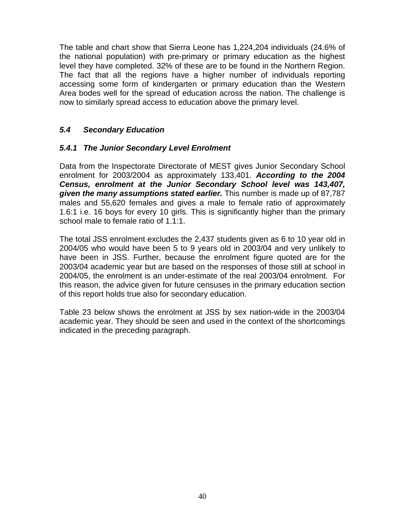The table and chart show that Sierra Leone has 1,224,204 individuals (24.6% of the national population) with pre-primary or primary education as the highest level they have completed. 32% of these are to be found in the Northern Region. The fact that all the regions have a higher number of individuals reporting accessing some form of kindergarten or primary education than the Western Area bodes well for the spread of education across the nation. The challenge is now to similarly spread access to education above the primary level.

# *5.4 Secondary Education*

## *5.4.1 The Junior Secondary Level Enrolment*

Data from the Inspectorate Directorate of MEST gives Junior Secondary School enrolment for 2003/2004 as approximately 133,401. *According to the 2004 Census, enrolment at the Junior Secondary School level was 143,407, given the many assumptions stated earlier.* This number is made up of 87,787 males and 55,620 females and gives a male to female ratio of approximately 1.6:1 i.e. 16 boys for every 10 girls. This is significantly higher than the primary school male to female ratio of 1.1:1.

The total JSS enrolment excludes the 2,437 students given as 6 to 10 year old in 2004/05 who would have been 5 to 9 years old in 2003/04 and very unlikely to have been in JSS. Further, because the enrolment figure quoted are for the 2003/04 academic year but are based on the responses of those still at school in 2004/05, the enrolment is an under-estimate of the real 2003/04 enrolment. For this reason, the advice given for future censuses in the primary education section of this report holds true also for secondary education.

Table 23 below shows the enrolment at JSS by sex nation-wide in the 2003/04 academic year. They should be seen and used in the context of the shortcomings indicated in the preceding paragraph.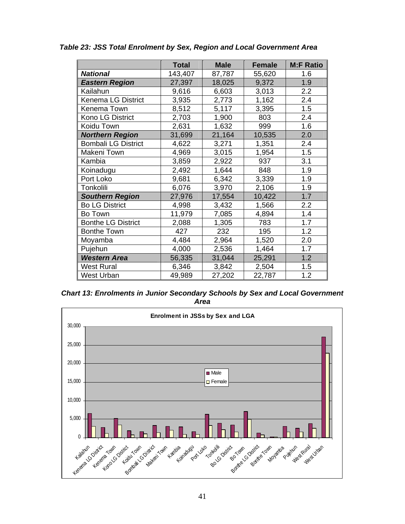|                            | <b>Total</b> | <b>Male</b> | <b>Female</b> | <b>M:F Ratio</b> |
|----------------------------|--------------|-------------|---------------|------------------|
| <b>National</b>            | 143,407      | 87,787      | 55,620        | 1.6              |
| <b>Eastern Region</b>      | 27,397       | 18,025      | 9,372         | 1.9              |
| Kailahun                   | 9,616        | 6,603       | 3,013         | 2.2              |
| <b>Kenema LG District</b>  | 3,935        | 2,773       | 1,162         | 2.4              |
| Kenema Town                | 8,512        | 5,117       | 3,395         | 1.5              |
| Kono LG District           | 2,703        | 1,900       | 803           | 2.4              |
| Koidu Town                 | 2,631        | 1,632       | 999           | 1.6              |
| <b>Northern Region</b>     | 31,699       | 21,164      | 10,535        | 2.0              |
| <b>Bombali LG District</b> | 4,622        | 3,271       | 1,351         | 2.4              |
| Makeni Town                | 4,969        | 3,015       | 1,954         | 1.5              |
| Kambia                     | 3,859        | 2,922       | 937           | 3.1              |
| Koinadugu                  | 2,492        | 1,644       | 848           | 1.9              |
| Port Loko                  | 9,681        | 6,342       | 3,339         | 1.9              |
| Tonkolili                  | 6,076        | 3,970       | 2,106         | 1.9              |
| <b>Southern Region</b>     | 27,976       | 17,554      | 10,422        | 1.7              |
| <b>Bo LG District</b>      | 4,998        | 3,432       | 1,566         | 2.2              |
| Bo Town                    | 11,979       | 7,085       | 4,894         | 1.4              |
| <b>Bonthe LG District</b>  | 2,088        | 1,305       | 783           | 1.7              |
| <b>Bonthe Town</b>         | 427          | 232         | 195           | 1.2              |
| Moyamba                    | 4,484        | 2,964       | 1,520         | 2.0              |
| Pujehun                    | 4,000        | 2,536       | 1,464         | 1.7              |
| <b>Western Area</b>        | 56,335       | 31,044      | 25,291        | 1.2              |
| <b>West Rural</b>          | 6,346        | 3,842       | 2,504         | 1.5              |
| West Urban                 | 49,989       | 27,202      | 22,787        | 1.2              |

*Table 23: JSS Total Enrolment by Sex, Region and Local Government Area* 

*Chart 13: Enrolments in Junior Secondary Schools by Sex and Local Government Area* 

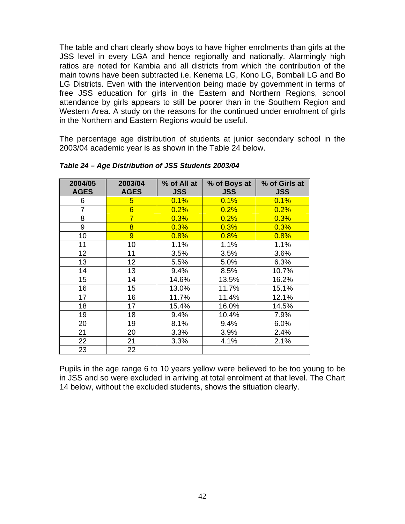The table and chart clearly show boys to have higher enrolments than girls at the JSS level in every LGA and hence regionally and nationally. Alarmingly high ratios are noted for Kambia and all districts from which the contribution of the main towns have been subtracted i.e. Kenema LG, Kono LG, Bombali LG and Bo LG Districts. Even with the intervention being made by government in terms of free JSS education for girls in the Eastern and Northern Regions, school attendance by girls appears to still be poorer than in the Southern Region and Western Area. A study on the reasons for the continued under enrolment of girls in the Northern and Eastern Regions would be useful.

The percentage age distribution of students at junior secondary school in the 2003/04 academic year is as shown in the Table 24 below.

| 2004/05<br><b>AGES</b> | 2003/04<br><b>AGES</b> | % of All at<br><b>JSS</b> | % of Boys at<br><b>JSS</b> | % of Girls at<br><b>JSS</b> |
|------------------------|------------------------|---------------------------|----------------------------|-----------------------------|
| 6                      | 5                      | 0.1%                      | 0.1%                       | 0.1%                        |
| $\overline{7}$         | $6\overline{6}$        | 0.2%                      | 0.2%                       | 0.2%                        |
| 8                      | $\overline{7}$         | 0.3%                      | 0.2%                       | 0.3%                        |
| 9                      | 8                      | 0.3%                      | 0.3%                       | 0.3%                        |
| 10                     | 9                      | 0.8%                      | 0.8%                       | 0.8%                        |
| 11                     | 10                     | 1.1%                      | 1.1%                       | 1.1%                        |
| 12                     | 11                     | 3.5%                      | 3.5%                       | 3.6%                        |
| 13                     | 12                     | 5.5%                      | 5.0%                       | 6.3%                        |
| 14                     | 13                     | 9.4%                      | 8.5%                       | 10.7%                       |
| 15                     | 14                     | 14.6%                     | 13.5%                      | 16.2%                       |
| 16                     | 15                     | 13.0%                     | 11.7%                      | 15.1%                       |
| 17                     | 16                     | 11.7%                     | 11.4%                      | 12.1%                       |
| 18                     | 17                     | 15.4%                     | 16.0%                      | 14.5%                       |
| 19                     | 18                     | 9.4%                      | 10.4%                      | 7.9%                        |
| 20                     | 19                     | 8.1%                      | 9.4%                       | 6.0%                        |
| 21                     | 20                     | 3.3%                      | 3.9%                       | 2.4%                        |
| 22                     | 21                     | 3.3%                      | 4.1%                       | 2.1%                        |
| 23                     | 22                     |                           |                            |                             |

*Table 24 – Age Distribution of JSS Students 2003/04* 

Pupils in the age range 6 to 10 years yellow were believed to be too young to be in JSS and so were excluded in arriving at total enrolment at that level. The Chart 14 below, without the excluded students, shows the situation clearly.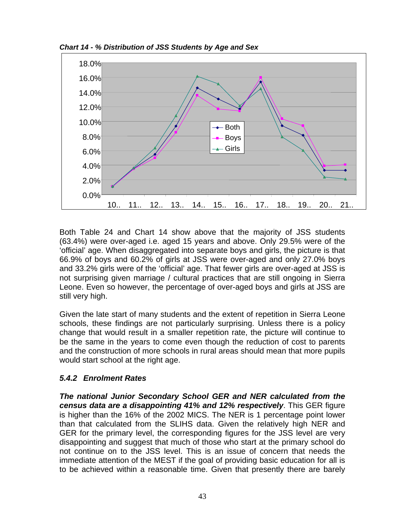*Chart 14 - % Distribution of JSS Students by Age and Sex* 



Both Table 24 and Chart 14 show above that the majority of JSS students (63.4%) were over-aged i.e. aged 15 years and above. Only 29.5% were of the 'official' age. When disaggregated into separate boys and girls, the picture is that 66.9% of boys and 60.2% of girls at JSS were over-aged and only 27.0% boys and 33.2% girls were of the 'official' age. That fewer girls are over-aged at JSS is not surprising given marriage / cultural practices that are still ongoing in Sierra Leone. Even so however, the percentage of over-aged boys and girls at JSS are still very high.

Given the late start of many students and the extent of repetition in Sierra Leone schools, these findings are not particularly surprising. Unless there is a policy change that would result in a smaller repetition rate, the picture will continue to be the same in the years to come even though the reduction of cost to parents and the construction of more schools in rural areas should mean that more pupils would start school at the right age.

# *5.4.2 Enrolment Rates*

*The national Junior Secondary School GER and NER calculated from the census data are a disappointing 41% and 12% respectively*. This GER figure is higher than the 16% of the 2002 MICS. The NER is 1 percentage point lower than that calculated from the SLIHS data. Given the relatively high NER and GER for the primary level, the corresponding figures for the JSS level are very disappointing and suggest that much of those who start at the primary school do not continue on to the JSS level. This is an issue of concern that needs the immediate attention of the MEST if the goal of providing basic education for all is to be achieved within a reasonable time. Given that presently there are barely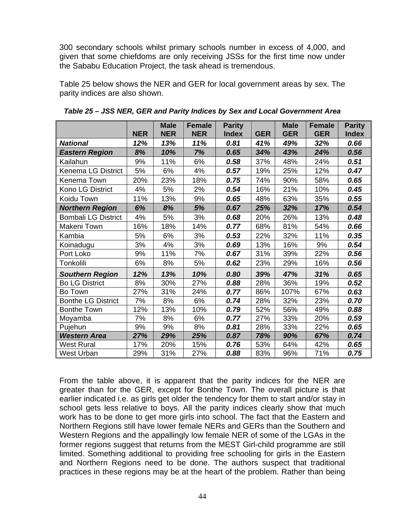300 secondary schools whilst primary schools number in excess of 4,000, and given that some chiefdoms are only receiving JSSs for the first time now under the Sababu Education Project, the task ahead is tremendous.

Table 25 below shows the NER and GER for local government areas by sex. The parity indices are also shown.

|                            |            | <b>Male</b> | <b>Female</b> | <b>Parity</b> |            | <b>Male</b> | <b>Female</b> | <b>Parity</b> |
|----------------------------|------------|-------------|---------------|---------------|------------|-------------|---------------|---------------|
|                            | <b>NER</b> | <b>NER</b>  | <b>NER</b>    | <b>Index</b>  | <b>GER</b> | <b>GER</b>  | <b>GER</b>    | <b>Index</b>  |
| <b>National</b>            | 12%        | 13%         | 11%           | 0.81          | 41%        | 49%         | 32%           | 0.66          |
| <b>Eastern Region</b>      | 8%         | 10%         | 7%            | 0.65          | 34%        | 43%         | 24%           | 0.56          |
| Kailahun                   | 9%         | 11%         | 6%            | 0.58          | 37%        | 48%         | 24%           | 0.51          |
| Kenema LG District         | 5%         | 6%          | 4%            | 0.57          | 19%        | 25%         | 12%           | 0.47          |
| Kenema Town                | 20%        | 23%         | 18%           | 0.75          | 74%        | 90%         | 58%           | 0.65          |
| Kono LG District           | 4%         | 5%          | 2%            | 0.54          | 16%        | 21%         | 10%           | 0.45          |
| Koidu Town                 | 11%        | 13%         | 9%            | 0.65          | 48%        | 63%         | 35%           | 0.55          |
| <b>Northern Region</b>     | 6%         | 8%          | 5%            | 0.67          | 25%        | 32%         | 17%           | 0.54          |
| <b>Bombali LG District</b> | 4%         | 5%          | 3%            | 0.68          | 20%        | 26%         | 13%           | 0.48          |
| Makeni Town                | 16%        | 18%         | 14%           | 0.77          | 68%        | 81%         | 54%           | 0.66          |
| Kambia                     | 5%         | 6%          | 3%            | 0.53          | 22%        | 32%         | 11%           | 0.35          |
| Koinadugu                  | 3%         | 4%          | 3%            | 0.69          | 13%        | 16%         | 9%            | 0.54          |
| Port Loko                  | 9%         | 11%         | 7%            | 0.67          | 31%        | 39%         | 22%           | 0.56          |
| Tonkolili                  | 6%         | 8%          | 5%            | 0.62          | 23%        | 29%         | 16%           | 0.56          |
| <b>Southern Region</b>     | 12%        | 13%         | 10%           | 0.80          | 39%        | 47%         | 31%           | 0.65          |
| <b>Bo LG District</b>      | 8%         | 30%         | 27%           | 0.88          | 28%        | 36%         | 19%           | 0.52          |
| Bo Town                    | 27%        | 31%         | 24%           | 0.77          | 86%        | 107%        | 67%           | 0.63          |
| <b>Bonthe LG District</b>  | 7%         | 8%          | 6%            | 0.74          | 28%        | 32%         | 23%           | 0.70          |
| <b>Bonthe Town</b>         | 12%        | 13%         | 10%           | 0.79          | 52%        | 56%         | 49%           | 0.88          |
| Moyamba                    | 7%         | 8%          | 6%            | 0.77          | 27%        | 33%         | 20%           | 0.59          |
| Pujehun                    | 9%         | 9%          | 8%            | 0.81          | 28%        | 33%         | 22%           | 0.65          |
| <b>Western Area</b>        | 27%        | 29%         | 25%           | 0.87          | 78%        | 90%         | 67%           | 0.74          |
| <b>West Rural</b>          | 17%        | 20%         | 15%           | 0.76          | 53%        | 64%         | 42%           | 0.65          |
| <b>West Urban</b>          | 29%        | 31%         | 27%           | 0.88          | 83%        | 96%         | 71%           | 0.75          |

*Table 25 – JSS NER, GER and Parity Indices by Sex and Local Government Area* 

From the table above, it is apparent that the parity indices for the NER are greater than for the GER, except for Bonthe Town. The overall picture is that earlier indicated i.e. as girls get older the tendency for them to start and/or stay in school gets less relative to boys. All the parity indices clearly show that much work has to be done to get more girls into school. The fact that the Eastern and Northern Regions still have lower female NERs and GERs than the Southern and Western Regions and the appallingly low female NER of some of the LGAs in the former regions suggest that returns from the MEST Girl-child programme are still limited. Something additional to providing free schooling for girls in the Eastern and Northern Regions need to be done. The authors suspect that traditional practices in these regions may be at the heart of the problem. Rather than being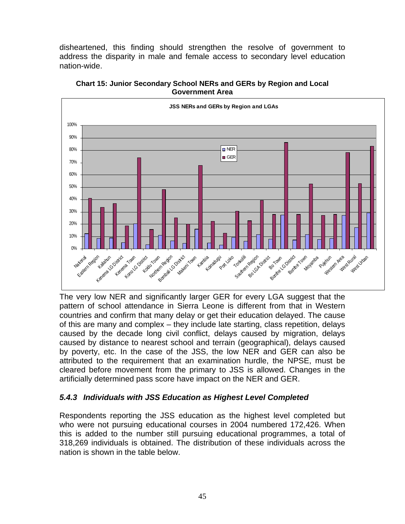disheartened, this finding should strengthen the resolve of government to address the disparity in male and female access to secondary level education nation-wide.



**Chart 15: Junior Secondary School NERs and GERs by Region and Local Government Area** 

The very low NER and significantly larger GER for every LGA suggest that the pattern of school attendance in Sierra Leone is different from that in Western countries and confirm that many delay or get their education delayed. The cause of this are many and complex – they include late starting, class repetition, delays caused by the decade long civil conflict, delays caused by migration, delays caused by distance to nearest school and terrain (geographical), delays caused by poverty, etc. In the case of the JSS, the low NER and GER can also be attributed to the requirement that an examination hurdle, the NPSE, must be cleared before movement from the primary to JSS is allowed. Changes in the artificially determined pass score have impact on the NER and GER.

# *5.4.3 Individuals with JSS Education as Highest Level Completed*

Respondents reporting the JSS education as the highest level completed but who were not pursuing educational courses in 2004 numbered 172,426. When this is added to the number still pursuing educational programmes, a total of 318,269 individuals is obtained. The distribution of these individuals across the nation is shown in the table below.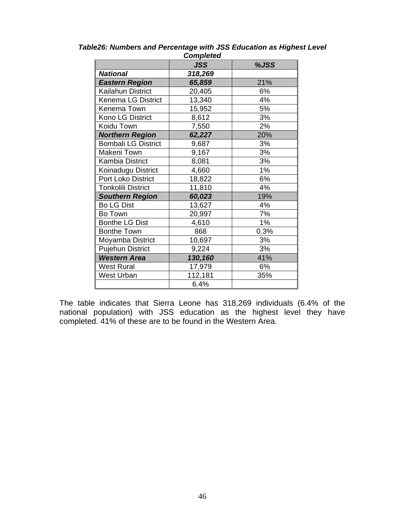|                            | vunpicleu  |      |
|----------------------------|------------|------|
|                            | <b>JSS</b> | %JSS |
| <b>National</b>            | 318,269    |      |
| <b>Eastern Region</b>      | 65,859     | 21%  |
| <b>Kailahun District</b>   | 20,405     | 6%   |
| Kenema LG District         | 13,340     | 4%   |
| Kenema Town                | 15,952     | 5%   |
| Kono LG District           | 8,612      | 3%   |
| Koidu Town                 | 7,550      | 2%   |
| <b>Northern Region</b>     | 62,227     | 20%  |
| <b>Bombali LG District</b> | 9,687      | 3%   |
| Makeni Town                | 9,167      | 3%   |
| <b>Kambia District</b>     | 8,081      | 3%   |
| Koinadugu District         | 4,660      | 1%   |
| Port Loko District         | 18,822     | 6%   |
| <b>Tonkolili District</b>  | 11,810     | 4%   |
| <b>Southern Region</b>     | 60,023     | 19%  |
| <b>Bo LG Dist</b>          | 13,627     | 4%   |
| Bo Town                    | 20,997     | 7%   |
| <b>Bonthe LG Dist</b>      | 4,610      | 1%   |
| <b>Bonthe Town</b>         | 868        | 0.3% |
| Moyamba District           | 10,697     | 3%   |
| <b>Pujehun District</b>    | 9,224      | 3%   |
| <b>Western Area</b>        | 130,160    | 41%  |
| <b>West Rural</b>          | 17,979     | 6%   |
| West Urban                 | 112,181    | 35%  |
|                            | 6.4%       |      |

*Table26: Numbers and Percentage with JSS Education as Highest Level Completed* 

The table indicates that Sierra Leone has 318,269 individuals (6.4% of the national population) with JSS education as the highest level they have completed. 41% of these are to be found in the Western Area.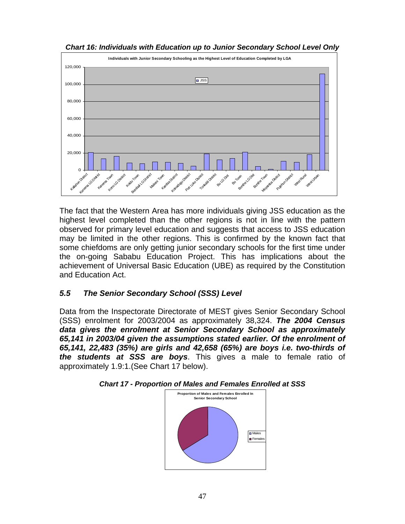

*Chart 16: Individuals with Education up to Junior Secondary School Level Only* 

The fact that the Western Area has more individuals giving JSS education as the highest level completed than the other regions is not in line with the pattern observed for primary level education and suggests that access to JSS education may be limited in the other regions. This is confirmed by the known fact that some chiefdoms are only getting junior secondary schools for the first time under the on-going Sababu Education Project. This has implications about the achievement of Universal Basic Education (UBE) as required by the Constitution and Education Act.

# *5.5 The Senior Secondary School (SSS) Level*

Data from the Inspectorate Directorate of MEST gives Senior Secondary School (SSS) enrolment for 2003/2004 as approximately 38,324. *The 2004 Census data gives the enrolment at Senior Secondary School as approximately 65,141 in 2003/04 given the assumptions stated earlier. Of the enrolment of 65,141, 22,483 (35%) are girls and 42,658 (65%) are boys i.e. two-thirds of the students at SSS are boys*. This gives a male to female ratio of approximately 1.9:1.(See Chart 17 below).



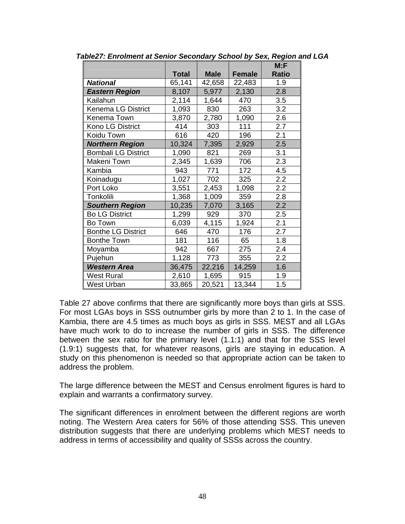|                            |              |             |        | M: F         |
|----------------------------|--------------|-------------|--------|--------------|
|                            | <b>Total</b> | <b>Male</b> | Female | <b>Ratio</b> |
| <b>National</b>            | 65,141       | 42,658      | 22,483 | 1.9          |
| <b>Eastern Region</b>      | 8,107        | 5,977       | 2,130  | 2.8          |
| Kailahun                   | 2,114        | 1,644       | 470    | 3.5          |
| <b>Kenema LG District</b>  | 1,093        | 830         | 263    | 3.2          |
| Kenema Town                | 3,870        | 2,780       | 1,090  | 2.6          |
| Kono LG District           | 414          | 303         | 111    | 2.7          |
| Koidu Town                 | 616          | 420         | 196    | 2.1          |
| <b>Northern Region</b>     | 10,324       | 7,395       | 2,929  | 2.5          |
| <b>Bombali LG District</b> | 1,090        | 821         | 269    | 3.1          |
| Makeni Town                | 2,345        | 1,639       | 706    | 2.3          |
| Kambia                     | 943          | 771         | 172    | 4.5          |
| Koinadugu                  | 1,027        | 702         | 325    | 2.2          |
| Port Loko                  | 3,551        | 2,453       | 1,098  | 2.2          |
| Tonkolili                  | 1,368        | 1,009       | 359    | 2.8          |
| <b>Southern Region</b>     | 10,235       | 7,070       | 3,165  | 2.2          |
| <b>Bo LG District</b>      | 1,299        | 929         | 370    | 2.5          |
| Bo Town                    | 6,039        | 4,115       | 1,924  | 2.1          |
| <b>Bonthe LG District</b>  | 646          | 470         | 176    | 2.7          |
| <b>Bonthe Town</b>         | 181          | 116         | 65     | 1.8          |
| Moyamba                    | 942          | 667         | 275    | 2.4          |
| Pujehun                    | 1,128        | 773         | 355    | 2.2          |
| <b>Western Area</b>        | 36,475       | 22,216      | 14,259 | 1.6          |
| West Rural                 | 2,610        | 1,695       | 915    | 1.9          |
| West Urban                 | 33,865       | 20,521      | 13,344 | 1.5          |

*Table27: Enrolment at Senior Secondary School by Sex, Region and LGA* 

Table 27 above confirms that there are significantly more boys than girls at SSS. For most LGAs boys in SSS outnumber girls by more than 2 to 1. In the case of Kambia, there are 4.5 times as much boys as girls in SSS. MEST and all LGAs have much work to do to increase the number of girls in SSS. The difference between the sex ratio for the primary level (1.1:1) and that for the SSS level (1.9:1) suggests that, for whatever reasons, girls are staying in education. A study on this phenomenon is needed so that appropriate action can be taken to address the problem.

The large difference between the MEST and Census enrolment figures is hard to explain and warrants a confirmatory survey.

The significant differences in enrolment between the different regions are worth noting. The Western Area caters for 56% of those attending SSS. This uneven distribution suggests that there are underlying problems which MEST needs to address in terms of accessibility and quality of SSSs across the country.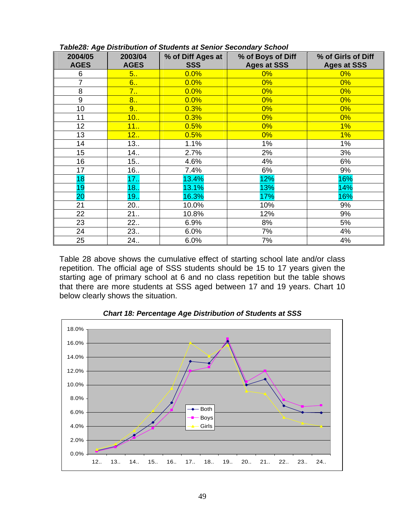| 2004/05<br><b>AGES</b> | 2003/04<br><b>AGES</b> | % of Diff Ages at<br><b>SSS</b> | % of Boys of Diff<br><b>Ages at SSS</b> | % of Girls of Diff<br><b>Ages at SSS</b> |
|------------------------|------------------------|---------------------------------|-----------------------------------------|------------------------------------------|
| 6                      | 5.                     | 0.0%                            | 0%                                      | 0%                                       |
| $\overline{7}$         | 6.                     | 0.0%                            | 0%                                      | $0\%$                                    |
| 8                      | $7_{\cdot\cdot}$       | 0.0%                            | 0%                                      | 0%                                       |
| 9                      | 8.                     | 0.0%                            | 0%                                      | 0%                                       |
| 10                     | 9                      | 0.3%                            | 0%                                      | 0%                                       |
| 11                     | 10                     | 0.3%                            | 0%                                      | 0%                                       |
| 12 <sub>2</sub>        | 11                     | 0.5%                            | $0\%$                                   | $1\%$                                    |
| 13                     | 12.                    | 0.5%                            | 0%                                      | $1\%$                                    |
| 14                     | 13.                    | 1.1%                            | 1%                                      | 1%                                       |
| 15                     | 14.                    | 2.7%                            | 2%                                      | 3%                                       |
| 16                     | 15.                    | 4.6%                            | 4%                                      | 6%                                       |
| 17                     | 16.                    | 7.4%                            | 6%                                      | 9%                                       |
| 18                     | 17.                    | 13.4%                           | 12%                                     | 16%                                      |
| 19                     | 18.                    | 13.1%                           | 13%                                     | 14%                                      |
| 20                     | 19.1                   | 16.3%                           | 17%                                     | 16%                                      |
| 21                     | 20                     | 10.0%                           | 10%                                     | 9%                                       |
| 22                     | 21                     | 10.8%                           | 12%                                     | 9%                                       |
| 23                     | 22.                    | 6.9%                            | 8%                                      | 5%                                       |
| 24                     | 23                     | 6.0%                            | 7%                                      | 4%                                       |
| 25                     | 24                     | 6.0%                            | 7%                                      | 4%                                       |

*Table28: Age Distribution of Students at Senior Secondary School* 

Table 28 above shows the cumulative effect of starting school late and/or class repetition. The official age of SSS students should be 15 to 17 years given the starting age of primary school at 6 and no class repetition but the table shows that there are more students at SSS aged between 17 and 19 years. Chart 10 below clearly shows the situation.



*Chart 18: Percentage Age Distribution of Students at SSS*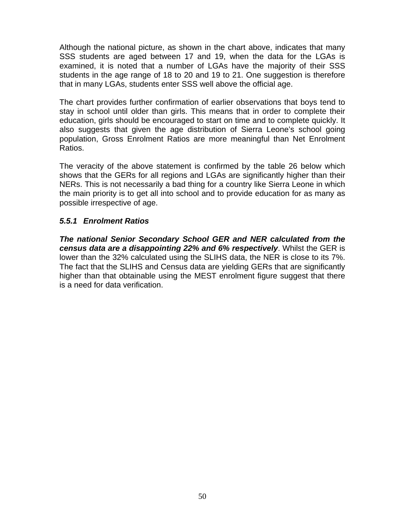Although the national picture, as shown in the chart above, indicates that many SSS students are aged between 17 and 19, when the data for the LGAs is examined, it is noted that a number of LGAs have the majority of their SSS students in the age range of 18 to 20 and 19 to 21. One suggestion is therefore that in many LGAs, students enter SSS well above the official age.

The chart provides further confirmation of earlier observations that boys tend to stay in school until older than girls. This means that in order to complete their education, girls should be encouraged to start on time and to complete quickly. It also suggests that given the age distribution of Sierra Leone's school going population, Gross Enrolment Ratios are more meaningful than Net Enrolment Ratios.

The veracity of the above statement is confirmed by the table 26 below which shows that the GERs for all regions and LGAs are significantly higher than their NERs. This is not necessarily a bad thing for a country like Sierra Leone in which the main priority is to get all into school and to provide education for as many as possible irrespective of age.

# *5.5.1 Enrolment Ratios*

*The national Senior Secondary School GER and NER calculated from the census data are a disappointing 22% and 6% respectively*. Whilst the GER is lower than the 32% calculated using the SLIHS data, the NER is close to its 7%. The fact that the SLIHS and Census data are yielding GERs that are significantly higher than that obtainable using the MEST enrolment figure suggest that there is a need for data verification.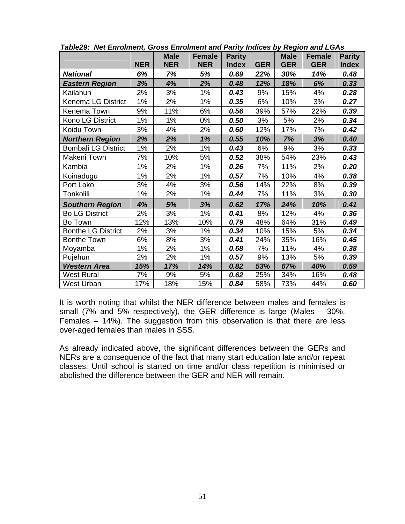|                            |            | <b>Male</b> | <b>Female</b> | <b>Parity</b> |            | <b>Male</b> | <b>Female</b> | <b>Parity</b> |
|----------------------------|------------|-------------|---------------|---------------|------------|-------------|---------------|---------------|
|                            | <b>NER</b> | <b>NER</b>  | <b>NER</b>    | <b>Index</b>  | <b>GER</b> | <b>GER</b>  | <b>GER</b>    | <b>Index</b>  |
| <b>National</b>            | 6%         | 7%          | 5%            | 0.69          | 22%        | 30%         | 14%           | 0.48          |
| <b>Eastern Region</b>      | 3%         | 4%          | 2%            | 0.48          | 12%        | 18%         | 6%            | 0.33          |
| Kailahun                   | 2%         | 3%          | 1%            | 0.43          | 9%         | 15%         | 4%            | 0.28          |
| <b>Kenema LG District</b>  | 1%         | 2%          | 1%            | 0.35          | 6%         | 10%         | 3%            | 0.27          |
| Kenema Town                | 9%         | 11%         | 6%            | 0.56          | 39%        | 57%         | 22%           | 0.39          |
| Kono LG District           | 1%         | 1%          | 0%            | 0.50          | 3%         | 5%          | 2%            | 0.34          |
| Koidu Town                 | 3%         | 4%          | 2%            | 0.60          | 12%        | 17%         | 7%            | 0.42          |
| <b>Northern Region</b>     | 2%         | 2%          | 1%            | 0.55          | 10%        | 7%          | 3%            | 0.40          |
| <b>Bombali LG District</b> | 1%         | 2%          | 1%            | 0.43          | 6%         | 9%          | 3%            | 0.33          |
| Makeni Town                | 7%         | 10%         | 5%            | 0.52          | 38%        | 54%         | 23%           | 0.43          |
| Kambia                     | 1%         | 2%          | 1%            | 0.26          | 7%         | 11%         | 2%            | 0.20          |
| Koinadugu                  | 1%         | 2%          | 1%            | 0.57          | 7%         | 10%         | 4%            | 0.38          |
| Port Loko                  | 3%         | 4%          | 3%            | 0.56          | 14%        | 22%         | 8%            | 0.39          |
| Tonkolili                  | 1%         | 2%          | 1%            | 0.44          | 7%         | 11%         | 3%            | 0.30          |
| <b>Southern Region</b>     | 4%         | 5%          | 3%            | 0.62          | 17%        | 24%         | 10%           | 0.41          |
| <b>Bo LG District</b>      | 2%         | 3%          | 1%            | 0.41          | 8%         | 12%         | 4%            | 0.36          |
| Bo Town                    | 12%        | 13%         | 10%           | 0.79          | 48%        | 64%         | 31%           | 0.49          |
| <b>Bonthe LG District</b>  | 2%         | 3%          | 1%            | 0.34          | 10%        | 15%         | 5%            | 0.34          |
| <b>Bonthe Town</b>         | 6%         | 8%          | 3%            | 0.41          | 24%        | 35%         | 16%           | 0.45          |
| Moyamba                    | 1%         | 2%          | 1%            | 0.68          | 7%         | 11%         | 4%            | 0.38          |
| Pujehun                    | 2%         | 2%          | 1%            | 0.57          | 9%         | 13%         | 5%            | 0.39          |
| <b>Western Area</b>        | 15%        | 17%         | 14%           | 0.82          | 53%        | 67%         | 40%           | 0.59          |
| <b>West Rural</b>          | 7%         | 9%          | 5%            | 0.62          | 25%        | 34%         | 16%           | 0.48          |
| West Urban                 | 17%        | 18%         | 15%           | 0.84          | 58%        | 73%         | 44%           | 0.60          |

*Table29: Net Enrolment, Gross Enrolment and Parity Indices by Region and LGAs* 

It is worth noting that whilst the NER difference between males and females is small (7% and 5% respectively), the GER difference is large (Males – 30%, Females – 14%). The suggestion from this observation is that there are less over-aged females than males in SSS.

As already indicated above, the significant differences between the GERs and NERs are a consequence of the fact that many start education late and/or repeat classes. Until school is started on time and/or class repetition is minimised or abolished the difference between the GER and NER will remain.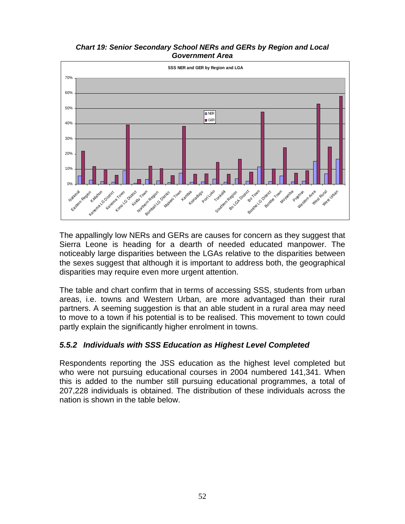#### *Chart 19: Senior Secondary School NERs and GERs by Region and Local Government Area*



The appallingly low NERs and GERs are causes for concern as they suggest that Sierra Leone is heading for a dearth of needed educated manpower. The noticeably large disparities between the LGAs relative to the disparities between the sexes suggest that although it is important to address both, the geographical disparities may require even more urgent attention.

The table and chart confirm that in terms of accessing SSS, students from urban areas, i.e. towns and Western Urban, are more advantaged than their rural partners. A seeming suggestion is that an able student in a rural area may need to move to a town if his potential is to be realised. This movement to town could partly explain the significantly higher enrolment in towns.

## *5.5.2 Individuals with SSS Education as Highest Level Completed*

Respondents reporting the JSS education as the highest level completed but who were not pursuing educational courses in 2004 numbered 141,341. When this is added to the number still pursuing educational programmes, a total of 207,228 individuals is obtained. The distribution of these individuals across the nation is shown in the table below.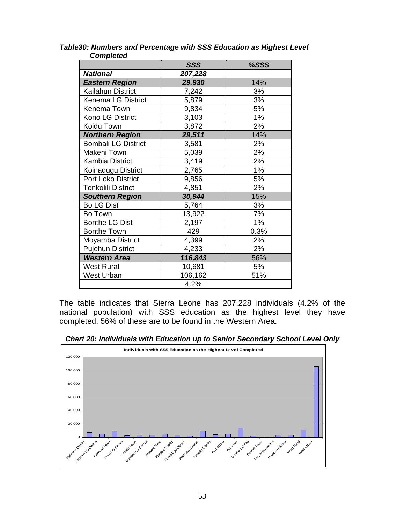|                            | SSS     | %SSS |  |  |  |
|----------------------------|---------|------|--|--|--|
| <b>National</b>            | 207,228 |      |  |  |  |
| <b>Eastern Region</b>      | 29,930  | 14%  |  |  |  |
| Kailahun District          | 7,242   | 3%   |  |  |  |
| Kenema LG District         | 5,879   | 3%   |  |  |  |
| Kenema Town                | 9,834   | 5%   |  |  |  |
| Kono LG District           | 3,103   | 1%   |  |  |  |
| Koidu Town                 | 3,872   | 2%   |  |  |  |
| <b>Northern Region</b>     | 29,511  | 14%  |  |  |  |
| <b>Bombali LG District</b> | 3,581   | 2%   |  |  |  |
| Makeni Town                | 5,039   | 2%   |  |  |  |
| <b>Kambia District</b>     | 3,419   | 2%   |  |  |  |
| Koinadugu District         | 2,765   | 1%   |  |  |  |
| Port Loko District         | 9,856   | 5%   |  |  |  |
| <b>Tonkolili District</b>  | 4,851   | 2%   |  |  |  |
| <b>Southern Region</b>     | 30,944  | 15%  |  |  |  |
| <b>Bo LG Dist</b>          | 5,764   | 3%   |  |  |  |
| Bo Town                    | 13,922  | 7%   |  |  |  |
| <b>Bonthe LG Dist</b>      | 2,197   | 1%   |  |  |  |
| <b>Bonthe Town</b>         | 429     | 0.3% |  |  |  |
| Moyamba District           | 4,399   | 2%   |  |  |  |
| <b>Pujehun District</b>    | 4,233   | 2%   |  |  |  |
| <b>Western Area</b>        | 116,843 | 56%  |  |  |  |
| <b>West Rural</b>          | 10,681  | 5%   |  |  |  |
| <b>West Urban</b>          | 106,162 | 51%  |  |  |  |
| 4.2%                       |         |      |  |  |  |

*Table30: Numbers and Percentage with SSS Education as Highest Level Completed* 

The table indicates that Sierra Leone has 207,228 individuals (4.2% of the national population) with SSS education as the highest level they have completed. 56% of these are to be found in the Western Area.

*Chart 20: Individuals with Education up to Senior Secondary School Level Only* 

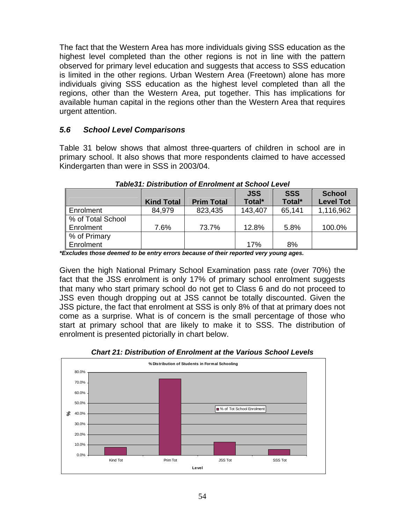The fact that the Western Area has more individuals giving SSS education as the highest level completed than the other regions is not in line with the pattern observed for primary level education and suggests that access to SSS education is limited in the other regions. Urban Western Area (Freetown) alone has more individuals giving SSS education as the highest level completed than all the regions, other than the Western Area, put together. This has implications for available human capital in the regions other than the Western Area that requires urgent attention.

## *5.6 School Level Comparisons*

Table 31 below shows that almost three-quarters of children in school are in primary school. It also shows that more respondents claimed to have accessed Kindergarten than were in SSS in 2003/04.

|                   |                   |                   | <b>JSS</b> | <b>SSS</b> | <b>School</b>    |
|-------------------|-------------------|-------------------|------------|------------|------------------|
|                   | <b>Kind Total</b> | <b>Prim Total</b> | Total*     | Total*     | <b>Level Tot</b> |
| Enrolment         | 84,979            | 823,435           | 143,407    | 65,141     | 1,116,962        |
| % of Total School |                   |                   |            |            |                  |
| Enrolment         | 7.6%              | 73.7%             | 12.8%      | 5.8%       | 100.0%           |
| % of Primary      |                   |                   |            |            |                  |
| Enrolment         |                   |                   | 17%        | 8%         |                  |

*Table31: Distribution of Enrolment at School Level* 

*\*Excludes those deemed to be entry errors because of their reported very young ages.* 

Given the high National Primary School Examination pass rate (over 70%) the fact that the JSS enrolment is only 17% of primary school enrolment suggests that many who start primary school do not get to Class 6 and do not proceed to JSS even though dropping out at JSS cannot be totally discounted. Given the JSS picture, the fact that enrolment at SSS is only 8% of that at primary does not come as a surprise. What is of concern is the small percentage of those who start at primary school that are likely to make it to SSS. The distribution of enrolment is presented pictorially in chart below.



*Chart 21: Distribution of Enrolment at the Various School Levels*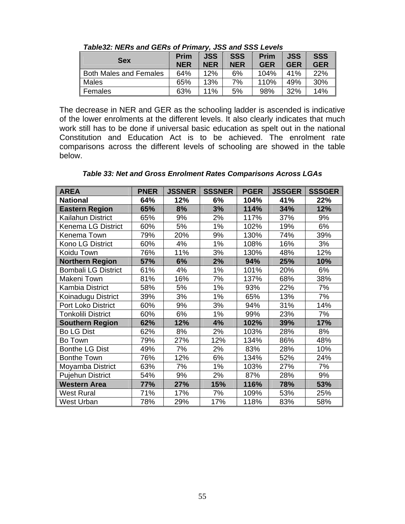| <b>Sex</b>                    | <b>Prim</b><br><b>NER</b> | <b>JSS</b><br><b>NER</b> | <b>SSS</b><br><b>NER</b> | <b>Prim</b><br><b>GER</b> | <b>JSS</b><br><b>GER</b> | <b>SSS</b><br><b>GER</b> |
|-------------------------------|---------------------------|--------------------------|--------------------------|---------------------------|--------------------------|--------------------------|
| <b>Both Males and Females</b> | 64%                       | 12%                      | 6%                       | 104%                      | 41%                      | 22%                      |
| Males                         | 65%                       | 13%                      | 7%                       | 110%                      | 49%                      | 30%                      |
| Females                       | 63%                       | 11%                      | 5%                       | 98%                       | 32%                      | 14%                      |

*Table32: NERs and GERs of Primary, JSS and SSS Levels* 

The decrease in NER and GER as the schooling ladder is ascended is indicative of the lower enrolments at the different levels. It also clearly indicates that much work still has to be done if universal basic education as spelt out in the national Constitution and Education Act is to be achieved. The enrolment rate comparisons across the different levels of schooling are showed in the table below.

*Table 33: Net and Gross Enrolment Rates Comparisons Across LGAs* 

| <b>AREA</b>                | <b>PNER</b> | <b>JSSNER</b> | <b>SSSNER</b> | <b>PGER</b> | <b>JSSGER</b> | <b>SSSGER</b> |
|----------------------------|-------------|---------------|---------------|-------------|---------------|---------------|
| <b>National</b>            | 64%         | 12%           | 6%            | 104%        | 41%           | 22%           |
| <b>Eastern Region</b>      | 65%         | 8%            | 3%            | 114%        | 34%           | 12%           |
| Kailahun District          | 65%         | 9%            | 2%            | 117%        | 37%           | 9%            |
| <b>Kenema LG District</b>  | 60%         | 5%            | 1%            | 102%        | 19%           | 6%            |
| Kenema Town                | 79%         | 20%           | 9%            | 130%        | 74%           | 39%           |
| Kono LG District           | 60%         | 4%            | 1%            | 108%        | 16%           | 3%            |
| Koidu Town                 | 76%         | 11%           | 3%            | 130%        | 48%           | 12%           |
| <b>Northern Region</b>     | 57%         | 6%            | 2%            | 94%         | 25%           | 10%           |
| <b>Bombali LG District</b> | 61%         | 4%            | 1%            | 101%        | 20%           | 6%            |
| Makeni Town                | 81%         | 16%           | 7%            | 137%        | 68%           | 38%           |
| Kambia District            | 58%         | 5%            | 1%            | 93%         | 22%           | 7%            |
| Koinadugu District         | 39%         | 3%            | 1%            | 65%         | 13%           | 7%            |
| Port Loko District         | 60%         | 9%            | 3%            | 94%         | 31%           | 14%           |
| <b>Tonkolili District</b>  | 60%         | 6%            | 1%            | 99%         | 23%           | 7%            |
| <b>Southern Region</b>     | 62%         | 12%           | 4%            | 102%        | 39%           | 17%           |
| <b>Bo LG Dist</b>          | 62%         | 8%            | 2%            | 103%        | 28%           | 8%            |
| Bo Town                    | 79%         | 27%           | 12%           | 134%        | 86%           | 48%           |
| <b>Bonthe LG Dist</b>      | 49%         | 7%            | 2%            | 83%         | 28%           | 10%           |
| <b>Bonthe Town</b>         | 76%         | 12%           | 6%            | 134%        | 52%           | 24%           |
| Moyamba District           | 63%         | 7%            | 1%            | 103%        | 27%           | 7%            |
| Pujehun District           | 54%         | 9%            | 2%            | 87%         | 28%           | 9%            |
| <b>Western Area</b>        | 77%         | 27%           | 15%           | 116%        | 78%           | 53%           |
| <b>West Rural</b>          | 71%         | 17%           | 7%            | 109%        | 53%           | 25%           |
| <b>West Urban</b>          | 78%         | 29%           | 17%           | 118%        | 83%           | 58%           |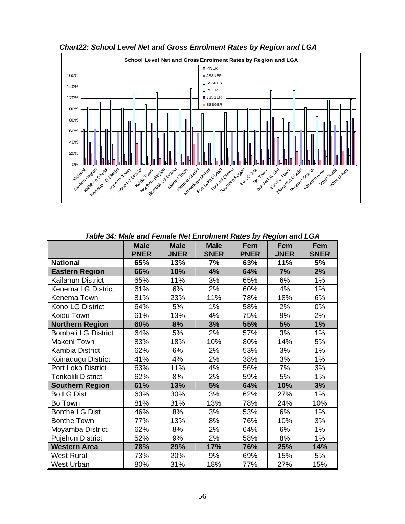

*Chart22: School Level Net and Gross Enrolment Rates by Region and LGA* 

*Table 34: Male and Female Net Enrolment Rates by Region and LGA*

|                            | <b>Male</b> | <b>Male</b> | <b>Male</b> | Fem         | Fem         | Fem         |
|----------------------------|-------------|-------------|-------------|-------------|-------------|-------------|
|                            | <b>PNER</b> | <b>JNER</b> | <b>SNER</b> | <b>PNER</b> | <b>JNER</b> | <b>SNER</b> |
| <b>National</b>            | 65%         | 13%         | 7%          | 63%         | 11%         | 5%          |
| <b>Eastern Region</b>      | 66%         | 10%         | 4%          | 64%         | 7%          | 2%          |
| Kailahun District          | 65%         | 11%         | 3%          | 65%         | 6%          | 1%          |
| <b>Kenema LG District</b>  | 61%         | 6%          | 2%          | 60%         | 4%          | 1%          |
| Kenema Town                | 81%         | 23%         | 11%         | 78%         | 18%         | 6%          |
| Kono LG District           | 64%         | 5%          | 1%          | 58%         | 2%          | 0%          |
| Koidu Town                 | 61%         | 13%         | 4%          | 75%         | 9%          | 2%          |
| <b>Northern Region</b>     | 60%         | 8%          | 3%          | 55%         | 5%          | 1%          |
| <b>Bombali LG District</b> | 64%         | 5%          | 2%          | 57%         | 3%          | 1%          |
| Makeni Town                | 83%         | 18%         | 10%         | 80%         | 14%         | 5%          |
| <b>Kambia District</b>     | 62%         | 6%          | 2%          | 53%         | 3%          | 1%          |
| Koinadugu District         | 41%         | 4%          | 2%          | 38%         | 3%          | 1%          |
| Port Loko District         | 63%         | 11%         | 4%          | 56%         | 7%          | 3%          |
| <b>Tonkolili District</b>  | 62%         | 8%          | 2%          | 59%         | 5%          | 1%          |
| <b>Southern Region</b>     | 61%         | 13%         | 5%          | 64%         | 10%         | 3%          |
| <b>Bo LG Dist</b>          | 63%         | 30%         | 3%          | 62%         | 27%         | 1%          |
| Bo Town                    | 81%         | 31%         | 13%         | 78%         | 24%         | 10%         |
| <b>Bonthe LG Dist</b>      | 46%         | 8%          | 3%          | 53%         | 6%          | 1%          |
| <b>Bonthe Town</b>         | 77%         | 13%         | 8%          | 76%         | 10%         | 3%          |
| Moyamba District           | 62%         | 8%          | 2%          | 64%         | 6%          | 1%          |
| <b>Pujehun District</b>    | 52%         | 9%          | 2%          | 58%         | 8%          | $1\%$       |
| <b>Western Area</b>        | 78%         | 29%         | 17%         | 76%         | 25%         | 14%         |
| <b>West Rural</b>          | 73%         | 20%         | 9%          | 69%         | 15%         | 5%          |
| <b>West Urban</b>          | 80%         | 31%         | 18%         | 77%         | 27%         | 15%         |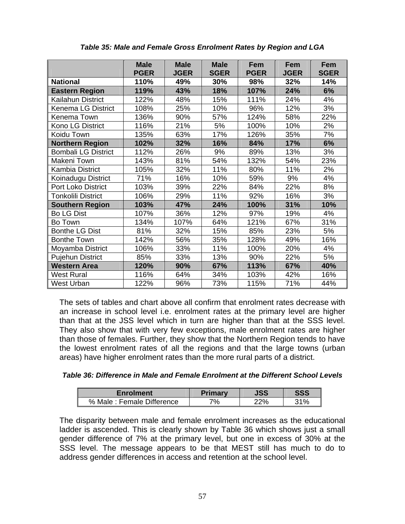|                            | <b>Male</b><br><b>PGER</b> | <b>Male</b><br><b>JGER</b> | <b>Male</b><br><b>SGER</b> | Fem<br><b>PGER</b> | <b>Fem</b><br><b>JGER</b> | Fem<br><b>SGER</b> |
|----------------------------|----------------------------|----------------------------|----------------------------|--------------------|---------------------------|--------------------|
| <b>National</b>            | 110%                       | 49%                        | 30%                        | 98%                | 32%                       | 14%                |
| <b>Eastern Region</b>      | 119%                       | 43%                        | 18%                        | 107%               | 24%                       | 6%                 |
| Kailahun District          | 122%                       | 48%                        | 15%                        | 111%               | 24%                       | 4%                 |
| <b>Kenema LG District</b>  | 108%                       | 25%                        | 10%                        | 96%                | 12%                       | 3%                 |
| Kenema Town                | 136%                       | 90%                        | 57%                        | 124%               | 58%                       | 22%                |
| Kono LG District           | 116%                       | 21%                        | 5%                         | 100%               | 10%                       | 2%                 |
| Koidu Town                 | 135%                       | 63%                        | 17%                        | 126%               | 35%                       | 7%                 |
| <b>Northern Region</b>     | 102%                       | 32%                        | 16%                        | 84%                | 17%                       | 6%                 |
| <b>Bombali LG District</b> | 112%                       | 26%                        | 9%                         | 89%                | 13%                       | 3%                 |
| Makeni Town                | 143%                       | 81%                        | 54%                        | 132%               | 54%                       | 23%                |
| Kambia District            | 105%                       | 32%                        | 11%                        | 80%                | 11%                       | 2%                 |
| Koinadugu District         | 71%                        | 16%                        | 10%                        | 59%                | 9%                        | 4%                 |
| Port Loko District         | 103%                       | 39%                        | 22%                        | 84%                | 22%                       | 8%                 |
| <b>Tonkolili District</b>  | 106%                       | 29%                        | 11%                        | 92%                | 16%                       | 3%                 |
| <b>Southern Region</b>     | 103%                       | 47%                        | 24%                        | 100%               | 31%                       | 10%                |
| <b>Bo LG Dist</b>          | 107%                       | 36%                        | 12%                        | 97%                | 19%                       | 4%                 |
| Bo Town                    | 134%                       | 107%                       | 64%                        | 121%               | 67%                       | 31%                |
| <b>Bonthe LG Dist</b>      | 81%                        | 32%                        | 15%                        | 85%                | 23%                       | 5%                 |
| <b>Bonthe Town</b>         | 142%                       | 56%                        | 35%                        | 128%               | 49%                       | 16%                |
| Moyamba District           | 106%                       | 33%                        | 11%                        | 100%               | 20%                       | 4%                 |
| <b>Pujehun District</b>    | 85%                        | 33%                        | 13%                        | 90%                | 22%                       | 5%                 |
| <b>Western Area</b>        | 120%                       | 90%                        | 67%                        | 113%               | 67%                       | 40%                |
| West Rural                 | 116%                       | 64%                        | 34%                        | 103%               | 42%                       | 16%                |
| West Urban                 | 122%                       | 96%                        | 73%                        | 115%               | 71%                       | 44%                |

*Table 35: Male and Female Gross Enrolment Rates by Region and LGA* 

The sets of tables and chart above all confirm that enrolment rates decrease with an increase in school level i.e. enrolment rates at the primary level are higher than that at the JSS level which in turn are higher than that at the SSS level. They also show that with very few exceptions, male enrolment rates are higher than those of females. Further, they show that the Northern Region tends to have the lowest enrolment rates of all the regions and that the large towns (urban areas) have higher enrolment rates than the more rural parts of a district.

*Table 36: Difference in Male and Female Enrolment at the Different School Levels* 

| Enrolment                 | <b>Primary</b> | JSS | <b>SSS</b> |
|---------------------------|----------------|-----|------------|
| % Male: Female Difference | $7\%$          | ን2% | 210/       |

The disparity between male and female enrolment increases as the educational ladder is ascended. This is clearly shown by Table 36 which shows just a small gender difference of 7% at the primary level, but one in excess of 30% at the SSS level. The message appears to be that MEST still has much to do to address gender differences in access and retention at the school level.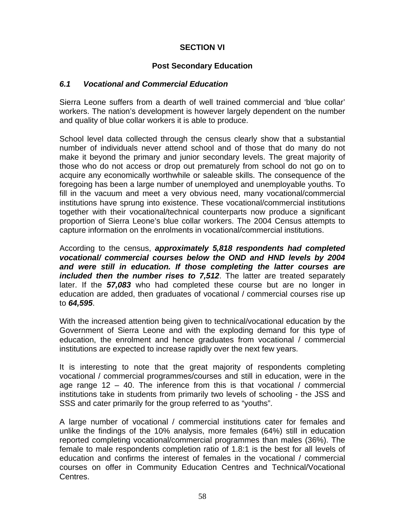## **SECTION VI**

### **Post Secondary Education**

### *6.1 Vocational and Commercial Education*

Sierra Leone suffers from a dearth of well trained commercial and 'blue collar' workers. The nation's development is however largely dependent on the number and quality of blue collar workers it is able to produce.

School level data collected through the census clearly show that a substantial number of individuals never attend school and of those that do many do not make it beyond the primary and junior secondary levels. The great majority of those who do not access or drop out prematurely from school do not go on to acquire any economically worthwhile or saleable skills. The consequence of the foregoing has been a large number of unemployed and unemployable youths. To fill in the vacuum and meet a very obvious need, many vocational/commercial institutions have sprung into existence. These vocational/commercial institutions together with their vocational/technical counterparts now produce a significant proportion of Sierra Leone's blue collar workers. The 2004 Census attempts to capture information on the enrolments in vocational/commercial institutions.

According to the census, *approximately 5,818 respondents had completed vocational/ commercial courses below the OND and HND levels by 2004 and were still in education. If those completing the latter courses are included then the number rises to 7,512*. The latter are treated separately later. If the *57,083* who had completed these course but are no longer in education are added, then graduates of vocational / commercial courses rise up to *64,595*.

With the increased attention being given to technical/vocational education by the Government of Sierra Leone and with the exploding demand for this type of education, the enrolment and hence graduates from vocational / commercial institutions are expected to increase rapidly over the next few years.

It is interesting to note that the great majority of respondents completing vocational / commercial programmes/courses and still in education, were in the age range 12 – 40. The inference from this is that vocational / commercial institutions take in students from primarily two levels of schooling - the JSS and SSS and cater primarily for the group referred to as "youths".

A large number of vocational / commercial institutions cater for females and unlike the findings of the 10% analysis, more females (64%) still in education reported completing vocational/commercial programmes than males (36%). The female to male respondents completion ratio of 1.8:1 is the best for all levels of education and confirms the interest of females in the vocational / commercial courses on offer in Community Education Centres and Technical/Vocational Centres.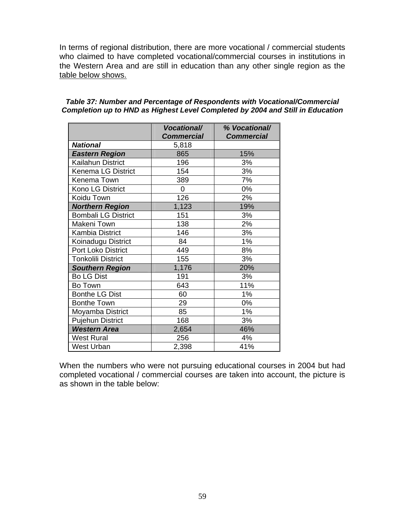In terms of regional distribution, there are more vocational / commercial students who claimed to have completed vocational/commercial courses in institutions in the Western Area and are still in education than any other single region as the table below shows.

|                            | <b>Vocational/</b> | % Vocational/     |
|----------------------------|--------------------|-------------------|
|                            | <b>Commercial</b>  | <b>Commercial</b> |
| <b>National</b>            | 5,818              |                   |
| <b>Eastern Region</b>      | 865                | 15%               |
| Kailahun District          | 196                | 3%                |
| Kenema LG District         | 154                | 3%                |
| Kenema Town                | 389                | 7%                |
| Kono LG District           | 0                  | 0%                |
| Koidu Town                 | 126                | 2%                |
| <b>Northern Region</b>     | 1,123              | 19%               |
| <b>Bombali LG District</b> | 151                | 3%                |
| Makeni Town                | 138                | 2%                |
| <b>Kambia District</b>     | 146                | 3%                |
| Koinadugu District         | 84                 | 1%                |
| <b>Port Loko District</b>  | 449                | 8%                |
| <b>Tonkolili District</b>  | 155                | 3%                |
| <b>Southern Region</b>     | 1,176              | 20%               |
| <b>Bo LG Dist</b>          | 191                | 3%                |
| Bo Town                    | 643                | 11%               |
| <b>Bonthe LG Dist</b>      | 60                 | 1%                |
| <b>Bonthe Town</b>         | 29                 | 0%                |
| Moyamba District           | 85                 | 1%                |
| <b>Pujehun District</b>    | 168                | 3%                |
| <b>Western Area</b>        | 2,654              | 46%               |
| <b>West Rural</b>          | 256                | 4%                |
| West Urban                 | 2,398              | 41%               |

#### *Table 37: Number and Percentage of Respondents with Vocational/Commercial Completion up to HND as Highest Level Completed by 2004 and Still in Education*

When the numbers who were not pursuing educational courses in 2004 but had completed vocational / commercial courses are taken into account, the picture is as shown in the table below: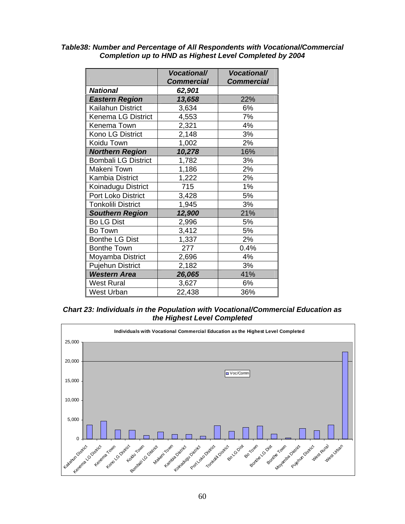|                            | <b>Vocational/</b> | <b>Vocational/</b> |
|----------------------------|--------------------|--------------------|
| <b>National</b>            | <b>Commercial</b>  | <b>Commercial</b>  |
|                            | 62,901             |                    |
| <b>Eastern Region</b>      | 13,658             | 22%                |
| Kailahun District          | 3,634              | 6%                 |
| <b>Kenema LG District</b>  | 4,553              | 7%                 |
| Kenema Town                | 2,321              | 4%                 |
| Kono LG District           | 2,148              | 3%                 |
| Koidu Town                 | 1,002              | 2%                 |
| <b>Northern Region</b>     | 10,278             | 16%                |
| <b>Bombali LG District</b> | 1,782              | 3%                 |
| Makeni Town                | 1,186              | 2%                 |
| <b>Kambia District</b>     | 1,222              | 2%                 |
| Koinadugu District         | 715                | 1%                 |
| Port Loko District         | 3,428              | 5%                 |
| <b>Tonkolili District</b>  | 1,945              | 3%                 |
| <b>Southern Region</b>     | 12,900             | 21%                |
| <b>Bo LG Dist</b>          | 2,996              | 5%                 |
| Bo Town                    | 3,412              | 5%                 |
| <b>Bonthe LG Dist</b>      | 1,337              | 2%                 |
| <b>Bonthe Town</b>         | 277                | 0.4%               |
| Moyamba District           | 2,696              | 4%                 |
| <b>Pujehun District</b>    | 2,182              | 3%                 |
| <b>Western Area</b>        | 26,065             | 41%                |
| <b>West Rural</b>          | 3,627              | 6%                 |
| <b>West Urban</b>          | 22,438             | 36%                |

#### *Table38: Number and Percentage of All Respondents with Vocational/Commercial Completion up to HND as Highest Level Completed by 2004*

*Chart 23: Individuals in the Population with Vocational/Commercial Education as the Highest Level Completed* 

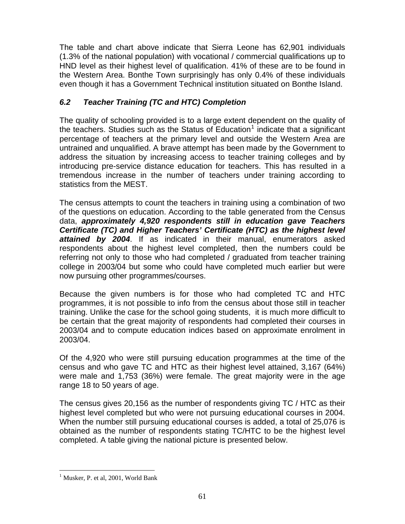The table and chart above indicate that Sierra Leone has 62,901 individuals (1.3% of the national population) with vocational / commercial qualifications up to HND level as their highest level of qualification. 41% of these are to be found in the Western Area. Bonthe Town surprisingly has only 0.4% of these individuals even though it has a Government Technical institution situated on Bonthe Island.

# *6.2 Teacher Training (TC and HTC) Completion*

The quality of schooling provided is to a large extent dependent on the quality of the teachers. Studies such as the Status of Education<sup>[1](#page-82-0)</sup> indicate that a significant percentage of teachers at the primary level and outside the Western Area are untrained and unqualified. A brave attempt has been made by the Government to address the situation by increasing access to teacher training colleges and by introducing pre-service distance education for teachers. This has resulted in a tremendous increase in the number of teachers under training according to statistics from the MEST.

The census attempts to count the teachers in training using a combination of two of the questions on education. According to the table generated from the Census data, *approximately 4,920 respondents still in education gave Teachers Certificate (TC) and Higher Teachers' Certificate (HTC) as the highest level attained by 2004*. If as indicated in their manual, enumerators asked respondents about the highest level completed, then the numbers could be referring not only to those who had completed / graduated from teacher training college in 2003/04 but some who could have completed much earlier but were now pursuing other programmes/courses.

Because the given numbers is for those who had completed TC and HTC programmes, it is not possible to info from the census about those still in teacher training. Unlike the case for the school going students, it is much more difficult to be certain that the great majority of respondents had completed their courses in 2003/04 and to compute education indices based on approximate enrolment in 2003/04.

Of the 4,920 who were still pursuing education programmes at the time of the census and who gave TC and HTC as their highest level attained, 3,167 (64%) were male and 1,753 (36%) were female. The great majority were in the age range 18 to 50 years of age.

The census gives 20,156 as the number of respondents giving TC / HTC as their highest level completed but who were not pursuing educational courses in 2004. When the number still pursuing educational courses is added, a total of 25,076 is obtained as the number of respondents stating TC/HTC to be the highest level completed. A table giving the national picture is presented below.

 $\overline{a}$ 

<span id="page-82-0"></span><sup>&</sup>lt;sup>1</sup> Musker, P. et al, 2001, World Bank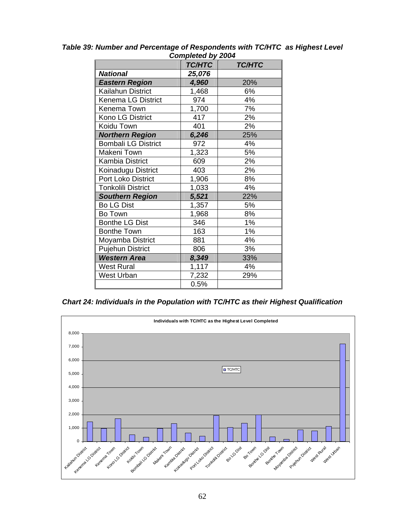| Completed by 2004          |               |               |  |  |
|----------------------------|---------------|---------------|--|--|
|                            | <b>TC/HTC</b> | <b>TC/HTC</b> |  |  |
| <b>National</b>            | 25,076        |               |  |  |
| <b>Eastern Region</b>      | 4,960         | 20%           |  |  |
| Kailahun District          | 1,468         | 6%            |  |  |
| Kenema LG District         | 974           | 4%            |  |  |
| Kenema Town                | 1,700         | 7%            |  |  |
| Kono LG District           | 417           | 2%            |  |  |
| Koidu Town                 | 401           | 2%            |  |  |
| <b>Northern Region</b>     | 6,246         | 25%           |  |  |
| <b>Bombali LG District</b> | 972           | 4%            |  |  |
| Makeni Town                | 1,323         | 5%            |  |  |
| <b>Kambia District</b>     | 609           | 2%            |  |  |
| Koinadugu District         | 403           | 2%            |  |  |
| <b>Port Loko District</b>  | 1,906         | 8%            |  |  |
| <b>Tonkolili District</b>  | 1,033         | 4%            |  |  |
| <b>Southern Region</b>     | 5,521         | 22%           |  |  |
| <b>Bo LG Dist</b>          | 1,357         | 5%            |  |  |
| Bo Town                    | 1,968         | 8%            |  |  |
| <b>Bonthe LG Dist</b>      | 346           | 1%            |  |  |
| <b>Bonthe Town</b>         | 163           | 1%            |  |  |
| Moyamba District           | 881           | 4%            |  |  |
| <b>Pujehun District</b>    | 806           | 3%            |  |  |
| <b>Western Area</b>        | 8,349         | 33%           |  |  |
| <b>West Rural</b>          | 1,117         | 4%            |  |  |
| <b>West Urban</b>          | 7,232         | 29%           |  |  |
|                            | 0.5%          |               |  |  |

*Table 39: Number and Percentage of Respondents with TC/HTC as Highest Level Completed by 2004* 

*Chart 24: Individuals in the Population with TC/HTC as their Highest Qualification* 

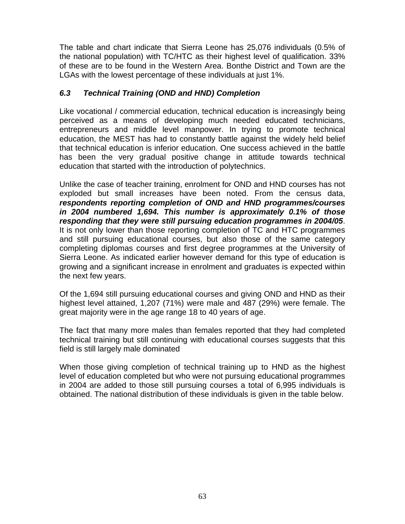The table and chart indicate that Sierra Leone has 25,076 individuals (0.5% of the national population) with TC/HTC as their highest level of qualification. 33% of these are to be found in the Western Area. Bonthe District and Town are the LGAs with the lowest percentage of these individuals at just 1%.

## *6.3 Technical Training (OND and HND) Completion*

Like vocational / commercial education, technical education is increasingly being perceived as a means of developing much needed educated technicians, entrepreneurs and middle level manpower. In trying to promote technical education, the MEST has had to constantly battle against the widely held belief that technical education is inferior education. One success achieved in the battle has been the very gradual positive change in attitude towards technical education that started with the introduction of polytechnics.

Unlike the case of teacher training, enrolment for OND and HND courses has not exploded but small increases have been noted. From the census data, *respondents reporting completion of OND and HND programmes/courses in 2004 numbered 1,694. This number is approximately 0.1% of those responding that they were still pursuing education programmes in 2004/05*. It is not only lower than those reporting completion of TC and HTC programmes and still pursuing educational courses, but also those of the same category completing diplomas courses and first degree programmes at the University of Sierra Leone. As indicated earlier however demand for this type of education is growing and a significant increase in enrolment and graduates is expected within the next few years.

Of the 1,694 still pursuing educational courses and giving OND and HND as their highest level attained, 1,207 (71%) were male and 487 (29%) were female. The great majority were in the age range 18 to 40 years of age.

The fact that many more males than females reported that they had completed technical training but still continuing with educational courses suggests that this field is still largely male dominated

When those giving completion of technical training up to HND as the highest level of education completed but who were not pursuing educational programmes in 2004 are added to those still pursuing courses a total of 6,995 individuals is obtained. The national distribution of these individuals is given in the table below.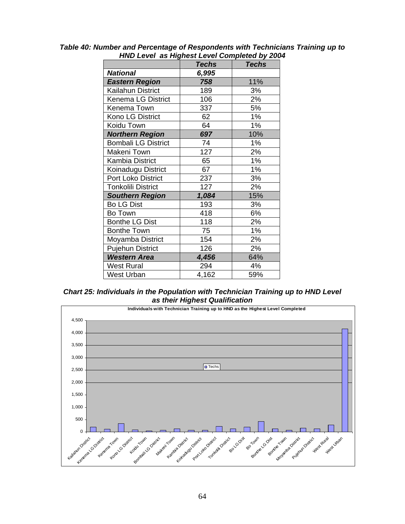|                            | <b>Techs</b> | <b>Techs</b> |
|----------------------------|--------------|--------------|
| <b>National</b>            | 6,995        |              |
| <b>Eastern Region</b>      | 758          | 11%          |
| Kailahun District          | 189          | 3%           |
| Kenema LG District         | 106          | 2%           |
| Kenema Town                | 337          | 5%           |
| Kono LG District           | 62           | 1%           |
| Koidu Town                 | 64           | 1%           |
| <b>Northern Region</b>     | 697          | 10%          |
| <b>Bombali LG District</b> | 74           | 1%           |
| Makeni Town                | 127          | 2%           |
| <b>Kambia District</b>     | 65           | 1%           |
| Koinadugu District         | 67           | 1%           |
| <b>Port Loko District</b>  | 237          | 3%           |
| <b>Tonkolili District</b>  | 127          | 2%           |
| <b>Southern Region</b>     | 1,084        | 15%          |
| <b>Bo LG Dist</b>          | 193          | 3%           |
| Bo Town                    | 418          | 6%           |
| <b>Bonthe LG Dist</b>      | 118          | 2%           |
| <b>Bonthe Town</b>         | 75           | 1%           |
| Moyamba District           | 154          | 2%           |
| <b>Pujehun District</b>    | 126          | 2%           |
| <b>Western Area</b>        | 4,456        | 64%          |
| <b>West Rural</b>          | 294          | 4%           |
| <b>West Urban</b>          | 4,162        | 59%          |

*Table 40: Number and Percentage of Respondents with Technicians Training up to HND Level as Highest Level Completed by 2004* 

*Chart 25: Individuals in the Population with Technician Training up to HND Level as their Highest Qualification* 

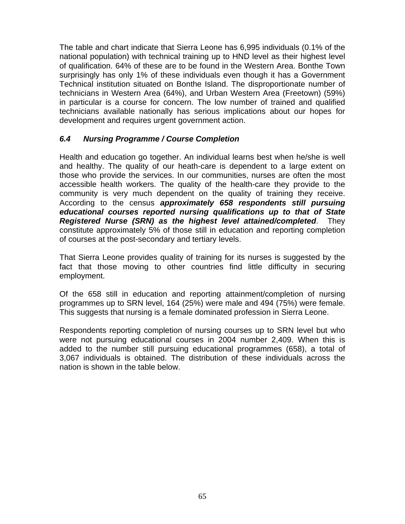The table and chart indicate that Sierra Leone has 6,995 individuals (0.1% of the national population) with technical training up to HND level as their highest level of qualification. 64% of these are to be found in the Western Area. Bonthe Town surprisingly has only 1% of these individuals even though it has a Government Technical institution situated on Bonthe Island. The disproportionate number of technicians in Western Area (64%), and Urban Western Area (Freetown) (59%) in particular is a course for concern. The low number of trained and qualified technicians available nationally has serious implications about our hopes for development and requires urgent government action.

## *6.4 Nursing Programme / Course Completion*

Health and education go together. An individual learns best when he/she is well and healthy. The quality of our heath-care is dependent to a large extent on those who provide the services. In our communities, nurses are often the most accessible health workers. The quality of the health-care they provide to the community is very much dependent on the quality of training they receive. According to the census *approximately 658 respondents still pursuing educational courses reported nursing qualifications up to that of State Registered Nurse (SRN) as the highest level attained/completed*. They constitute approximately 5% of those still in education and reporting completion of courses at the post-secondary and tertiary levels.

That Sierra Leone provides quality of training for its nurses is suggested by the fact that those moving to other countries find little difficulty in securing employment.

Of the 658 still in education and reporting attainment/completion of nursing programmes up to SRN level, 164 (25%) were male and 494 (75%) were female. This suggests that nursing is a female dominated profession in Sierra Leone.

Respondents reporting completion of nursing courses up to SRN level but who were not pursuing educational courses in 2004 number 2,409. When this is added to the number still pursuing educational programmes (658), a total of 3,067 individuals is obtained. The distribution of these individuals across the nation is shown in the table below.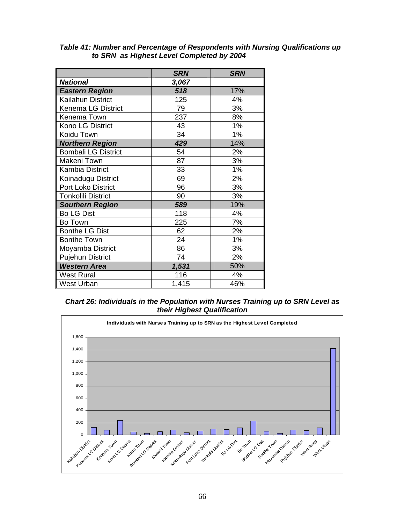|                            | <b>SRN</b> | <b>SRN</b> |
|----------------------------|------------|------------|
| <b>National</b>            | 3,067      |            |
| <b>Eastern Region</b>      | 518        | 17%        |
| Kailahun District          | 125        | 4%         |
| <b>Kenema LG District</b>  | 79         | 3%         |
| Kenema Town                | 237        | 8%         |
| Kono LG District           | 43         | 1%         |
| Koidu Town                 | 34         | 1%         |
| <b>Northern Region</b>     | 429        | 14%        |
| <b>Bombali LG District</b> | 54         | 2%         |
| Makeni Town                | 87         | 3%         |
| <b>Kambia District</b>     | 33         | 1%         |
| Koinadugu District         | 69         | 2%         |
| Port Loko District         | 96         | 3%         |
| <b>Tonkolili District</b>  | 90         | 3%         |
| <b>Southern Region</b>     | 589        | 19%        |
| <b>Bo LG Dist</b>          | 118        | 4%         |
| Bo Town                    | 225        | 7%         |
| <b>Bonthe LG Dist</b>      | 62         | 2%         |
| <b>Bonthe Town</b>         | 24         | 1%         |
| Moyamba District           | 86         | 3%         |
| <b>Pujehun District</b>    | 74         | 2%         |
| <b>Western Area</b>        | 1,531      | 50%        |
| <b>West Rural</b>          | 116        | 4%         |
| <b>West Urban</b>          | 1,415      | 46%        |

#### *Table 41: Number and Percentage of Respondents with Nursing Qualifications up to SRN as Highest Level Completed by 2004*

#### *Chart 26: Individuals in the Population with Nurses Training up to SRN Level as their Highest Qualification*

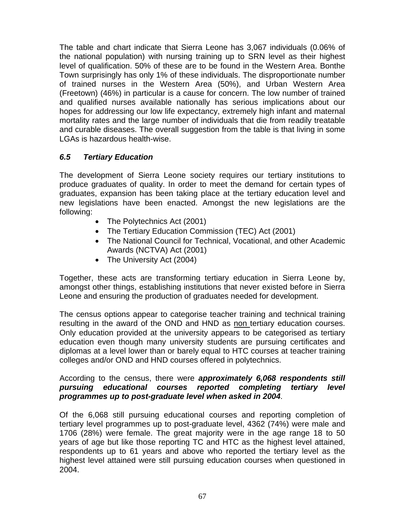The table and chart indicate that Sierra Leone has 3,067 individuals (0.06% of the national population) with nursing training up to SRN level as their highest level of qualification. 50% of these are to be found in the Western Area. Bonthe Town surprisingly has only 1% of these individuals. The disproportionate number of trained nurses in the Western Area (50%), and Urban Western Area (Freetown) (46%) in particular is a cause for concern. The low number of trained and qualified nurses available nationally has serious implications about our hopes for addressing our low life expectancy, extremely high infant and maternal mortality rates and the large number of individuals that die from readily treatable and curable diseases. The overall suggestion from the table is that living in some LGAs is hazardous health-wise.

## *6.5 Tertiary Education*

The development of Sierra Leone society requires our tertiary institutions to produce graduates of quality. In order to meet the demand for certain types of graduates, expansion has been taking place at the tertiary education level and new legislations have been enacted. Amongst the new legislations are the following:

- The Polytechnics Act (2001)
- The Tertiary Education Commission (TEC) Act (2001)
- The National Council for Technical, Vocational, and other Academic Awards (NCTVA) Act (2001)
- The University Act (2004)

Together, these acts are transforming tertiary education in Sierra Leone by, amongst other things, establishing institutions that never existed before in Sierra Leone and ensuring the production of graduates needed for development.

The census options appear to categorise teacher training and technical training resulting in the award of the OND and HND as non tertiary education courses. Only education provided at the university appears to be categorised as tertiary education even though many university students are pursuing certificates and diplomas at a level lower than or barely equal to HTC courses at teacher training colleges and/or OND and HND courses offered in polytechnics.

### According to the census, there were *approximately 6,068 respondents still pursuing educational courses reported completing tertiary level programmes up to post-graduate level when asked in 2004*.

Of the 6,068 still pursuing educational courses and reporting completion of tertiary level programmes up to post-graduate level, 4362 (74%) were male and 1706 (28%) were female. The great majority were in the age range 18 to 50 years of age but like those reporting TC and HTC as the highest level attained, respondents up to 61 years and above who reported the tertiary level as the highest level attained were still pursuing education courses when questioned in 2004.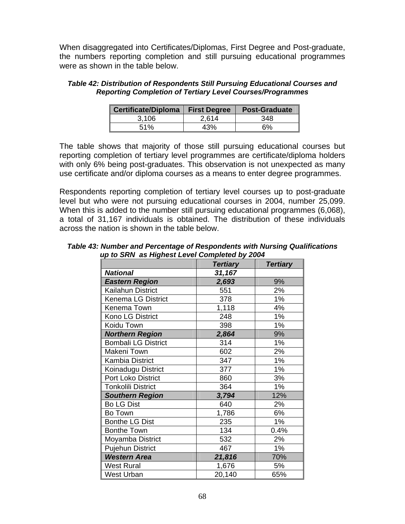When disaggregated into Certificates/Diplomas, First Degree and Post-graduate, the numbers reporting completion and still pursuing educational programmes were as shown in the table below.

| Table 42: Distribution of Respondents Still Pursuing Educational Courses and |
|------------------------------------------------------------------------------|
| <b>Reporting Completion of Tertiary Level Courses/Programmes</b>             |

| Certificate/Diploma | <b>First Degree</b> | <b>Post-Graduate</b> |
|---------------------|---------------------|----------------------|
| 3.106               | 2.614               | 348                  |
| 51%                 | 43%                 | 6%                   |

The table shows that majority of those still pursuing educational courses but reporting completion of tertiary level programmes are certificate/diploma holders with only 6% being post-graduates. This observation is not unexpected as many use certificate and/or diploma courses as a means to enter degree programmes.

Respondents reporting completion of tertiary level courses up to post-graduate level but who were not pursuing educational courses in 2004, number 25,099. When this is added to the number still pursuing educational programmes (6,068), a total of 31,167 individuals is obtained. The distribution of these individuals across the nation is shown in the table below.

*Table 43: Number and Percentage of Respondents with Nursing Qualifications up to SRN as Highest Level Completed by 2004* 

|                            | <b>Tertiary</b> | <b>Tertiary</b> |
|----------------------------|-----------------|-----------------|
| <b>National</b>            | 31,167          |                 |
| <b>Eastern Region</b>      | 2,693           | 9%              |
| Kailahun District          | 551             | 2%              |
| Kenema LG District         | 378             | 1%              |
| Kenema Town                | 1,118           | 4%              |
| Kono LG District           | 248             | 1%              |
| Koidu Town                 | 398             | 1%              |
| <b>Northern Region</b>     | 2,864           | 9%              |
| <b>Bombali LG District</b> | 314             | 1%              |
| Makeni Town                | 602             | 2%              |
| Kambia District            | 347             | 1%              |
| Koinadugu District         | 377             | 1%              |
| <b>Port Loko District</b>  | 860             | 3%              |
| <b>Tonkolili District</b>  | 364             | 1%              |
| <b>Southern Region</b>     | 3,794           | 12%             |
| <b>Bo LG Dist</b>          | 640             | 2%              |
| Bo Town                    | 1,786           | 6%              |
| <b>Bonthe LG Dist</b>      | 235             | 1%              |
| <b>Bonthe Town</b>         | 134             | 0.4%            |
| Moyamba District           | 532             | 2%              |
| <b>Pujehun District</b>    | 467             | 1%              |
| <b>Western Area</b>        | 21,816          | 70%             |
| <b>West Rural</b>          | 1,676           | 5%              |
| West Urban                 | 20,140          | 65%             |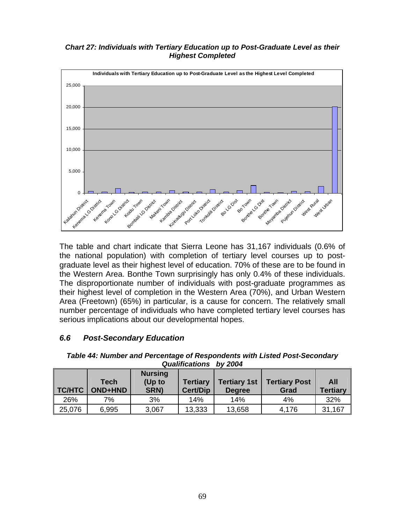#### *Chart 27: Individuals with Tertiary Education up to Post-Graduate Level as their Highest Completed*



The table and chart indicate that Sierra Leone has 31,167 individuals (0.6% of the national population) with completion of tertiary level courses up to postgraduate level as their highest level of education. 70% of these are to be found in the Western Area. Bonthe Town surprisingly has only 0.4% of these individuals. The disproportionate number of individuals with post-graduate programmes as their highest level of completion in the Western Area (70%), and Urban Western Area (Freetown) (65%) in particular, is a cause for concern. The relatively small number percentage of individuals who have completed tertiary level courses has serious implications about our developmental hopes.

## *6.6 Post-Secondary Education*

|               |                        | Qualifications                   | DV 2004                            |                                      |                              |                        |
|---------------|------------------------|----------------------------------|------------------------------------|--------------------------------------|------------------------------|------------------------|
| <b>TC/HTC</b> | Tech<br><b>OND+HND</b> | <b>Nursing</b><br>(Up to<br>SRN) | <b>Tertiary</b><br><b>Cert/Dip</b> | <b>Tertiary 1st</b><br><b>Degree</b> | <b>Tertiary Post</b><br>Grad | All<br><b>Tertiary</b> |
| 26%           | 7%                     | 3%                               | 14%                                | 14%                                  | 4%                           | 32%                    |
| 25,076        | 6,995                  | 3,067                            | 13,333                             | 13,658                               | 4,176                        | 31,167                 |

*Table 44: Number and Percentage of Respondents with Listed Post-Secondary Qualifications by 2004*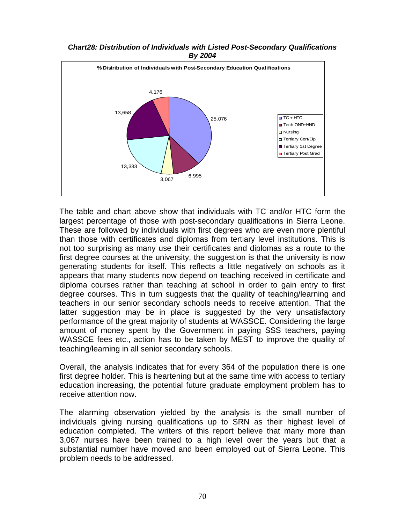

*Chart28: Distribution of Individuals with Listed Post-Secondary Qualifications By 2004* 

The table and chart above show that individuals with TC and/or HTC form the largest percentage of those with post-secondary qualifications in Sierra Leone. These are followed by individuals with first degrees who are even more plentiful than those with certificates and diplomas from tertiary level institutions. This is not too surprising as many use their certificates and diplomas as a route to the first degree courses at the university, the suggestion is that the university is now generating students for itself. This reflects a little negatively on schools as it appears that many students now depend on teaching received in certificate and diploma courses rather than teaching at school in order to gain entry to first degree courses. This in turn suggests that the quality of teaching/learning and teachers in our senior secondary schools needs to receive attention. That the latter suggestion may be in place is suggested by the very unsatisfactory performance of the great majority of students at WASSCE. Considering the large amount of money spent by the Government in paying SSS teachers, paying WASSCE fees etc., action has to be taken by MEST to improve the quality of teaching/learning in all senior secondary schools.

Overall, the analysis indicates that for every 364 of the population there is one first degree holder. This is heartening but at the same time with access to tertiary education increasing, the potential future graduate employment problem has to receive attention now.

The alarming observation yielded by the analysis is the small number of individuals giving nursing qualifications up to SRN as their highest level of education completed. The writers of this report believe that many more than 3,067 nurses have been trained to a high level over the years but that a substantial number have moved and been employed out of Sierra Leone. This problem needs to be addressed.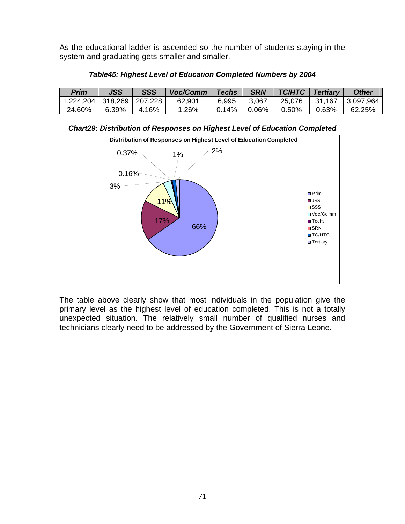As the educational ladder is ascended so the number of students staying in the system and graduating gets smaller and smaller.

| Prim                | <b>JSS</b> | SSS     | Voc/Comm | <b>Techs</b> | <b>SRN</b> | <b>TC/HTC</b> | <b>Tertiary</b> | <b>Other</b> |
|---------------------|------------|---------|----------|--------------|------------|---------------|-----------------|--------------|
| 1,224,204   318,269 |            | 207,228 | 62,901   | 6,995        | 3,067      | 25,076        | 31,167          | 3,097,964    |
| 24.60%              | 6.39%      | 4.16%   | .26%     | 0.14%        | $0.06\%$   | 0.50%         | 0.63%           | 62.25%       |

*Table45: Highest Level of Education Completed Numbers by 2004* 

*Chart29: Distribution of Responses on Highest Level of Education Completed* 



The table above clearly show that most individuals in the population give the primary level as the highest level of education completed. This is not a totally unexpected situation. The relatively small number of qualified nurses and technicians clearly need to be addressed by the Government of Sierra Leone.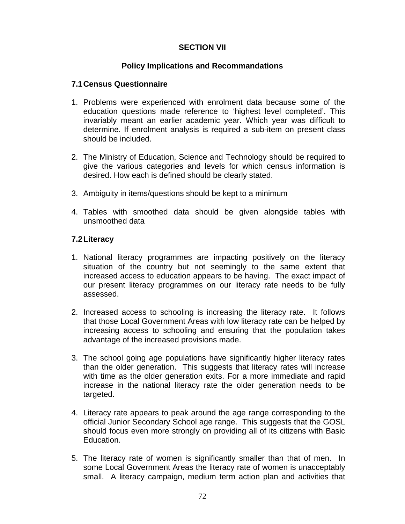## **SECTION VII**

### **Policy Implications and Recommandations**

#### **7.1 Census Questionnaire**

- 1. Problems were experienced with enrolment data because some of the education questions made reference to 'highest level completed'. This invariably meant an earlier academic year. Which year was difficult to determine. If enrolment analysis is required a sub-item on present class should be included.
- 2. The Ministry of Education, Science and Technology should be required to give the various categories and levels for which census information is desired. How each is defined should be clearly stated.
- 3. Ambiguity in items/questions should be kept to a minimum
- 4. Tables with smoothed data should be given alongside tables with unsmoothed data

### **7.2 Literacy**

- 1. National literacy programmes are impacting positively on the literacy situation of the country but not seemingly to the same extent that increased access to education appears to be having. The exact impact of our present literacy programmes on our literacy rate needs to be fully assessed.
- 2. Increased access to schooling is increasing the literacy rate. It follows that those Local Government Areas with low literacy rate can be helped by increasing access to schooling and ensuring that the population takes advantage of the increased provisions made.
- 3. The school going age populations have significantly higher literacy rates than the older generation. This suggests that literacy rates will increase with time as the older generation exits. For a more immediate and rapid increase in the national literacy rate the older generation needs to be targeted.
- 4. Literacy rate appears to peak around the age range corresponding to the official Junior Secondary School age range. This suggests that the GOSL should focus even more strongly on providing all of its citizens with Basic Education.
- 5. The literacy rate of women is significantly smaller than that of men. In some Local Government Areas the literacy rate of women is unacceptably small. A literacy campaign, medium term action plan and activities that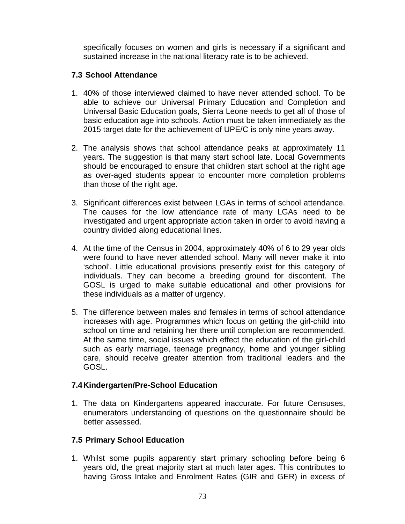specifically focuses on women and girls is necessary if a significant and sustained increase in the national literacy rate is to be achieved.

## **7.3 School Attendance**

- 1. 40% of those interviewed claimed to have never attended school. To be able to achieve our Universal Primary Education and Completion and Universal Basic Education goals, Sierra Leone needs to get all of those of basic education age into schools. Action must be taken immediately as the 2015 target date for the achievement of UPE/C is only nine years away.
- 2. The analysis shows that school attendance peaks at approximately 11 years. The suggestion is that many start school late. Local Governments should be encouraged to ensure that children start school at the right age as over-aged students appear to encounter more completion problems than those of the right age.
- 3. Significant differences exist between LGAs in terms of school attendance. The causes for the low attendance rate of many LGAs need to be investigated and urgent appropriate action taken in order to avoid having a country divided along educational lines.
- 4. At the time of the Census in 2004, approximately 40% of 6 to 29 year olds were found to have never attended school. Many will never make it into 'school'. Little educational provisions presently exist for this category of individuals. They can become a breeding ground for discontent. The GOSL is urged to make suitable educational and other provisions for these individuals as a matter of urgency.
- 5. The difference between males and females in terms of school attendance increases with age. Programmes which focus on getting the girl-child into school on time and retaining her there until completion are recommended. At the same time, social issues which effect the education of the girl-child such as early marriage, teenage pregnancy, home and younger sibling care, should receive greater attention from traditional leaders and the GOSL.

## **7.4 Kindergarten/Pre-School Education**

1. The data on Kindergartens appeared inaccurate. For future Censuses, enumerators understanding of questions on the questionnaire should be better assessed.

## **7.5 Primary School Education**

1. Whilst some pupils apparently start primary schooling before being 6 years old, the great majority start at much later ages. This contributes to having Gross Intake and Enrolment Rates (GIR and GER) in excess of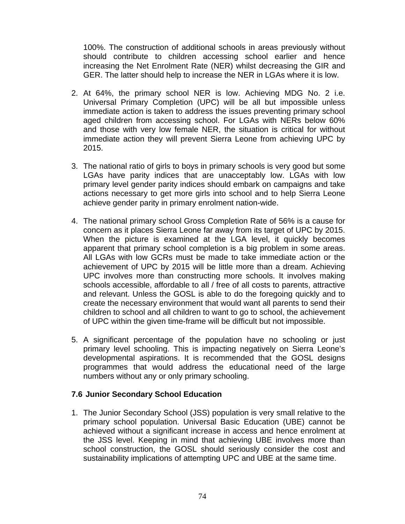100%. The construction of additional schools in areas previously without should contribute to children accessing school earlier and hence increasing the Net Enrolment Rate (NER) whilst decreasing the GIR and GER. The latter should help to increase the NER in LGAs where it is low.

- 2. At 64%, the primary school NER is low. Achieving MDG No. 2 i.e. Universal Primary Completion (UPC) will be all but impossible unless immediate action is taken to address the issues preventing primary school aged children from accessing school. For LGAs with NERs below 60% and those with very low female NER, the situation is critical for without immediate action they will prevent Sierra Leone from achieving UPC by 2015.
- 3. The national ratio of girls to boys in primary schools is very good but some LGAs have parity indices that are unacceptably low. LGAs with low primary level gender parity indices should embark on campaigns and take actions necessary to get more girls into school and to help Sierra Leone achieve gender parity in primary enrolment nation-wide.
- 4. The national primary school Gross Completion Rate of 56% is a cause for concern as it places Sierra Leone far away from its target of UPC by 2015. When the picture is examined at the LGA level, it quickly becomes apparent that primary school completion is a big problem in some areas. All LGAs with low GCRs must be made to take immediate action or the achievement of UPC by 2015 will be little more than a dream. Achieving UPC involves more than constructing more schools. It involves making schools accessible, affordable to all / free of all costs to parents, attractive and relevant. Unless the GOSL is able to do the foregoing quickly and to create the necessary environment that would want all parents to send their children to school and all children to want to go to school, the achievement of UPC within the given time-frame will be difficult but not impossible.
- 5. A significant percentage of the population have no schooling or just primary level schooling. This is impacting negatively on Sierra Leone's developmental aspirations. It is recommended that the GOSL designs programmes that would address the educational need of the large numbers without any or only primary schooling.

### **7.6 Junior Secondary School Education**

1. The Junior Secondary School (JSS) population is very small relative to the primary school population. Universal Basic Education (UBE) cannot be achieved without a significant increase in access and hence enrolment at the JSS level. Keeping in mind that achieving UBE involves more than school construction, the GOSL should seriously consider the cost and sustainability implications of attempting UPC and UBE at the same time.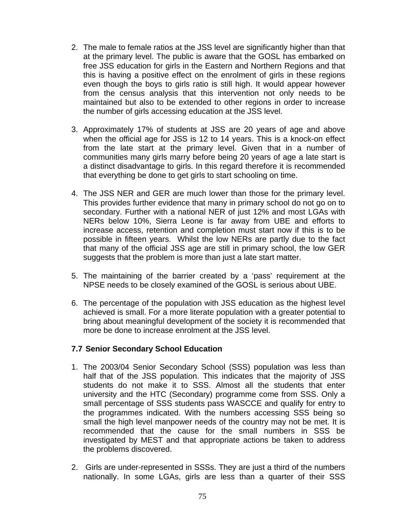- 2. The male to female ratios at the JSS level are significantly higher than that at the primary level. The public is aware that the GOSL has embarked on free JSS education for girls in the Eastern and Northern Regions and that this is having a positive effect on the enrolment of girls in these regions even though the boys to girls ratio is still high. It would appear however from the census analysis that this intervention not only needs to be maintained but also to be extended to other regions in order to increase the number of girls accessing education at the JSS level.
- 3. Approximately 17% of students at JSS are 20 years of age and above when the official age for JSS is 12 to 14 years. This is a knock-on effect from the late start at the primary level. Given that in a number of communities many girls marry before being 20 years of age a late start is a distinct disadvantage to girls. In this regard therefore it is recommended that everything be done to get girls to start schooling on time.
- 4. The JSS NER and GER are much lower than those for the primary level. This provides further evidence that many in primary school do not go on to secondary. Further with a national NER of just 12% and most LGAs with NERs below 10%, Sierra Leone is far away from UBE and efforts to increase access, retention and completion must start now if this is to be possible in fifteen years. Whilst the low NERs are partly due to the fact that many of the official JSS age are still in primary school, the low GER suggests that the problem is more than just a late start matter.
- 5. The maintaining of the barrier created by a 'pass' requirement at the NPSE needs to be closely examined of the GOSL is serious about UBE.
- 6. The percentage of the population with JSS education as the highest level achieved is small. For a more literate population with a greater potential to bring about meaningful development of the society it is recommended that more be done to increase enrolment at the JSS level.

### **7.7 Senior Secondary School Education**

- 1. The 2003/04 Senior Secondary School (SSS) population was less than half that of the JSS population. This indicates that the majority of JSS students do not make it to SSS. Almost all the students that enter university and the HTC (Secondary) programme come from SSS. Only a small percentage of SSS students pass WASCCE and qualify for entry to the programmes indicated. With the numbers accessing SSS being so small the high level manpower needs of the country may not be met. It is recommended that the cause for the small numbers in SSS be investigated by MEST and that appropriate actions be taken to address the problems discovered.
- 2. Girls are under-represented in SSSs. They are just a third of the numbers nationally. In some LGAs, girls are less than a quarter of their SSS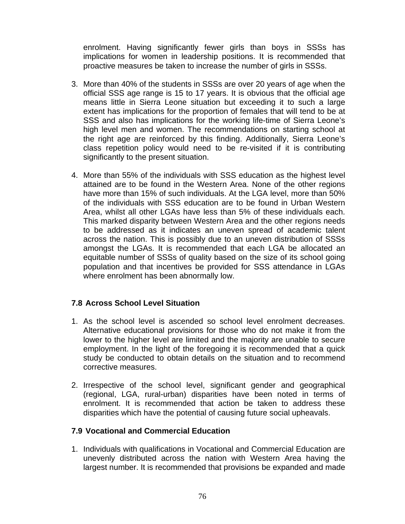enrolment. Having significantly fewer girls than boys in SSSs has implications for women in leadership positions. It is recommended that proactive measures be taken to increase the number of girls in SSSs.

- 3. More than 40% of the students in SSSs are over 20 years of age when the official SSS age range is 15 to 17 years. It is obvious that the official age means little in Sierra Leone situation but exceeding it to such a large extent has implications for the proportion of females that will tend to be at SSS and also has implications for the working life-time of Sierra Leone's high level men and women. The recommendations on starting school at the right age are reinforced by this finding. Additionally, Sierra Leone's class repetition policy would need to be re-visited if it is contributing significantly to the present situation.
- 4. More than 55% of the individuals with SSS education as the highest level attained are to be found in the Western Area. None of the other regions have more than 15% of such individuals. At the LGA level, more than 50% of the individuals with SSS education are to be found in Urban Western Area, whilst all other LGAs have less than 5% of these individuals each. This marked disparity between Western Area and the other regions needs to be addressed as it indicates an uneven spread of academic talent across the nation. This is possibly due to an uneven distribution of SSSs amongst the LGAs. It is recommended that each LGA be allocated an equitable number of SSSs of quality based on the size of its school going population and that incentives be provided for SSS attendance in LGAs where enrolment has been abnormally low.

## **7.8 Across School Level Situation**

- 1. As the school level is ascended so school level enrolment decreases. Alternative educational provisions for those who do not make it from the lower to the higher level are limited and the majority are unable to secure employment. In the light of the foregoing it is recommended that a quick study be conducted to obtain details on the situation and to recommend corrective measures.
- 2. Irrespective of the school level, significant gender and geographical (regional, LGA, rural-urban) disparities have been noted in terms of enrolment. It is recommended that action be taken to address these disparities which have the potential of causing future social upheavals.

## **7.9 Vocational and Commercial Education**

1. Individuals with qualifications in Vocational and Commercial Education are unevenly distributed across the nation with Western Area having the largest number. It is recommended that provisions be expanded and made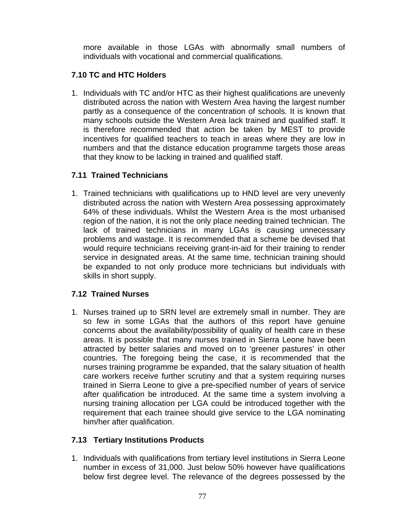more available in those LGAs with abnormally small numbers of individuals with vocational and commercial qualifications.

# **7.10 TC and HTC Holders**

1. Individuals with TC and/or HTC as their highest qualifications are unevenly distributed across the nation with Western Area having the largest number partly as a consequence of the concentration of schools. It is known that many schools outside the Western Area lack trained and qualified staff. It is therefore recommended that action be taken by MEST to provide incentives for qualified teachers to teach in areas where they are low in numbers and that the distance education programme targets those areas that they know to be lacking in trained and qualified staff.

## **7.11 Trained Technicians**

1. Trained technicians with qualifications up to HND level are very unevenly distributed across the nation with Western Area possessing approximately 64% of these individuals. Whilst the Western Area is the most urbanised region of the nation, it is not the only place needing trained technician. The lack of trained technicians in many LGAs is causing unnecessary problems and wastage. It is recommended that a scheme be devised that would require technicians receiving grant-in-aid for their training to render service in designated areas. At the same time, technician training should be expanded to not only produce more technicians but individuals with skills in short supply.

# **7.12 Trained Nurses**

1. Nurses trained up to SRN level are extremely small in number. They are so few in some LGAs that the authors of this report have genuine concerns about the availability/possibility of quality of health care in these areas. It is possible that many nurses trained in Sierra Leone have been attracted by better salaries and moved on to 'greener pastures' in other countries. The foregoing being the case, it is recommended that the nurses training programme be expanded, that the salary situation of health care workers receive further scrutiny and that a system requiring nurses trained in Sierra Leone to give a pre-specified number of years of service after qualification be introduced. At the same time a system involving a nursing training allocation per LGA could be introduced together with the requirement that each trainee should give service to the LGA nominating him/her after qualification.

# **7.13 Tertiary Institutions Products**

1. Individuals with qualifications from tertiary level institutions in Sierra Leone number in excess of 31,000. Just below 50% however have qualifications below first degree level. The relevance of the degrees possessed by the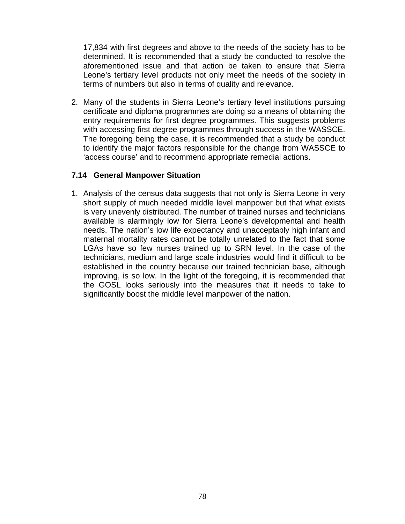17,834 with first degrees and above to the needs of the society has to be determined. It is recommended that a study be conducted to resolve the aforementioned issue and that action be taken to ensure that Sierra Leone's tertiary level products not only meet the needs of the society in terms of numbers but also in terms of quality and relevance.

2. Many of the students in Sierra Leone's tertiary level institutions pursuing certificate and diploma programmes are doing so a means of obtaining the entry requirements for first degree programmes. This suggests problems with accessing first degree programmes through success in the WASSCE. The foregoing being the case, it is recommended that a study be conduct to identify the major factors responsible for the change from WASSCE to 'access course' and to recommend appropriate remedial actions.

### **7.14 General Manpower Situation**

1. Analysis of the census data suggests that not only is Sierra Leone in very short supply of much needed middle level manpower but that what exists is very unevenly distributed. The number of trained nurses and technicians available is alarmingly low for Sierra Leone's developmental and health needs. The nation's low life expectancy and unacceptably high infant and maternal mortality rates cannot be totally unrelated to the fact that some LGAs have so few nurses trained up to SRN level. In the case of the technicians, medium and large scale industries would find it difficult to be established in the country because our trained technician base, although improving, is so low. In the light of the foregoing, it is recommended that the GOSL looks seriously into the measures that it needs to take to significantly boost the middle level manpower of the nation.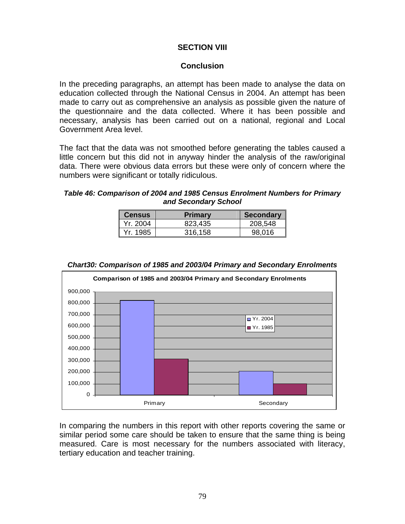## **SECTION VIII**

### **Conclusion**

In the preceding paragraphs, an attempt has been made to analyse the data on education collected through the National Census in 2004. An attempt has been made to carry out as comprehensive an analysis as possible given the nature of the questionnaire and the data collected. Where it has been possible and necessary, analysis has been carried out on a national, regional and Local Government Area level.

The fact that the data was not smoothed before generating the tables caused a little concern but this did not in anyway hinder the analysis of the raw/original data. There were obvious data errors but these were only of concern where the numbers were significant or totally ridiculous.

### *Table 46: Comparison of 2004 and 1985 Census Enrolment Numbers for Primary and Secondary School*

| l Census   | <b>Primary</b> | <b>Secondary</b> |
|------------|----------------|------------------|
| Yr. 2004   | 823,435        | 208,548          |
| l Yr. 1985 | 316.158        | 98.016           |



#### *Chart30: Comparison of 1985 and 2003/04 Primary and Secondary Enrolments*

In comparing the numbers in this report with other reports covering the same or similar period some care should be taken to ensure that the same thing is being measured. Care is most necessary for the numbers associated with literacy, tertiary education and teacher training.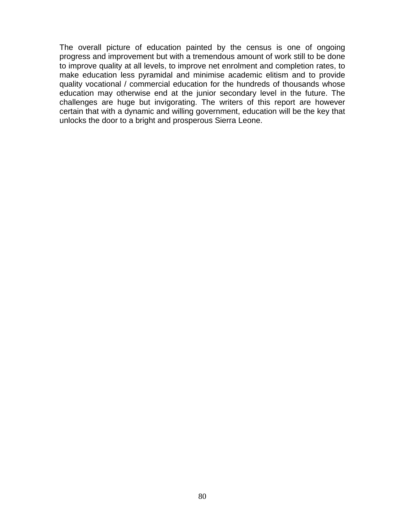The overall picture of education painted by the census is one of ongoing progress and improvement but with a tremendous amount of work still to be done to improve quality at all levels, to improve net enrolment and completion rates, to make education less pyramidal and minimise academic elitism and to provide quality vocational / commercial education for the hundreds of thousands whose education may otherwise end at the junior secondary level in the future. The challenges are huge but invigorating. The writers of this report are however certain that with a dynamic and willing government, education will be the key that unlocks the door to a bright and prosperous Sierra Leone.